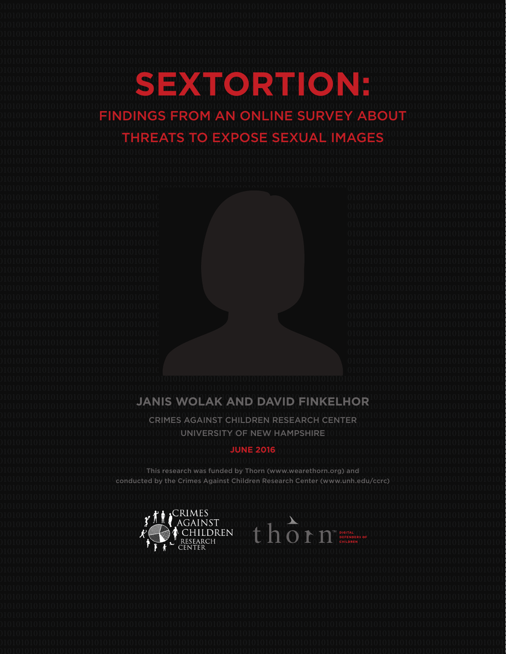#### **SEXTORTION:** 0101010101010101010101010|FINDINGSIFROMDANDONLINE\SURVEY1ABOUT01010101010101010101010101 FINDINGS FROM AN ONLINE SURVEY ABOUT THREATS TO EXPOSE SEXUAL IMAGES

 **JANIS WOLAK AND DAVID FINKELHOR**

 CRIMES AGAINST CHILDREN RESEARCH CENTER UNIVERSITY OF NEW HAMPSHIRE 

#### **JUNE 2016**

 This research was funded by Thorn (www.wearethorn.org) and conducted by the Crimes Against Children Research Center (www.unh.edu/ccrc)

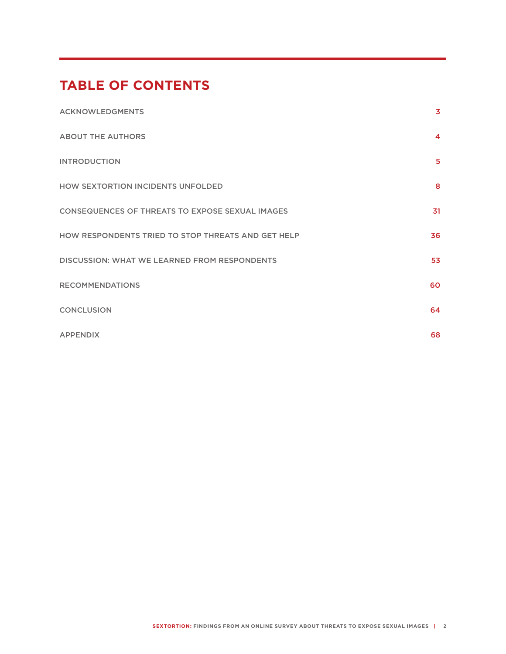# **TABLE OF CONTENTS**

| <b>ACKNOWLEDGMENTS</b>                                 | 3                |
|--------------------------------------------------------|------------------|
| <b>ABOUT THE AUTHORS</b>                               | $\boldsymbol{4}$ |
| <b>INTRODUCTION</b>                                    | 5                |
| HOW SEXTORTION INCIDENTS UNFOLDED                      | 8                |
| <b>CONSEQUENCES OF THREATS TO EXPOSE SEXUAL IMAGES</b> | 31               |
| HOW RESPONDENTS TRIED TO STOP THREATS AND GET HELP     | 36               |
| <b>DISCUSSION: WHAT WE LEARNED FROM RESPONDENTS</b>    | 53               |
| <b>RECOMMENDATIONS</b>                                 | 60               |
| <b>CONCLUSION</b>                                      | 64               |
| <b>APPENDIX</b>                                        | 68               |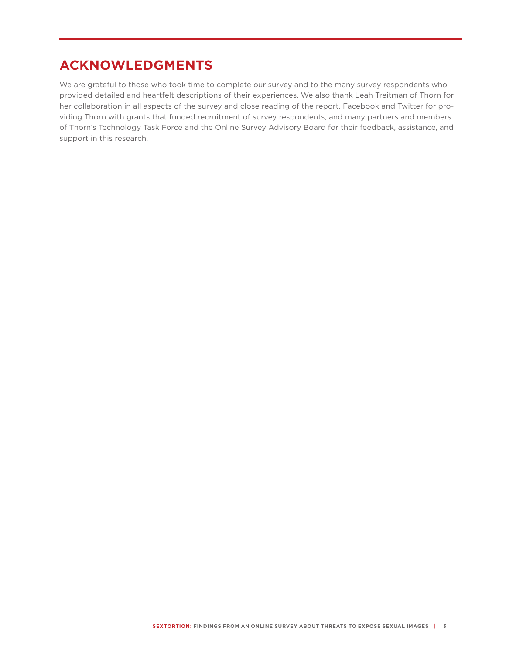# **ACKNOWLEDGMENTS**

We are grateful to those who took time to complete our survey and to the many survey respondents who provided detailed and heartfelt descriptions of their experiences. We also thank Leah Treitman of Thorn for her collaboration in all aspects of the survey and close reading of the report, Facebook and Twitter for providing Thorn with grants that funded recruitment of survey respondents, and many partners and members of Thorn's Technology Task Force and the Online Survey Advisory Board for their feedback, assistance, and support in this research.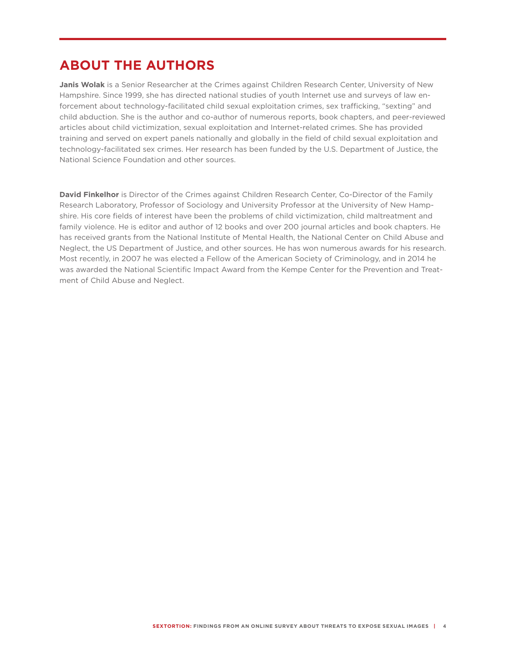# **ABOUT THE AUTHORS**

**Janis Wolak** is a Senior Researcher at the Crimes against Children Research Center, University of New Hampshire. Since 1999, she has directed national studies of youth Internet use and surveys of law enforcement about technology-facilitated child sexual exploitation crimes, sex trafficking, "sexting" and child abduction. She is the author and co-author of numerous reports, book chapters, and peer-reviewed articles about child victimization, sexual exploitation and Internet-related crimes. She has provided training and served on expert panels nationally and globally in the field of child sexual exploitation and technology-facilitated sex crimes. Her research has been funded by the U.S. Department of Justice, the National Science Foundation and other sources.

**David Finkelhor** is Director of the Crimes against Children Research Center, Co-Director of the Family Research Laboratory, Professor of Sociology and University Professor at the University of New Hampshire. His core fields of interest have been the problems of child victimization, child maltreatment and family violence. He is editor and author of 12 books and over 200 journal articles and book chapters. He has received grants from the National Institute of Mental Health, the National Center on Child Abuse and Neglect, the US Department of Justice, and other sources. He has won numerous awards for his research. Most recently, in 2007 he was elected a Fellow of the American Society of Criminology, and in 2014 he was awarded the National Scientific Impact Award from the Kempe Center for the Prevention and Treatment of Child Abuse and Neglect.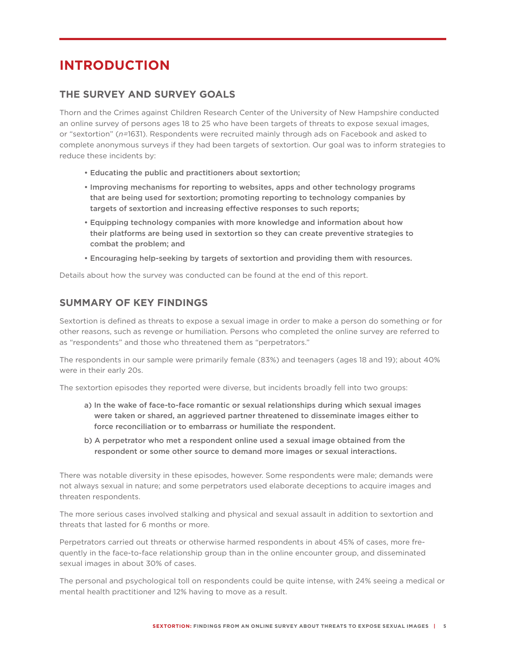# **INTRODUCTION**

# **THE SURVEY AND SURVEY GOALS**

Thorn and the Crimes against Children Research Center of the University of New Hampshire conducted an online survey of persons ages 18 to 25 who have been targets of threats to expose sexual images, or "sextortion" (*n=*1631). Respondents were recruited mainly through ads on Facebook and asked to complete anonymous surveys if they had been targets of sextortion. Our goal was to inform strategies to reduce these incidents by:

- Educating the public and practitioners about sextortion;
- Improving mechanisms for reporting to websites, apps and other technology programs that are being used for sextortion; promoting reporting to technology companies by targets of sextortion and increasing effective responses to such reports;
- Equipping technology companies with more knowledge and information about how their platforms are being used in sextortion so they can create preventive strategies to combat the problem; and
- Encouraging help-seeking by targets of sextortion and providing them with resources.

Details about how the survey was conducted can be found at the end of this report.

# **SUMMARY OF KEY FINDINGS**

Sextortion is defined as threats to expose a sexual image in order to make a person do something or for other reasons, such as revenge or humiliation. Persons who completed the online survey are referred to as "respondents" and those who threatened them as "perpetrators."

The respondents in our sample were primarily female (83%) and teenagers (ages 18 and 19); about 40% were in their early 20s.

The sextortion episodes they reported were diverse, but incidents broadly fell into two groups:

- a) In the wake of face-to-face romantic or sexual relationships during which sexual images were taken or shared, an aggrieved partner threatened to disseminate images either to force reconciliation or to embarrass or humiliate the respondent.
- b) A perpetrator who met a respondent online used a sexual image obtained from the respondent or some other source to demand more images or sexual interactions.

There was notable diversity in these episodes, however. Some respondents were male; demands were not always sexual in nature; and some perpetrators used elaborate deceptions to acquire images and threaten respondents.

The more serious cases involved stalking and physical and sexual assault in addition to sextortion and threats that lasted for 6 months or more.

Perpetrators carried out threats or otherwise harmed respondents in about 45% of cases, more frequently in the face-to-face relationship group than in the online encounter group, and disseminated sexual images in about 30% of cases.

The personal and psychological toll on respondents could be quite intense, with 24% seeing a medical or mental health practitioner and 12% having to move as a result.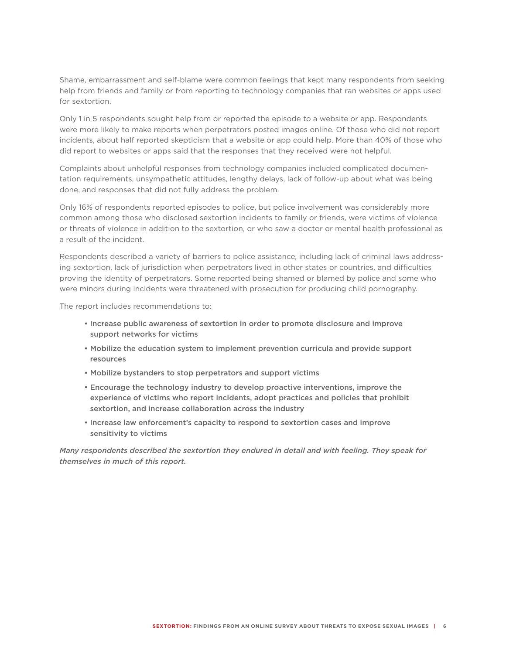Shame, embarrassment and self-blame were common feelings that kept many respondents from seeking help from friends and family or from reporting to technology companies that ran websites or apps used for sextortion.

Only 1 in 5 respondents sought help from or reported the episode to a website or app. Respondents were more likely to make reports when perpetrators posted images online. Of those who did not report incidents, about half reported skepticism that a website or app could help. More than 40% of those who did report to websites or apps said that the responses that they received were not helpful.

Complaints about unhelpful responses from technology companies included complicated documentation requirements, unsympathetic attitudes, lengthy delays, lack of follow-up about what was being done, and responses that did not fully address the problem.

Only 16% of respondents reported episodes to police, but police involvement was considerably more common among those who disclosed sextortion incidents to family or friends, were victims of violence or threats of violence in addition to the sextortion, or who saw a doctor or mental health professional as a result of the incident.

Respondents described a variety of barriers to police assistance, including lack of criminal laws addressing sextortion, lack of jurisdiction when perpetrators lived in other states or countries, and difficulties proving the identity of perpetrators. Some reported being shamed or blamed by police and some who were minors during incidents were threatened with prosecution for producing child pornography.

The report includes recommendations to:

- Increase public awareness of sextortion in order to promote disclosure and improve support networks for victims
- Mobilize the education system to implement prevention curricula and provide support resources
- Mobilize bystanders to stop perpetrators and support victims
- Encourage the technology industry to develop proactive interventions, improve the experience of victims who report incidents, adopt practices and policies that prohibit sextortion, and increase collaboration across the industry
- Increase law enforcement's capacity to respond to sextortion cases and improve sensitivity to victims

*Many respondents described the sextortion they endured in detail and with feeling. They speak for themselves in much of this report.*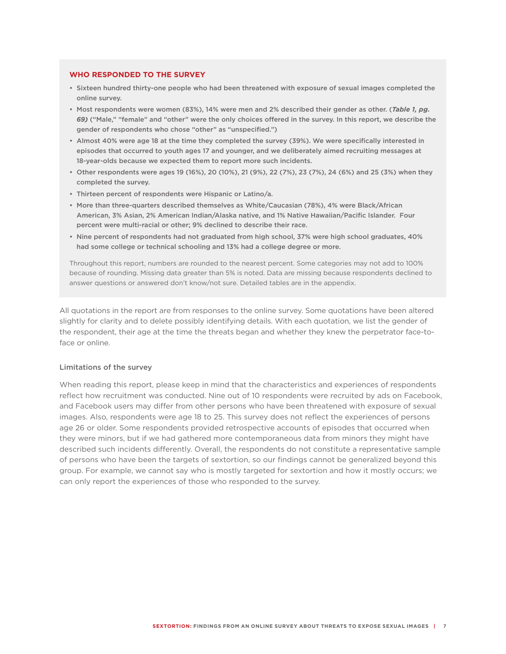#### **WHO RESPONDED TO THE SURVEY**

- • Sixteen hundred thirty-one people who had been threatened with exposure of sexual images completed the online survey.
- • Most respondents were women (83%), 14% were men and 2% described their gender as other. (*Table 1, pg. 69)* ("Male," "female" and "other" were the only choices offered in the survey. In this report, we describe the gender of respondents who chose "other" as "unspecified.")
- • Almost 40% were age 18 at the time they completed the survey (39%). We were specifically interested in episodes that occurred to youth ages 17 and younger, and we deliberately aimed recruiting messages at 18-year-olds because we expected them to report more such incidents.
- • Other respondents were ages 19 (16%), 20 (10%), 21 (9%), 22 (7%), 23 (7%), 24 (6%) and 25 (3%) when they completed the survey.
- • Thirteen percent of respondents were Hispanic or Latino/a.
- • More than three-quarters described themselves as White/Caucasian (78%), 4% were Black/African American, 3% Asian, 2% American Indian/Alaska native, and 1% Native Hawaiian/Pacific Islander. Four percent were multi-racial or other; 9% declined to describe their race.
- • Nine percent of respondents had not graduated from high school, 37% were high school graduates, 40% had some college or technical schooling and 13% had a college degree or more.

Throughout this report, numbers are rounded to the nearest percent. Some categories may not add to 100% because of rounding. Missing data greater than 5% is noted. Data are missing because respondents declined to answer questions or answered don't know/not sure. Detailed tables are in the appendix.

All quotations in the report are from responses to the online survey. Some quotations have been altered slightly for clarity and to delete possibly identifying details. With each quotation, we list the gender of the respondent, their age at the time the threats began and whether they knew the perpetrator face-toface or online.

#### Limitations of the survey

When reading this report, please keep in mind that the characteristics and experiences of respondents reflect how recruitment was conducted. Nine out of 10 respondents were recruited by ads on Facebook, and Facebook users may differ from other persons who have been threatened with exposure of sexual images. Also, respondents were age 18 to 25. This survey does not reflect the experiences of persons age 26 or older. Some respondents provided retrospective accounts of episodes that occurred when they were minors, but if we had gathered more contemporaneous data from minors they might have described such incidents differently. Overall, the respondents do not constitute a representative sample of persons who have been the targets of sextortion, so our findings cannot be generalized beyond this group. For example, we cannot say who is mostly targeted for sextortion and how it mostly occurs; we can only report the experiences of those who responded to the survey.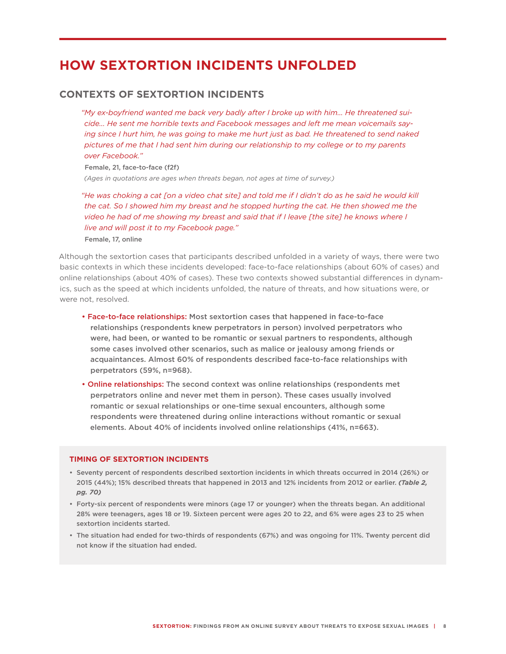# **HOW SEXTORTION INCIDENTS UNFOLDED**

## **CONTEXTS OF SEXTORTION INCIDENTS**

*"My ex-boyfriend wanted me back very badly after I broke up with him… He threatened suicide... He sent me horrible texts and Facebook messages and left me mean voicemails say*ing since I hurt him, he was going to make me hurt just as bad. He threatened to send naked *pictures of me that I had sent him during our relationship to my college or to my parents over Facebook."* 

#### Female, 21, face-to-face (f2f)

*(Ages in quotations are ages when threats began, not ages at time of survey.)*

*"He was choking a cat [on a video chat site] and told me if I didn't do as he said he would kill the cat. So I showed him my breast and he stopped hurting the cat. He then showed me the video he had of me showing my breast and said that if I leave [the site] he knows where I live and will post it to my Facebook page."*  Female, 17, online

Although the sextortion cases that participants described unfolded in a variety of ways, there were two basic contexts in which these incidents developed: face-to-face relationships (about 60% of cases) and online relationships (about 40% of cases). These two contexts showed substantial differences in dynamics, such as the speed at which incidents unfolded, the nature of threats, and how situations were, or were not, resolved.

- Face-to-face relationships: Most sextortion cases that happened in face-to-face relationships (respondents knew perpetrators in person) involved perpetrators who were, had been, or wanted to be romantic or sexual partners to respondents, although some cases involved other scenarios, such as malice or jealousy among friends or acquaintances. Almost 60% of respondents described face-to-face relationships with perpetrators (59%, n=968).
- Online relationships: The second context was online relationships (respondents met perpetrators online and never met them in person). These cases usually involved romantic or sexual relationships or one-time sexual encounters, although some respondents were threatened during online interactions without romantic or sexual elements. About 40% of incidents involved online relationships (41%, n=663).

#### **TIMING OF SEXTORTION INCIDENTS**

- • Seventy percent of respondents described sextortion incidents in which threats occurred in 2014 (26%) or 2015 (44%); 15% described threats that happened in 2013 and 12% incidents from 2012 or earlier. *(Table 2, pg. 70)*
- • Forty-six percent of respondents were minors (age 17 or younger) when the threats began. An additional 28% were teenagers, ages 18 or 19. Sixteen percent were ages 20 to 22, and 6% were ages 23 to 25 when sextortion incidents started.
- • The situation had ended for two-thirds of respondents (67%) and was ongoing for 11%. Twenty percent did not know if the situation had ended.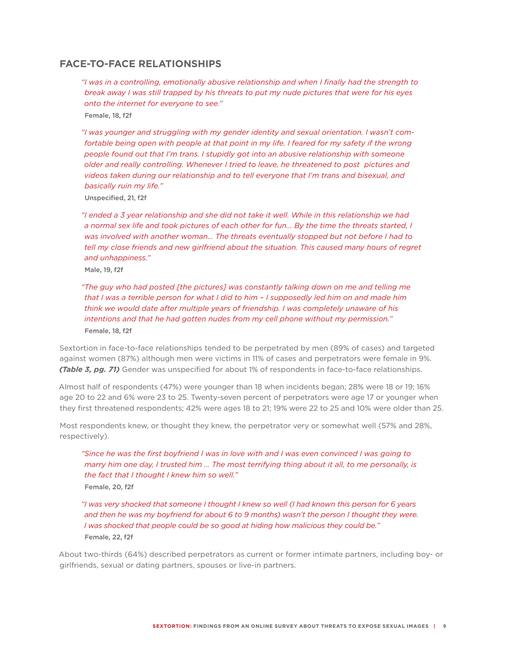## **FACE-TO-FACE RELATIONSHIPS**

*"I was in a controlling, emotionally abusive relationship and when I finally had the strength to break away I was still trapped by his threats to put my nude pictures that were for his eyes onto the internet for everyone to see."* Female, 18, f2f

*"I was younger and struggling with my gender identity and sexual orientation. I wasn't comfortable being open with people at that point in my life. I feared for my safety if the wrong people found out that I'm trans. I stupidly got into an abusive relationship with someone older and really controlling. Whenever I tried to leave, he threatened to post pictures and videos taken during our relationship and to tell everyone that I'm trans and bisexual, and basically ruin my life."*

Unspecified, 21, f2f

*"I ended a 3 year relationship and she did not take it well. While in this relationship we had a normal sex life and took pictures of each other for fun... By the time the threats started, I*  was involved with another woman... The threats eventually stopped but not before I had to *tell my close friends and new girlfriend about the situation. This caused many hours of regret and unhappiness."*

Male, 19, f2f

*"The guy who had posted [the pictures] was constantly talking down on me and telling me that I was a terrible person for what I did to him – I supposedly led him on and made him think we would date after multiple years of friendship. I was completely unaware of his intentions and that he had gotten nudes from my cell phone without my permission."* Female, 18, f2f

Sextortion in face-to-face relationships tended to be perpetrated by men (89% of cases) and targeted against women (87%) although men were victims in 11% of cases and perpetrators were female in 9%. *(Table 3, pg. 71)* Gender was unspecified for about 1% of respondents in face-to-face relationships.

Almost half of respondents (47%) were younger than 18 when incidents began; 28% were 18 or 19; 16% age 20 to 22 and 6% were 23 to 25. Twenty-seven percent of perpetrators were age 17 or younger when they first threatened respondents; 42% were ages 18 to 21; 19% were 22 to 25 and 10% were older than 25.

Most respondents knew, or thought they knew, the perpetrator very or somewhat well (57% and 28%, respectively).

*"Since he was the first boyfriend I was in love with and I was even convinced I was going to marry him one day, I trusted him … The most terrifying thing about it all, to me personally, is the fact that I thought I knew him so well."*  Female, 20, f2f

*"I was very shocked that someone I thought I knew so well (I had known this person for 6 years and then he was my boyfriend for about 6 to 9 months) wasn't the person I thought they were. I was shocked that people could be so good at hiding how malicious they could be."*  Female, 22, f2f

About two-thirds (64%) described perpetrators as current or former intimate partners, including boy- or girlfriends, sexual or dating partners, spouses or live-in partners.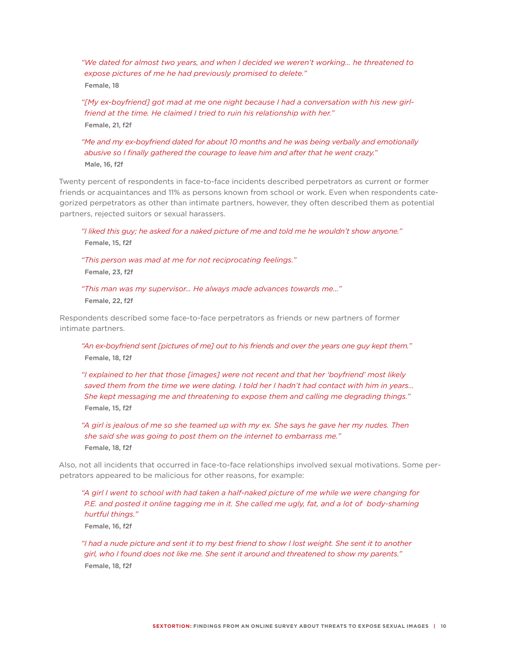*"We dated for almost two years, and when I decided we weren't working… he threatened to expose pictures of me he had previously promised to delete."* Female, 18

*"[My ex-boyfriend] got mad at me one night because I had a conversation with his new girlfriend at the time. He claimed I tried to ruin his relationship with her."* Female, 21, f2f

*"Me and my ex-boyfriend dated for about 10 months and he was being verbally and emotionally abusive so I finally gathered the courage to leave him and after that he went crazy."* Male, 16, f2f

Twenty percent of respondents in face-to-face incidents described perpetrators as current or former friends or acquaintances and 11% as persons known from school or work. Even when respondents categorized perpetrators as other than intimate partners, however, they often described them as potential partners, rejected suitors or sexual harassers.

*"I liked this guy; he asked for a naked picture of me and told me he wouldn't show anyone."* Female, 15, f2f

*"This person was mad at me for not reciprocating feelings."*  Female, 23, f2f

*"This man was my supervisor… He always made advances towards me…"*

Female, 22, f2f

Respondents described some face-to-face perpetrators as friends or new partners of former intimate partners.

*"An ex-boyfriend sent [pictures of me] out to his friends and over the years one guy kept them."* Female, 18, f2f

*"I explained to her that those [images] were not recent and that her 'boyfriend' most likely saved them from the time we were dating. I told her I hadn't had contact with him in years… She kept messaging me and threatening to expose them and calling me degrading things."* Female, 15, f2f

*"A girl is jealous of me so she teamed up with my ex. She says he gave her my nudes. Then she said she was going to post them on the internet to embarrass me."* Female, 18, f2f

Also, not all incidents that occurred in face-to-face relationships involved sexual motivations. Some perpetrators appeared to be malicious for other reasons, for example:

*"A girl I went to school with had taken a half-naked picture of me while we were changing for P.E. and posted it online tagging me in it. She called me ugly, fat, and a lot of body-shaming hurtful things."*

Female, 16, f2f

*"I had a nude picture and sent it to my best friend to show I lost weight. She sent it to another girl, who I found does not like me. She sent it around and threatened to show my parents."* Female, 18, f2f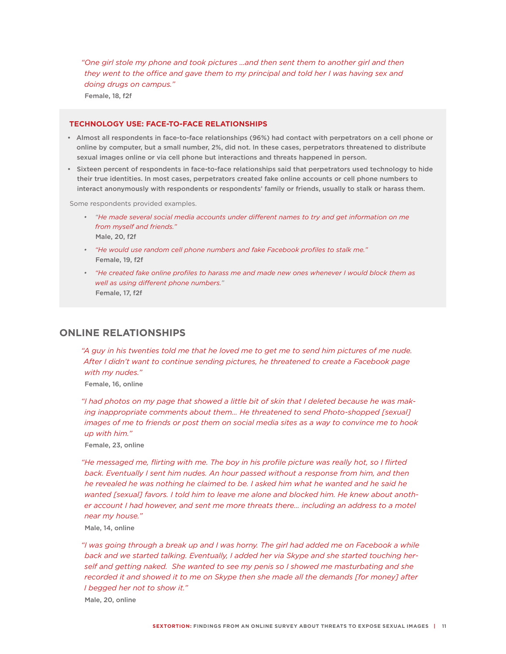*"One girl stole my phone and took pictures …and then sent them to another girl and then they went to the office and gave them to my principal and told her I was having sex and doing drugs on campus."* Female, 18, f2f

#### **TECHNOLOGY USE: FACE-TO-FACE RELATIONSHIPS**

- •  Almost all respondents in face-to-face relationships (96%) had contact with perpetrators on a cell phone or online by computer, but a small number, 2%, did not. In these cases, perpetrators threatened to distribute sexual images online or via cell phone but interactions and threats happened in person.
- •  Sixteen percent of respondents in face-to-face relationships said that perpetrators used technology to hide their true identities. In most cases, perpetrators created fake online accounts or cell phone numbers to interact anonymously with respondents or respondents' family or friends, usually to stalk or harass them.

Some respondents provided examples.

- *•  "He made several social media accounts under different names to try and get information on me from myself and friends."* Male, 20, f2f
- *•  "He would use random cell phone numbers and fake Facebook profiles to stalk me."* Female, 19, f2f
- *•  "He created fake online profiles to harass me and made new ones whenever I would block them as well as using different phone numbers."* Female, 17, f2f

## **ONLINE RELATIONSHIPS**

*"A guy in his twenties told me that he loved me to get me to send him pictures of me nude. After I didn't want to continue sending pictures, he threatened to create a Facebook page with my nudes."* 

Female, 16, online

*"I had photos on my page that showed a little bit of skin that I deleted because he was making inappropriate comments about them... He threatened to send Photo-shopped [sexual] images of me to friends or post them on social media sites as a way to convince me to hook up with him."*

Female, 23, online

*"He messaged me, flirting with me. The boy in his profile picture was really hot, so I flirted back. Eventually I sent him nudes. An hour passed without a response from him, and then he revealed he was nothing he claimed to be. I asked him what he wanted and he said he wanted [sexual] favors. I told him to leave me alone and blocked him. He knew about another account I had however, and sent me more threats there… including an address to a motel near my house."*

Male, 14, online

*"I was going through a break up and I was horny. The girl had added me on Facebook a while back and we started talking. Eventually, I added her via Skype and she started touching herself and getting naked. She wanted to see my penis so I showed me masturbating and she recorded it and showed it to me on Skype then she made all the demands [for money] after I begged her not to show it."* Male, 20, online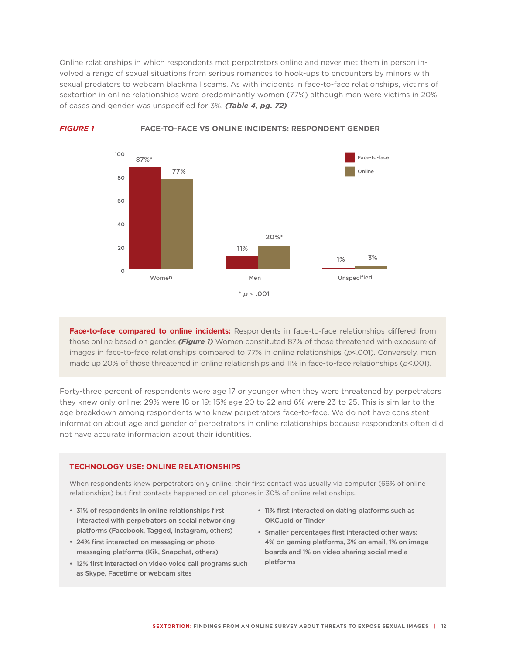Online relationships in which respondents met perpetrators online and never met them in person involved a range of sexual situations from serious romances to hook-ups to encounters by minors with sexual predators to webcam blackmail scams. As with incidents in face-to-face relationships, victims of sextortion in online relationships were predominantly women (77%) although men were victims in 20% of cases and gender was unspecified for 3%. *(Table 4, pg. 72)*



*FIGURE 1* **FACE-TO-FACE VS ONLINE INCIDENTS: RESPONDENT GENDER**

**Face-to-face compared to online incidents:** Respondents in face-to-face relationships differed from those online based on gender. *(Figure 1)* Women constituted 87% of those threatened with exposure of images in face-to-face relationships compared to 77% in online relationships (*p*<.001). Conversely, men made up 20% of those threatened in online relationships and 11% in face-to-face relationships (*p*<.001).

Forty-three percent of respondents were age 17 or younger when they were threatened by perpetrators they knew only online; 29% were 18 or 19; 15% age 20 to 22 and 6% were 23 to 25. This is similar to the age breakdown among respondents who knew perpetrators face-to-face. We do not have consistent information about age and gender of perpetrators in online relationships because respondents often did not have accurate information about their identities.

#### **TECHNOLOGY USE: ONLINE RELATIONSHIPS**

When respondents knew perpetrators only online, their first contact was usually via computer (66% of online relationships) but first contacts happened on cell phones in 30% of online relationships.

- 31% of respondents in online relationships first interacted with perpetrators on social networking platforms (Facebook, Tagged, Instagram, others)
- 24% first interacted on messaging or photo messaging platforms (Kik, Snapchat, others)
- 12% first interacted on video voice call programs such as Skype, Facetime or webcam sites
- 11% first interacted on dating platforms such as OKCupid or Tinder
- • Smaller percentages first interacted other ways: 4% on gaming platforms, 3% on email, 1% on image boards and 1% on video sharing social media platforms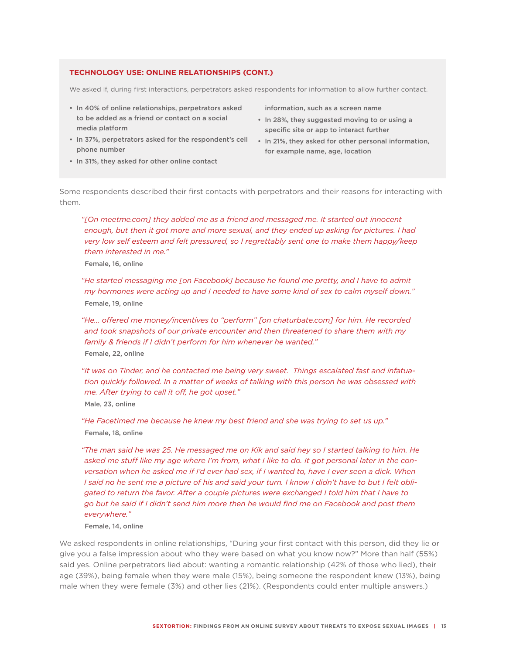#### **TECHNOLOGY USE: ONLINE RELATIONSHIPS (CONT.)**

We asked if, during first interactions, perpetrators asked respondents for information to allow further contact.

- In 40% of online relationships, perpetrators asked to be added as a friend or contact on a social media platform
- • In 37%, perpetrators asked for the respondent's cell phone number
- In 31%, they asked for other online contact

information, such as a screen name

- In 28%, they suggested moving to or using a specific site or app to interact further
- In 21%, they asked for other personal information, for example name, age, location

Some respondents described their first contacts with perpetrators and their reasons for interacting with them.

*"[On meetme.com] they added me as a friend and messaged me. It started out innocent enough, but then it got more and more sexual, and they ended up asking for pictures. I had very low self esteem and felt pressured, so I regrettably sent one to make them happy/keep them interested in me."* 

Female, 16, online

*"He started messaging me [on Facebook] because he found me pretty, and I have to admit my hormones were acting up and I needed to have some kind of sex to calm myself down."*  Female, 19, online

*"He… offered me money/incentives to "perform" [on chaturbate.com] for him. He recorded and took snapshots of our private encounter and then threatened to share them with my family & friends if I didn't perform for him whenever he wanted."* Female, 22, online

*"It was on Tinder, and he contacted me being very sweet. Things escalated fast and infatuation quickly followed. In a matter of weeks of talking with this person he was obsessed with me. After trying to call it off, he got upset."* Male, 23, online

*"He Facetimed me because he knew my best friend and she was trying to set us up."* Female, 18, online

*"The man said he was 25. He messaged me on Kik and said hey so I started talking to him. He asked me stuff like my age where I'm from, what I like to do. It got personal later in the conversation when he asked me if I'd ever had sex, if I wanted to, have I ever seen a dick. When I said no he sent me a picture of his and said your turn. I know I didn't have to but I felt obligated to return the favor. After a couple pictures were exchanged I told him that I have to go but he said if I didn't send him more then he would find me on Facebook and post them everywhere."* 

#### Female, 14, online

We asked respondents in online relationships, "During your first contact with this person, did they lie or give you a false impression about who they were based on what you know now?" More than half (55%) said yes. Online perpetrators lied about: wanting a romantic relationship (42% of those who lied), their age (39%), being female when they were male (15%), being someone the respondent knew (13%), being male when they were female (3%) and other lies (21%). (Respondents could enter multiple answers.)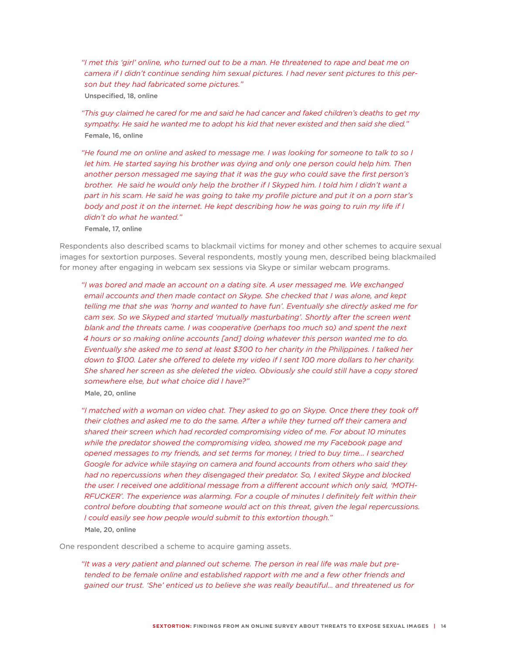*"I met this 'girl' online, who turned out to be a man. He threatened to rape and beat me on camera if I didn't continue sending him sexual pictures. I had never sent pictures to this person but they had fabricated some pictures."*  Unspecified, 18, online

*"This guy claimed he cared for me and said he had cancer and faked children's deaths to get my sympathy. He said he wanted me to adopt his kid that never existed and then said she died."*  Female, 16, online

*"He found me on online and asked to message me. I was looking for someone to talk to so I*  let him. He started saying his brother was dying and only one person could help him. Then *another person messaged me saying that it was the guy who could save the first person's brother. He said he would only help the brother if I Skyped him. I told him I didn't want a part in his scam. He said he was going to take my profile picture and put it on a porn star's body and post it on the internet. He kept describing how he was going to ruin my life if I didn't do what he wanted."* 

Female, 17, online

Respondents also described scams to blackmail victims for money and other schemes to acquire sexual images for sextortion purposes. Several respondents, mostly young men, described being blackmailed for money after engaging in webcam sex sessions via Skype or similar webcam programs.

*"I was bored and made an account on a dating site. A user messaged me. We exchanged email accounts and then made contact on Skype. She checked that I was alone, and kept telling me that she was 'horny and wanted to have fun'. Eventually she directly asked me for cam sex. So we Skyped and started 'mutually masturbating'. Shortly after the screen went blank and the threats came. I was cooperative (perhaps too much so) and spent the next 4 hours or so making online accounts [and] doing whatever this person wanted me to do. Eventually she asked me to send at least \$300 to her charity in the Philippines. I talked her down to \$100. Later she offered to delete my video if I sent 100 more dollars to her charity.*  She shared her screen as she deleted the video. Obviously she could still have a copy stored *somewhere else, but what choice did I have?"*  Male, 20, online

*"I matched with a woman on video chat. They asked to go on Skype. Once there they took off their clothes and asked me to do the same. After a while they turned off their camera and shared their screen which had recorded compromising video of me. For about 10 minutes while the predator showed the compromising video, showed me my Facebook page and opened messages to my friends, and set terms for money, I tried to buy time… I searched*  Google for advice while staying on camera and found accounts from others who said they *had no repercussions when they disengaged their predator. So, I exited Skype and blocked the user. I received one additional message from a different account which only said, 'MOTH-RFUCKER'. The experience was alarming. For a couple of minutes I definitely felt within their control before doubting that someone would act on this threat, given the legal repercussions. I could easily see how people would submit to this extortion though."*  Male, 20, online

One respondent described a scheme to acquire gaming assets.

*"It was a very patient and planned out scheme. The person in real life was male but pretended to be female online and established rapport with me and a few other friends and gained our trust. 'She' enticed us to believe she was really beautiful… and threatened us for*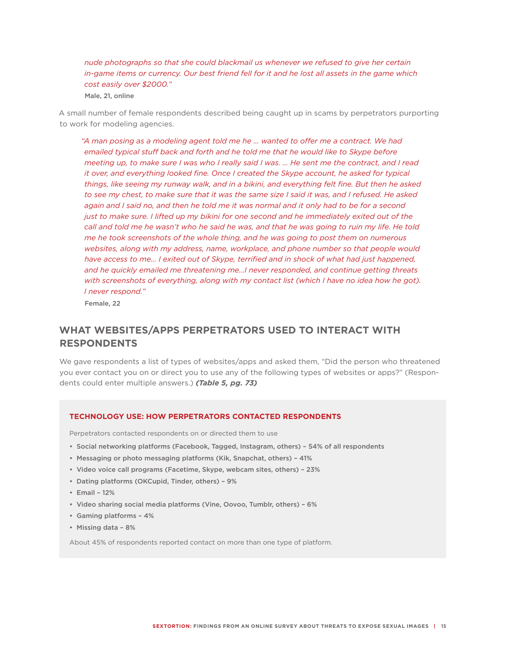*nude photographs so that she could blackmail us whenever we refused to give her certain in-game items or currency. Our best friend fell for it and he lost all assets in the game which cost easily over \$2000."* 

Male, 21, online

A small number of female respondents described being caught up in scams by perpetrators purporting to work for modeling agencies.

*"A man posing as a modeling agent told me he … wanted to offer me a contract. We had emailed typical stuff back and forth and he told me that he would like to Skype before meeting up, to make sure I was who I really said I was. … He sent me the contract, and I read it over, and everything looked fine. Once I created the Skype account, he asked for typical things, like seeing my runway walk, and in a bikini, and everything felt fine. But then he asked to see my chest, to make sure that it was the same size I said it was, and I refused. He asked again and I said no, and then he told me it was normal and it only had to be for a second just to make sure. I lifted up my bikini for one second and he immediately exited out of the call and told me he wasn't who he said he was, and that he was going to ruin my life. He told me he took screenshots of the whole thing, and he was going to post them on numerous websites, along with my address, name, workplace, and phone number so that people would*  have access to me... I exited out of Skype, terrified and in shock of what had just happened, *and he quickly emailed me threatening me…I never responded, and continue getting threats*  with screenshots of everything, along with my contact list (which I have no idea how he got). *I never respond."* 

Female, 22

# **WHAT WEBSITES/APPS PERPETRATORS USED TO INTERACT WITH RESPONDENTS**

We gave respondents a list of types of websites/apps and asked them, "Did the person who threatened you ever contact you on or direct you to use any of the following types of websites or apps?" (Respondents could enter multiple answers.) *(Table 5, pg. 73)*

#### **TECHNOLOGY USE: HOW PERPETRATORS CONTACTED RESPONDENTS**

Perpetrators contacted respondents on or directed them to use

- • Social networking platforms (Facebook, Tagged, Instagram, others) 54% of all respondents
- • Messaging or photo messaging platforms (Kik, Snapchat, others) 41%
- • Video voice call programs (Facetime, Skype, webcam sites, others) 23%
- • Dating platforms (OKCupid, Tinder, others) 9%
- $\cdot$  Email 12%
- • Video sharing social media platforms (Vine, Oovoo, Tumblr, others) 6%
- • Gaming platforms 4%
- • Missing data 8%

About 45% of respondents reported contact on more than one type of platform.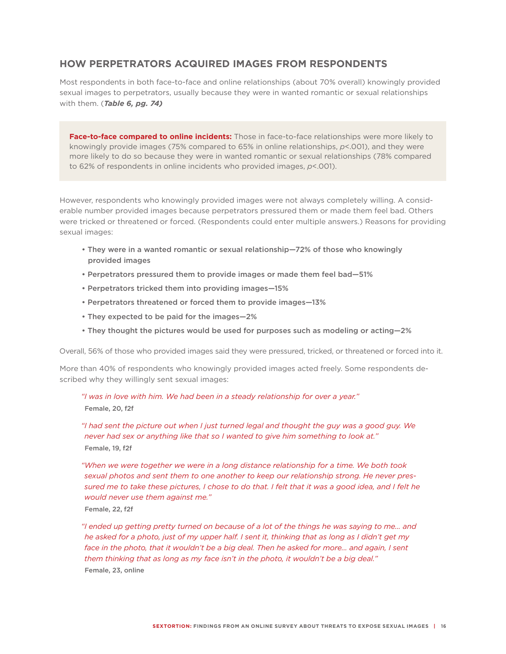# **HOW PERPETRATORS ACQUIRED IMAGES FROM RESPONDENTS**

Most respondents in both face-to-face and online relationships (about 70% overall) knowingly provided sexual images to perpetrators, usually because they were in wanted romantic or sexual relationships with them. (*Table 6, pg. 74)*

**Face-to-face compared to online incidents:** Those in face-to-face relationships were more likely to knowingly provide images (75% compared to 65% in online relationships, *p*<.001), and they were more likely to do so because they were in wanted romantic or sexual relationships (78% compared to 62% of respondents in online incidents who provided images, *p*<.001).

However, respondents who knowingly provided images were not always completely willing. A considerable number provided images because perpetrators pressured them or made them feel bad. Others were tricked or threatened or forced. (Respondents could enter multiple answers.) Reasons for providing sexual images:

- They were in a wanted romantic or sexual relationship—72% of those who knowingly provided images
- Perpetrators pressured them to provide images or made them feel bad—51%
- Perpetrators tricked them into providing images—15%
- Perpetrators threatened or forced them to provide images—13%
- They expected to be paid for the images—2%
- They thought the pictures would be used for purposes such as modeling or acting—2%

Overall, 56% of those who provided images said they were pressured, tricked, or threatened or forced into it.

More than 40% of respondents who knowingly provided images acted freely. Some respondents described why they willingly sent sexual images:

*"I was in love with him. We had been in a steady relationship for over a year."*  Female, 20, f2f

*"I had sent the picture out when I just turned legal and thought the guy was a good guy. We never had sex or anything like that so I wanted to give him something to look at."* Female, 19, f2f

*"When we were together we were in a long distance relationship for a time. We both took sexual photos and sent them to one another to keep our relationship strong. He never pressured me to take these pictures, I chose to do that. I felt that it was a good idea, and I felt he would never use them against me."* 

Female, 22, f2f

*"I ended up getting pretty turned on because of a lot of the things he was saying to me... and he asked for a photo, just of my upper half. I sent it, thinking that as long as I didn't get my*  face in the photo, that it wouldn't be a big deal. Then he asked for more... and again, I sent *them thinking that as long as my face isn't in the photo, it wouldn't be a big deal."*  Female, 23, online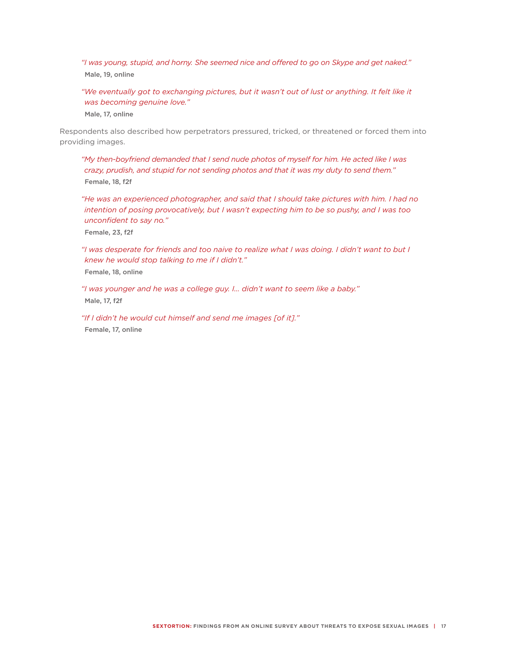*"I was young, stupid, and horny. She seemed nice and offered to go on Skype and get naked."*  Male, 19, online

*"We eventually got to exchanging pictures, but it wasn't out of lust or anything. It felt like it was becoming genuine love."* 

Male, 17, online

Respondents also described how perpetrators pressured, tricked, or threatened or forced them into providing images.

*"My then-boyfriend demanded that I send nude photos of myself for him. He acted like I was crazy, prudish, and stupid for not sending photos and that it was my duty to send them."*  Female, 18, f2f

*"He was an experienced photographer, and said that I should take pictures with him. I had no intention of posing provocatively, but I wasn't expecting him to be so pushy, and I was too unconfident to say no."* 

Female, 23, f2f

*"I was desperate for friends and too naive to realize what I was doing. I didn't want to but I knew he would stop talking to me if I didn't."*  Female, 18, online

*"I was younger and he was a college guy. I… didn't want to seem like a baby."*  Male, 17, f2f

*"If I didn't he would cut himself and send me images [of it]."*  Female, 17, online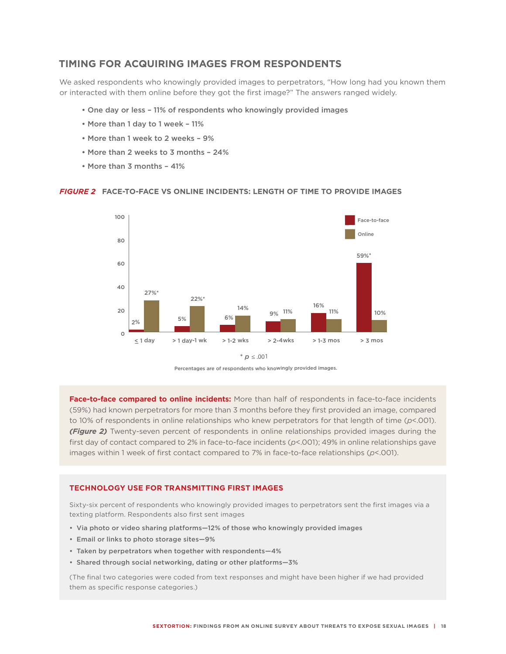## **TIMING FOR ACQUIRING IMAGES FROM RESPONDENTS**

We asked respondents who knowingly provided images to perpetrators, "How long had you known them or interacted with them online before they got the first image?" The answers ranged widely.

- One day or less 11% of respondents who knowingly provided images
- More than 1 day to 1 week 11%
- More than 1 week to 2 weeks 9%
- More than 2 weeks to 3 months 24%
- More than 3 months 41%

#### *FIGURE 2* **FACE-TO-FACE VS ONLINE INCIDENTS: LENGTH OF TIME TO PROVIDE IMAGES**



 $*$  *p*  $\leq .001$ 

Percentages are of respondents who knowingly provided images.

**Face-to-face compared to online incidents:** More than half of respondents in face-to-face incidents (59%) had known perpetrators for more than 3 months before they first provided an image, compared to 10% of respondents in online relationships who knew perpetrators for that length of time (*p*<.001). *(Figure 2)* Twenty-seven percent of respondents in online relationships provided images during the first day of contact compared to 2% in face-to-face incidents (*p*<.001); 49% in online relationships gave images within 1 week of first contact compared to 7% in face-to-face relationships (*p*<.001).

#### **TECHNOLOGY USE FOR TRANSMITTING FIRST IMAGES**

Sixty-six percent of respondents who knowingly provided images to perpetrators sent the first images via a texting platform. Respondents also first sent images

- • Via photo or video sharing platforms—12% of those who knowingly provided images
- • Email or links to photo storage sites—9%
- • Taken by perpetrators when together with respondents—4%
- • Shared through social networking, dating or other platforms—3%

(The final two categories were coded from text responses and might have been higher if we had provided them as specific response categories.)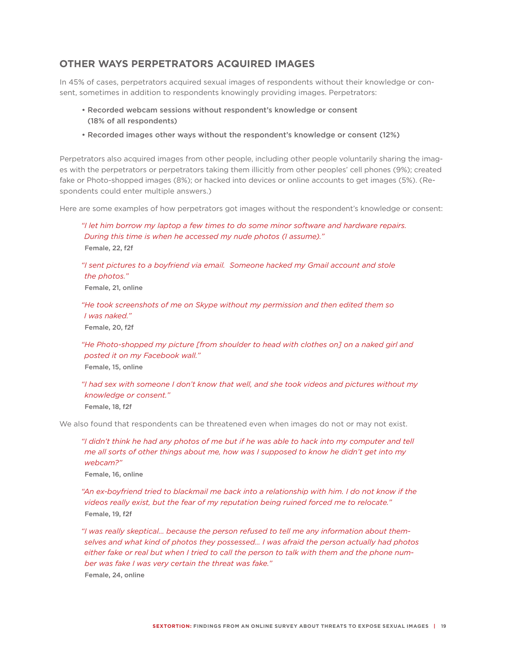## **OTHER WAYS PERPETRATORS ACQUIRED IMAGES**

In 45% of cases, perpetrators acquired sexual images of respondents without their knowledge or consent, sometimes in addition to respondents knowingly providing images. Perpetrators:

- Recorded webcam sessions without respondent's knowledge or consent (18% of all respondents)
- Recorded images other ways without the respondent's knowledge or consent (12%)

Perpetrators also acquired images from other people, including other people voluntarily sharing the images with the perpetrators or perpetrators taking them illicitly from other peoples' cell phones (9%); created fake or Photo-shopped images (8%); or hacked into devices or online accounts to get images (5%). (Respondents could enter multiple answers.)

Here are some examples of how perpetrators got images without the respondent's knowledge or consent:

### *"I let him borrow my laptop a few times to do some minor software and hardware repairs. During this time is when he accessed my nude photos (I assume)."*  Female, 22, f2f

*"I sent pictures to a boyfriend via email. Someone hacked my Gmail account and stole the photos."*

Female, 21, online

*"He took screenshots of me on Skype without my permission and then edited them so I was naked."* 

Female, 20, f2f

*"He Photo-shopped my picture [from shoulder to head with clothes on] on a naked girl and posted it on my Facebook wall."* 

Female, 15, online

*"I had sex with someone I don't know that well, and she took videos and pictures without my knowledge or consent."* 

Female, 18, f2f

We also found that respondents can be threatened even when images do not or may not exist.

*"I didn't think he had any photos of me but if he was able to hack into my computer and tell me all sorts of other things about me, how was I supposed to know he didn't get into my webcam?"* 

Female, 16, online

*"An ex-boyfriend tried to blackmail me back into a relationship with him. I do not know if the videos really exist, but the fear of my reputation being ruined forced me to relocate."*  Female, 19, f2f

*"I was really skeptical… because the person refused to tell me any information about themselves and what kind of photos they possessed… I was afraid the person actually had photos either fake or real but when I tried to call the person to talk with them and the phone number was fake I was very certain the threat was fake."* 

Female, 24, online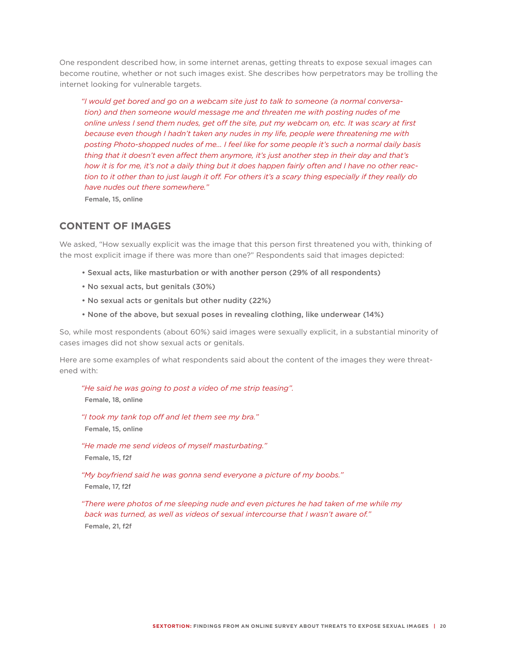One respondent described how, in some internet arenas, getting threats to expose sexual images can become routine, whether or not such images exist. She describes how perpetrators may be trolling the internet looking for vulnerable targets.

*"I would get bored and go on a webcam site just to talk to someone (a normal conversation) and then someone would message me and threaten me with posting nudes of me online unless I send them nudes, get off the site, put my webcam on, etc. It was scary at first because even though I hadn't taken any nudes in my life, people were threatening me with posting Photo-shopped nudes of me… I feel like for some people it's such a normal daily basis thing that it doesn't even affect them anymore, it's just another step in their day and that's how it is for me, it's not a daily thing but it does happen fairly often and I have no other reaction to it other than to just laugh it off. For others it's a scary thing especially if they really do have nudes out there somewhere."* 

Female, 15, online

# **CONTENT OF IMAGES**

We asked, "How sexually explicit was the image that this person first threatened you with, thinking of the most explicit image if there was more than one?" Respondents said that images depicted:

- Sexual acts, like masturbation or with another person (29% of all respondents)
- No sexual acts, but genitals (30%)
- No sexual acts or genitals but other nudity (22%)
- None of the above, but sexual poses in revealing clothing, like underwear (14%)

So, while most respondents (about 60%) said images were sexually explicit, in a substantial minority of cases images did not show sexual acts or genitals.

Here are some examples of what respondents said about the content of the images they were threatened with:

*"He said he was going to post a video of me strip teasing".*  Female, 18, online *"I took my tank top off and let them see my bra."*  Female, 15, online *"He made me send videos of myself masturbating."*  Female, 15, f2f

*"My boyfriend said he was gonna send everyone a picture of my boobs."*  Female, 17, f2f

*"There were photos of me sleeping nude and even pictures he had taken of me while my back was turned, as well as videos of sexual intercourse that I wasn't aware of."*  Female, 21, f2f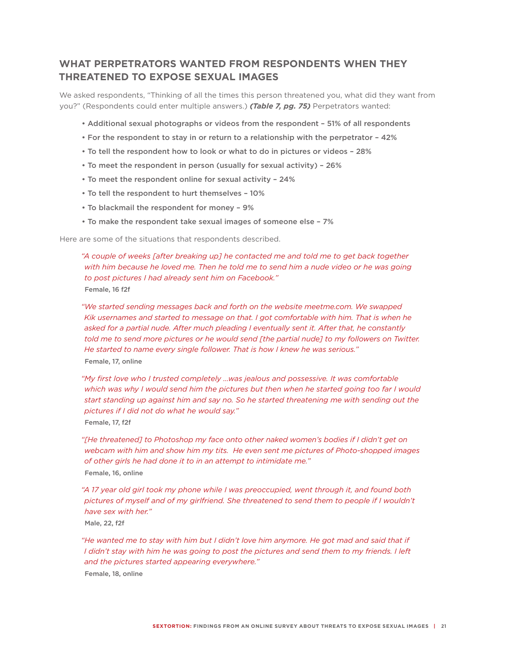# **WHAT PERPETRATORS WANTED FROM RESPONDENTS WHEN THEY THREATENED TO EXPOSE SEXUAL IMAGES**

We asked respondents, "Thinking of all the times this person threatened you, what did they want from you?" (Respondents could enter multiple answers.) *(Table 7, pg. 75)* Perpetrators wanted:

- Additional sexual photographs or videos from the respondent 51% of all respondents
- For the respondent to stay in or return to a relationship with the perpetrator 42%
- To tell the respondent how to look or what to do in pictures or videos 28%
- To meet the respondent in person (usually for sexual activity) 26%
- To meet the respondent online for sexual activity 24%
- To tell the respondent to hurt themselves 10%
- To blackmail the respondent for money 9%
- To make the respondent take sexual images of someone else 7%

Here are some of the situations that respondents described.

*"A couple of weeks [after breaking up] he contacted me and told me to get back together with him because he loved me. Then he told me to send him a nude video or he was going to post pictures I had already sent him on Facebook."*  Female, 16 f2f

*"We started sending messages back and forth on the website meetme.com. We swapped Kik usernames and started to message on that. I got comfortable with him. That is when he asked for a partial nude. After much pleading I eventually sent it. After that, he constantly told me to send more pictures or he would send [the partial nude] to my followers on Twitter. He started to name every single follower. That is how I knew he was serious."*  Female, 17, online

- *"My first love who I trusted completely …was jealous and possessive. It was comfortable which was why I would send him the pictures but then when he started going too far I would start standing up against him and say no. So he started threatening me with sending out the pictures if I did not do what he would say."*  Female, 17, f2f
- *"[He threatened] to Photoshop my face onto other naked women's bodies if I didn't get on webcam with him and show him my tits. He even sent me pictures of Photo-shopped images of other girls he had done it to in an attempt to intimidate me."*  Female, 16, online
- *"A 17 year old girl took my phone while I was preoccupied, went through it, and found both pictures of myself and of my girlfriend. She threatened to send them to people if I wouldn't have sex with her."*

Male, 22, f2f

"He wanted me to stay with him but I didn't love him anymore. He got mad and said that if *I didn't stay with him he was going to post the pictures and send them to my friends. I left and the pictures started appearing everywhere."*  Female, 18, online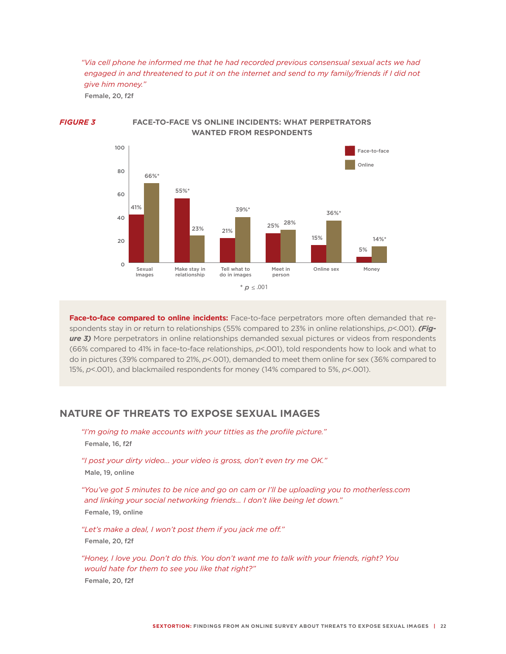*"Via cell phone he informed me that he had recorded previous consensual sexual acts we had engaged in and threatened to put it on the internet and send to my family/friends if I did not give him money."* 

Female, 20, f2f



#### *FIGURE 3* **FACE-TO-FACE VS ONLINE INCIDENTS: WHAT PERPETRATORS WANTED FROM RESPONDENTS**

**Face-to-face compared to online incidents:** Face-to-face perpetrators more often demanded that respondents stay in or return to relationships (55% compared to 23% in online relationships, *p*<.001). *(Fig***ure 3)** More perpetrators in online relationships demanded sexual pictures or videos from respondents (66% compared to 41% in face-to-face relationships, *p*<.001), told respondents how to look and what to do in pictures (39% compared to 21%, *p*<.001), demanded to meet them online for sex (36% compared to 15%, *p*<.001), and blackmailed respondents for money (14% compared to 5%, *p*<.001).

# **NATURE OF THREATS TO EXPOSE SEXUAL IMAGES**

*"I'm going to make accounts with your titties as the profile picture."*  Female, 16, f2f

*"I post your dirty video... your video is gross, don't even try me OK."*  Male, 19, online

*"You've got 5 minutes to be nice and go on cam or I'll be uploading you to motherless.com and linking your social networking friends... I don't like being let down."*  Female, 19, online

*"Let's make a deal, I won't post them if you jack me off."*  Female, 20, f2f

*"Honey, I love you. Don't do this. You don't want me to talk with your friends, right? You would hate for them to see you like that right?"* Female, 20, f2f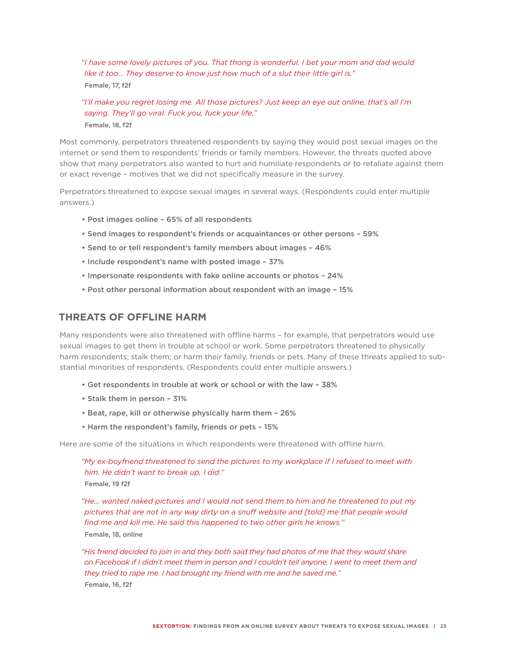*"I have some lovely pictures of you. That thong is wonderful. I bet your mom and dad would like it too… They deserve to know just how much of a slut their little girl is."*  Female, 17, f2f

#### *"I'll make you regret losing me. All those pictures? Just keep an eye out online, that's all I'm saying. They'll go viral. Fuck you, fuck your life."*  Female, 18, f2f

Most commonly, perpetrators threatened respondents by saying they would post sexual images on the internet or send them to respondents' friends or family members. However, the threats quoted above show that many perpetrators also wanted to hurt and humiliate respondents or to retaliate against them or exact revenge – motives that we did not specifically measure in the survey.

Perpetrators threatened to expose sexual images in several ways. (Respondents could enter multiple answers.)

- Post images online 65% of all respondents
- Send images to respondent's friends or acquaintances or other persons 59%
- Send to or tell respondent's family members about images 46%
- Include respondent's name with posted image 37%
- Impersonate respondents with fake online accounts or photos 24%
- Post other personal information about respondent with an image 15%

## **THREATS OF OFFLINE HARM**

Many respondents were also threatened with offline harms – for example, that perpetrators would use sexual images to get them in trouble at school or work. Some perpetrators threatened to physically harm respondents; stalk them; or harm their family, friends or pets. Many of these threats applied to substantial minorities of respondents. (Respondents could enter multiple answers.)

- Get respondents in trouble at work or school or with the law 38%
- Stalk them in person 31%
- Beat, rape, kill or otherwise physically harm them 26%
- Harm the respondent's family, friends or pets 15%

Here are some of the situations in which respondents were threatened with offline harm.

*"My ex-boyfriend threatened to send the pictures to my workplace if I refused to meet with him. He didn't want to break up, I did."*  Female, 19 f2f

*"He… wanted naked pictures and I would not send them to him and he threatened to put my pictures that are not in any way dirty on a snuff website and [told] me that people would find me and kill me. He said this happened to two other girls he knows."*  Female, 18, online

*"His friend decided to join in and they both said they had photos of me that they would share on Facebook if I didn't meet them in person and I couldn't tell anyone, I went to meet them and they tried to rape me. I had brought my friend with me and he saved me."*  Female, 16, f2f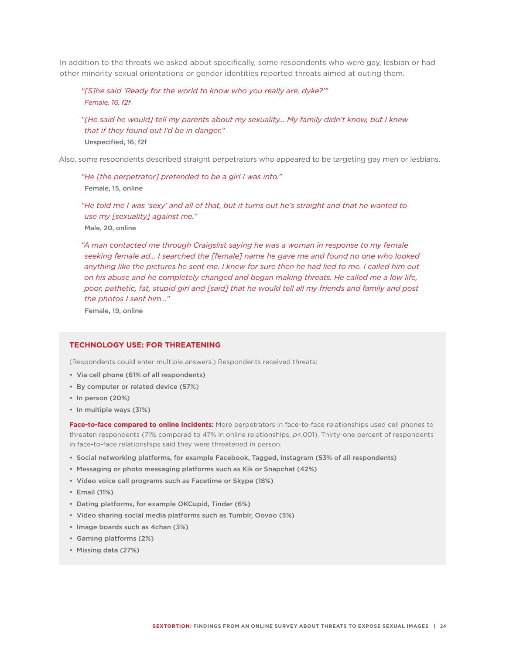In addition to the threats we asked about specifically, some respondents who were gay, lesbian or had other minority sexual orientations or gender identities reported threats aimed at outing them.

#### *"[S]he said 'Ready for the world to know who you really are, dyke?'" Female, 16, f2f*

*"[He said he would] tell my parents about my sexuality... My family didn't know, but I knew that if they found out I'd be in danger."*  Unspecified, 16, f2f

Also, some respondents described straight perpetrators who appeared to be targeting gay men or lesbians.

*"He [the perpetrator] pretended to be a girl I was into."*  Female, 15, online

*"He told me I was 'sexy' and all of that, but it turns out he's straight and that he wanted to use my [sexuality] against me."*  Male, 20, online

*"A man contacted me through Craigslist saying he was a woman in response to my female seeking female ad… I searched the [female] name he gave me and found no one who looked*  anything like the pictures he sent me. I knew for sure then he had lied to me. I called him out *on his abuse and he completely changed and began making threats. He called me a low life, poor, pathetic, fat, stupid girl and [said] that he would tell all my friends and family and post the photos I sent him…"*

Female, 19, online

#### **TECHNOLOGY USE: FOR THREATENING**

(Respondents could enter multiple answers.) Respondents received threats:

- • Via cell phone (61% of all respondents)
- • By computer or related device (57%)
- In person (20%)
- • In multiple ways (31%)

**Face-to-face compared to online incidents:** More perpetrators in face-to-face relationships used cell phones to threaten respondents (71% compared to 47% in online relationships, *p*<.001). Thirty-one percent of respondents in face-to-face relationships said they were threatened in person.

- • Social networking platforms, for example Facebook, Tagged, Instagram (53% of all respondents)
- • Messaging or photo messaging platforms such as Kik or Snapchat (42%)
- • Video voice call programs such as Facetime or Skype (18%)
- • Email (11%)
- • Dating platforms, for example OKCupid, Tinder (6%)
- • Video sharing social media platforms such as Tumblr, Oovoo (5%)
- Image boards such as 4chan (3%)
- • Gaming platforms (2%)
- • Missing data (27%)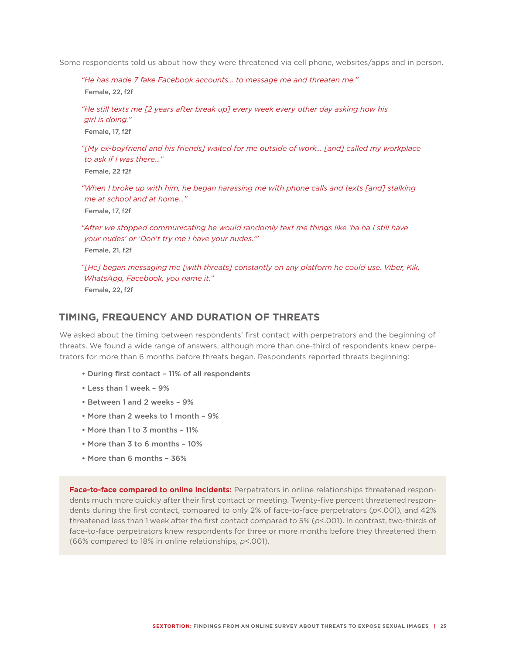Some respondents told us about how they were threatened via cell phone, websites/apps and in person.

*"He has made 7 fake Facebook accounts… to message me and threaten me."*  Female, 22, f2f

*"He still texts me [2 years after break up] every week every other day asking how his girl is doing."*  Female, 17, f2f

*"[My ex-boyfriend and his friends] waited for me outside of work… [and] called my workplace to ask if I was there..."* Female, 22 f2f

*"When I broke up with him, he began harassing me with phone calls and texts [and] stalking me at school and at home…"*  Female, 17, f2f

"After we stopped communicating he would randomly text me things like 'ha ha I still have *your nudes' or 'Don't try me I have your nudes.'"*  Female, 21, f2f

*"[He] began messaging me [with threats] constantly on any platform he could use. Viber, Kik, WhatsApp, Facebook, you name it."*  Female, 22, f2f

## **TIMING, FREQUENCY AND DURATION OF THREATS**

We asked about the timing between respondents' first contact with perpetrators and the beginning of threats. We found a wide range of answers, although more than one-third of respondents knew perpetrators for more than 6 months before threats began. Respondents reported threats beginning:

- During first contact 11% of all respondents
- Less than 1 week 9%
- Between 1 and 2 weeks 9%
- More than 2 weeks to 1 month 9%
- More than 1 to 3 months 11%
- More than 3 to 6 months 10%
- More than 6 months 36%

**Face-to-face compared to online incidents:** Perpetrators in online relationships threatened respondents much more quickly after their first contact or meeting. Twenty-five percent threatened respondents during the first contact, compared to only 2% of face-to-face perpetrators (*p*<.001), and 42% threatened less than 1 week after the first contact compared to 5% (*p*<.001). In contrast, two-thirds of face-to-face perpetrators knew respondents for three or more months before they threatened them (66% compared to 18% in online relationships, *p*<.001).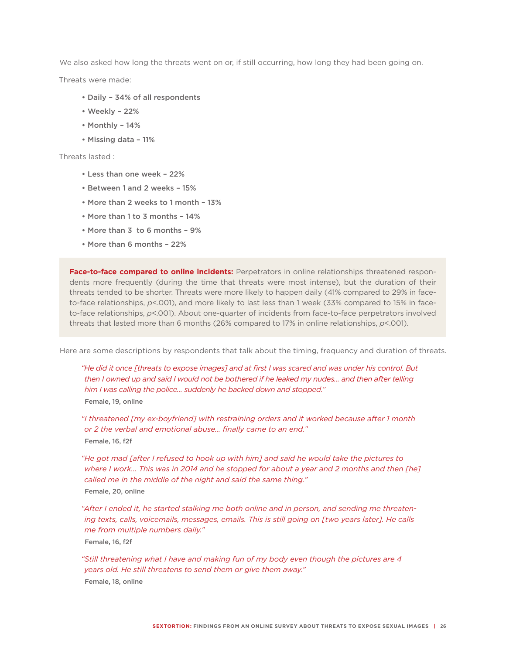We also asked how long the threats went on or, if still occurring, how long they had been going on.

Threats were made:

- Daily 34% of all respondents
- Weekly 22%
- Monthly 14%
- Missing data 11%

Threats lasted :

- Less than one week 22%
- Between 1 and 2 weeks 15%
- More than 2 weeks to 1 month 13%
- More than 1 to 3 months 14%
- More than 3 to 6 months 9%
- More than 6 months 22%

Face-to-face compared to online incidents: Perpetrators in online relationships threatened respondents more frequently (during the time that threats were most intense), but the duration of their threats tended to be shorter. Threats were more likely to happen daily (41% compared to 29% in faceto-face relationships,  $p$ <.001), and more likely to last less than 1 week (33% compared to 15% in faceto-face relationships, *p*<.001). About one-quarter of incidents from face-to-face perpetrators involved threats that lasted more than 6 months (26% compared to 17% in online relationships, *p*<.001).

Here are some descriptions by respondents that talk about the timing, frequency and duration of threats.

*"He did it once [threats to expose images] and at first I was scared and was under his control. But then I owned up and said I would not be bothered if he leaked my nudes… and then after telling him I was calling the police… suddenly he backed down and stopped."*  Female, 19, online

*"I threatened [my ex-boyfriend] with restraining orders and it worked because after 1 month or 2 the verbal and emotional abuse… finally came to an end."*  Female, 16, f2f

*"He got mad [after I refused to hook up with him] and said he would take the pictures to where I work... This was in 2014 and he stopped for about a year and 2 months and then [he] called me in the middle of the night and said the same thing."*  Female, 20, online

*"After I ended it, he started stalking me both online and in person, and sending me threatening texts, calls, voicemails, messages, emails. This is still going on [two years later]. He calls me from multiple numbers daily."*  Female, 16, f2f

*"Still threatening what I have and making fun of my body even though the pictures are 4 years old. He still threatens to send them or give them away."* 

Female, 18, online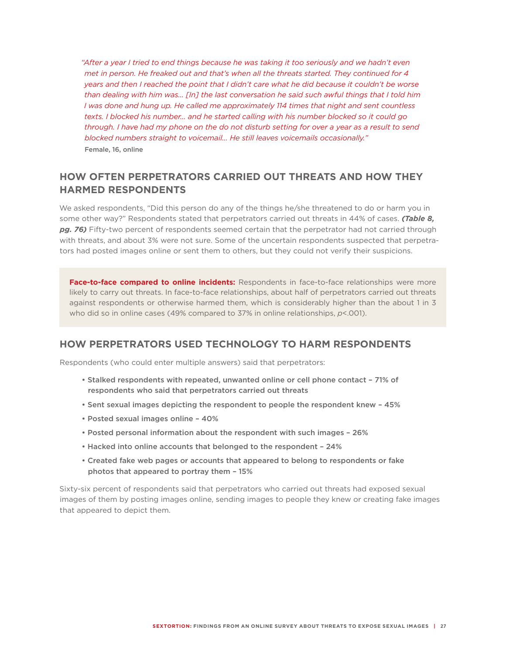*"After a year I tried to end things because he was taking it too seriously and we hadn't even met in person. He freaked out and that's when all the threats started. They continued for 4 years and then I reached the point that I didn't care what he did because it couldn't be worse than dealing with him was… [In] the last conversation he said such awful things that I told him I was done and hung up. He called me approximately 114 times that night and sent countless texts. I blocked his number… and he started calling with his number blocked so it could go through. I have had my phone on the do not disturb setting for over a year as a result to send blocked numbers straight to voicemail... He still leaves voicemails occasionally."*  Female, 16, online

# **HOW OFTEN PERPETRATORS CARRIED OUT THREATS AND HOW THEY HARMED RESPONDENTS**

We asked respondents, "Did this person do any of the things he/she threatened to do or harm you in some other way?" Respondents stated that perpetrators carried out threats in 44% of cases. *(Table 8, pg. 76)* Fifty-two percent of respondents seemed certain that the perpetrator had not carried through with threats, and about 3% were not sure. Some of the uncertain respondents suspected that perpetrators had posted images online or sent them to others, but they could not verify their suspicions.

**Face-to-face compared to online incidents:** Respondents in face-to-face relationships were more likely to carry out threats. In face-to-face relationships, about half of perpetrators carried out threats against respondents or otherwise harmed them, which is considerably higher than the about 1 in 3 who did so in online cases (49% compared to 37% in online relationships, *p*<.001).

# **HOW PERPETRATORS USED TECHNOLOGY TO HARM RESPONDENTS**

Respondents (who could enter multiple answers) said that perpetrators:

- Stalked respondents with repeated, unwanted online or cell phone contact 71% of respondents who said that perpetrators carried out threats
- Sent sexual images depicting the respondent to people the respondent knew 45%
- Posted sexual images online 40%
- Posted personal information about the respondent with such images 26%
- Hacked into online accounts that belonged to the respondent 24%
- Created fake web pages or accounts that appeared to belong to respondents or fake photos that appeared to portray them – 15%

Sixty-six percent of respondents said that perpetrators who carried out threats had exposed sexual images of them by posting images online, sending images to people they knew or creating fake images that appeared to depict them.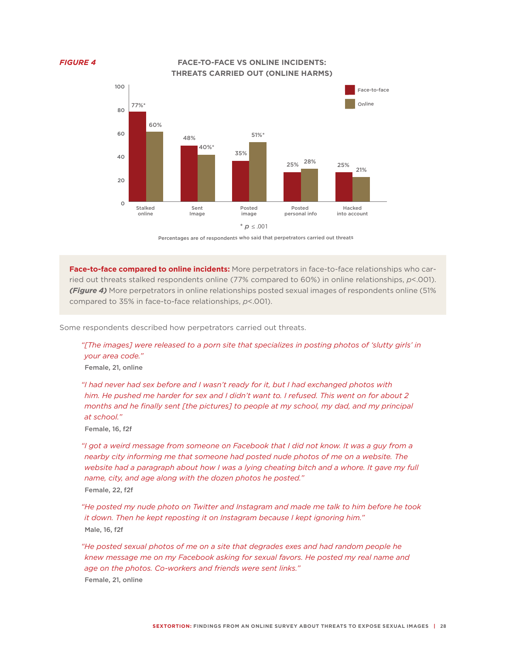*FIGURE 4* **FACE-TO-FACE VS ONLINE INCIDENTS: THREATS CARRIED OUT (ONLINE HARMS)**



Percentages are of respondents who said that perpetrators carried out threats

**Face-to-face compared to online incidents:** More perpetrators in face-to-face relationships who carried out threats stalked respondents online (77% compared to 60%) in online relationships, *p*<.001). *(Figure 4)* More perpetrators in online relationships posted sexual images of respondents online (51% compared to 35% in face-to-face relationships, *p*<.001).

Some respondents described how perpetrators carried out threats.

*"[The images] were released to a porn site that specializes in posting photos of 'slutty girls' in your area code."* 

Female, 21, online

*"I had never had sex before and I wasn't ready for it, but I had exchanged photos with him. He pushed me harder for sex and I didn't want to. I refused. This went on for about 2 months and he finally sent [the pictures] to people at my school, my dad, and my principal at school."* 

Female, 16, f2f

- *"I got a weird message from someone on Facebook that I did not know. It was a guy from a nearby city informing me that someone had posted nude photos of me on a website. The*  website had a paragraph about how I was a lying cheating bitch and a whore. It gave my full *name, city, and age along with the dozen photos he posted."*  Female, 22, f2f
- *"He posted my nude photo on Twitter and Instagram and made me talk to him before he took it down. Then he kept reposting it on Instagram because I kept ignoring him."*  Male, 16, f2f
- *"He posted sexual photos of me on a site that degrades exes and had random people he knew message me on my Facebook asking for sexual favors. He posted my real name and age on the photos. Co-workers and friends were sent links."*  Female, 21, online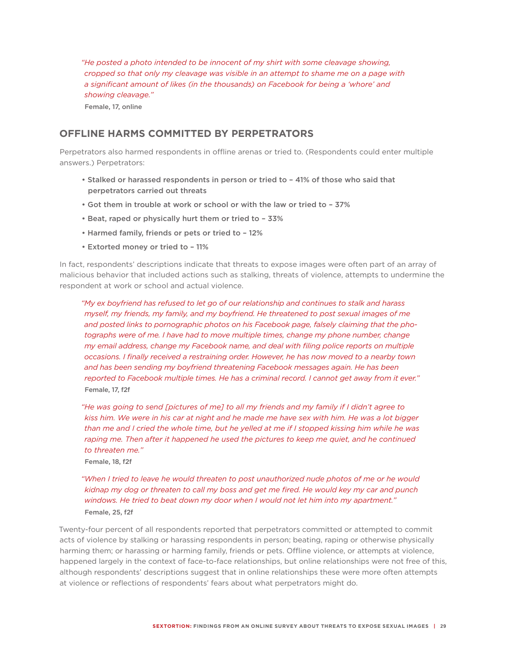*"He posted a photo intended to be innocent of my shirt with some cleavage showing, cropped so that only my cleavage was visible in an attempt to shame me on a page with a significant amount of likes (in the thousands) on Facebook for being a 'whore' and showing cleavage."*  Female, 17, online

## **OFFLINE HARMS COMMITTED BY PERPETRATORS**

Perpetrators also harmed respondents in offline arenas or tried to. (Respondents could enter multiple answers.) Perpetrators:

- Stalked or harassed respondents in person or tried to 41% of those who said that perpetrators carried out threats
- Got them in trouble at work or school or with the law or tried to 37%
- Beat, raped or physically hurt them or tried to 33%
- Harmed family, friends or pets or tried to 12%
- Extorted money or tried to 11%

In fact, respondents' descriptions indicate that threats to expose images were often part of an array of malicious behavior that included actions such as stalking, threats of violence, attempts to undermine the respondent at work or school and actual violence.

*"My ex boyfriend has refused to let go of our relationship and continues to stalk and harass myself, my friends, my family, and my boyfriend. He threatened to post sexual images of me and posted links to pornographic photos on his Facebook page, falsely claiming that the pho*tographs were of me. I have had to move multiple times, change my phone number, change *my email address, change my Facebook name, and deal with filing police reports on multiple occasions. I finally received a restraining order. However, he has now moved to a nearby town and has been sending my boyfriend threatening Facebook messages again. He has been reported to Facebook multiple times. He has a criminal record. I cannot get away from it ever."*  Female, 17, f2f

*"He was going to send [pictures of me] to all my friends and my family if I didn't agree to kiss him. We were in his car at night and he made me have sex with him. He was a lot bigger than me and I cried the whole time, but he yelled at me if I stopped kissing him while he was*  raping me. Then after it happened he used the pictures to keep me quiet, and he continued *to threaten me."* 

Female, 18, f2f

#### *"When I tried to leave he would threaten to post unauthorized nude photos of me or he would kidnap my dog or threaten to call my boss and get me fired. He would key my car and punch windows. He tried to beat down my door when I would not let him into my apartment."*  Female, 25, f2f

Twenty-four percent of all respondents reported that perpetrators committed or attempted to commit acts of violence by stalking or harassing respondents in person; beating, raping or otherwise physically harming them; or harassing or harming family, friends or pets. Offline violence, or attempts at violence, happened largely in the context of face-to-face relationships, but online relationships were not free of this, although respondents' descriptions suggest that in online relationships these were more often attempts at violence or reflections of respondents' fears about what perpetrators might do.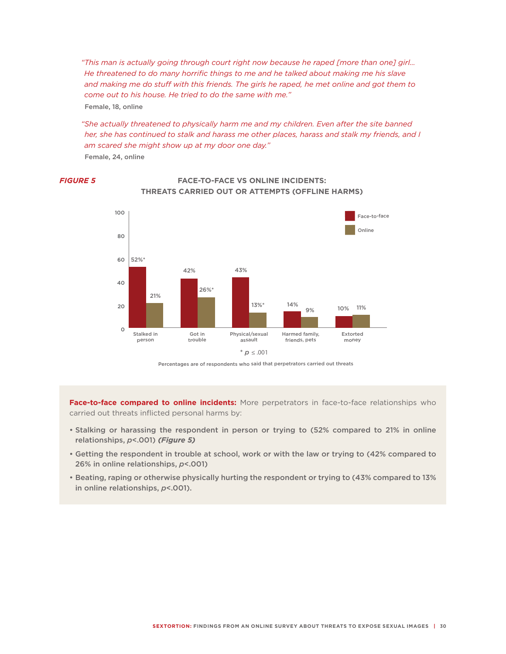*"This man is actually going through court right now because he raped [more than one] girl… He threatened to do many horrific things to me and he talked about making me his slave and making me do stuff with this friends. The girls he raped, he met online and got them to come out to his house. He tried to do the same with me."*  Female, 18, online

"She actually threatened to physically harm me and my children. Even after the site banned *her, she has continued to stalk and harass me other places, harass and stalk my friends, and I am scared she might show up at my door one day."* 

Female, 24, online



#### *FIGURE 5* **FACE-TO-FACE VS ONLINE INCIDENTS: THREATS CARRIED OUT OR ATTEMPTS (OFFLINE HARMS)**

Percentages are of respondents who said that perpetrators carried out threats

**Face-to-face compared to online incidents:** More perpetrators in face-to-face relationships who carried out threats inflicted personal harms by:

- Stalking or harassing the respondent in person or trying to (52% compared to 21% in online relationships, *p*<.001) *(Figure 5)*
- Getting the respondent in trouble at school, work or with the law or trying to (42% compared to 26% in online relationships, *p*<.001)
- Beating, raping or otherwise physically hurting the respondent or trying to (43% compared to 13% in online relationships, *p*<.001).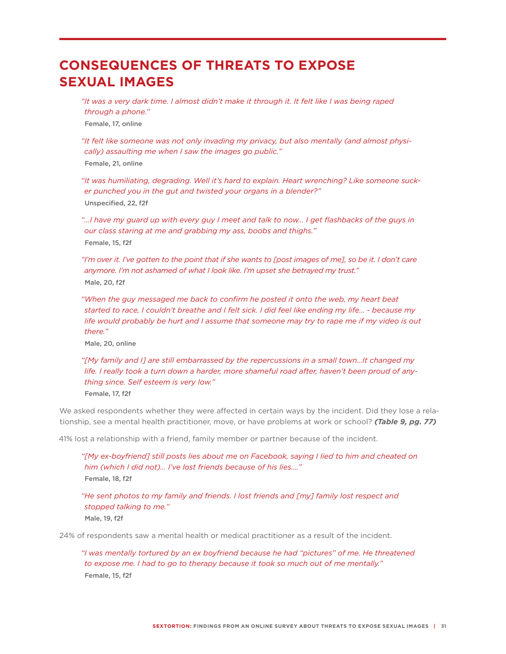# **CONSEQUENCES OF THREATS TO EXPOSE SEXUAL IMAGES**

*"It was a very dark time. I almost didn't make it through it. It felt like I was being raped through a phone."*  Female, 17, online

*"It felt like someone was not only invading my privacy, but also mentally (and almost physically) assaulting me when I saw the images go public."* Female, 21, online

*"It was humiliating, degrading. Well it's hard to explain. Heart wrenching? Like someone sucker punched you in the gut and twisted your organs in a blender?"*  Unspecified, 22, f2f

*"…I have my guard up with every guy I meet and talk to now… I get flashbacks of the guys in our class staring at me and grabbing my ass, boobs and thighs."*  Female, 15, f2f

*"I'm over it. I've gotten to the point that if she wants to [post images of me], so be it. I don't care anymore. I'm not ashamed of what I look like. I'm upset she betrayed my trust."*  Male, 20, f2f

"When the guy messaged me back to confirm he posted it onto the web, my heart beat *started to race, I couldn't breathe and I felt sick. I did feel like ending my life… - because my life would probably be hurt and I assume that someone may try to rape me if my video is out there."* 

Male, 20, online

*"[My family and I] are still embarrassed by the repercussions in a small town…It changed my life. I really took a turn down a harder, more shameful road after, haven't been proud of anything since. Self esteem is very low."* 

Female, 17, f2f

We asked respondents whether they were affected in certain ways by the incident. Did they lose a relationship, see a mental health practitioner, move, or have problems at work or school? *(Table 9, pg. 77)*

41% lost a relationship with a friend, family member or partner because of the incident.

*"[My ex-boyfriend] still posts lies about me on Facebook, saying I lied to him and cheated on him (which I did not)… I've lost friends because of his lies…."* Female, 18, f2f

*"He sent photos to my family and friends. I lost friends and [my] family lost respect and stopped talking to me."* Male, 19, f2f

24% of respondents saw a mental health or medical practitioner as a result of the incident.

*"I was mentally tortured by an ex boyfriend because he had "pictures" of me. He threatened to expose me. I had to go to therapy because it took so much out of me mentally."*  Female, 15, f2f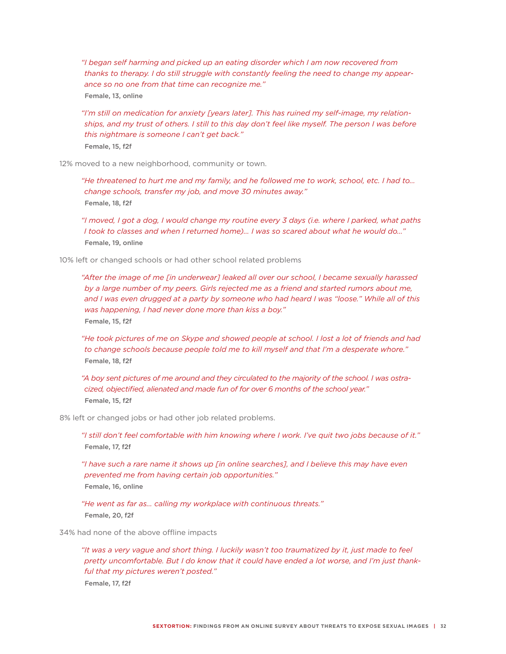*"I began self harming and picked up an eating disorder which I am now recovered from thanks to therapy. I do still struggle with constantly feeling the need to change my appearance so no one from that time can recognize me."*  Female, 13, online

*"I'm still on medication for anxiety [years later]. This has ruined my self-image, my relationships, and my trust of others. I still to this day don't feel like myself. The person I was before this nightmare is someone I can't get back."*  Female, 15, f2f

12% moved to a new neighborhood, community or town.

*"He threatened to hurt me and my family, and he followed me to work, school, etc. I had to… change schools, transfer my job, and move 30 minutes away."*  Female, 18, f2f

*"I moved, I got a dog, I would change my routine every 3 days (i.e. where I parked, what paths I took to classes and when I returned home)… I was so scared about what he would do…"* Female, 19, online

10% left or changed schools or had other school related problems

*"After the image of me [in underwear] leaked all over our school, I became sexually harassed by a large number of my peers. Girls rejected me as a friend and started rumors about me, and I was even drugged at a party by someone who had heard I was "loose." While all of this was happening, I had never done more than kiss a boy."*  Female, 15, f2f

*"He took pictures of me on Skype and showed people at school. I lost a lot of friends and had to change schools because people told me to kill myself and that I'm a desperate whore."*  Female, 18, f2f

*"A boy sent pictures of me around and they circulated to the majority of the school. I was ostracized, objectified, alienated and made fun of for over 6 months of the school year."*  Female, 15, f2f

8% left or changed jobs or had other job related problems.

*"I still don't feel comfortable with him knowing where I work. I've quit two jobs because of it."*  Female, 17, f2f

*"I have such a rare name it shows up [in online searches], and I believe this may have even prevented me from having certain job opportunities."*  Female, 16, online

*"He went as far as… calling my workplace with continuous threats."*  Female, 20, f2f

34% had none of the above offline impacts

*"It was a very vague and short thing. I luckily wasn't too traumatized by it, just made to feel pretty uncomfortable. But I do know that it could have ended a lot worse, and I'm just thankful that my pictures weren't posted."*  Female, 17, f2f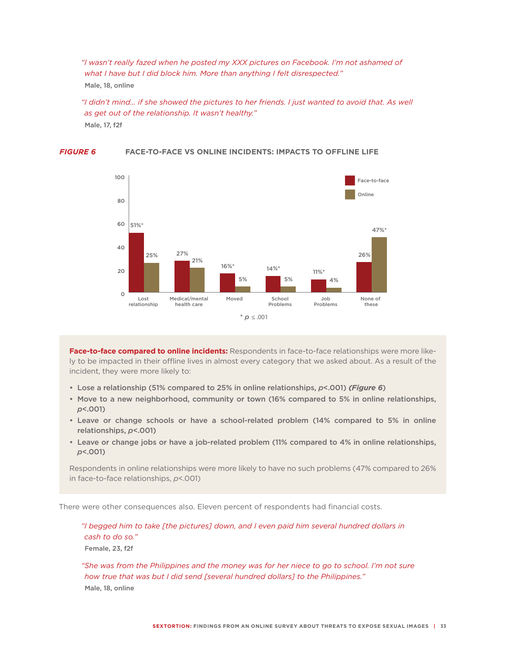*"I wasn't really fazed when he posted my XXX pictures on Facebook. I'm not ashamed of what I have but I did block him. More than anything I felt disrespected."*  Male, 18, online

*"I didn't mind… if she showed the pictures to her friends. I just wanted to avoid that. As well as get out of the relationship. It wasn't healthy."*  Male, 17, f2f

#### Face-to-face Online Lost relationship Medical/mental health care Moved School Problems Job Problems None of these  $*$  *p* < 001 51%\* 27% 16%\* 14%\* 26% 11%\* 25% 21% 5% 5% 47%\* 4%  $\circ$  $20$ 40 60 80 100

#### *FIGURE 6* **FACE-TO-FACE VS ONLINE INCIDENTS: IMPACTS TO OFFLINE LIFE**

**Face-to-face compared to online incidents:** Respondents in face-to-face relationships were more likely to be impacted in their offline lives in almost every category that we asked about. As a result of the incident, they were more likely to:

- • Lose a relationship (51% compared to 25% in online relationships, *p*<.001) *(Figure 6*)
- Move to a new neighborhood, community or town (16% compared to 5% in online relationships, *p*<.001)
- • Leave or change schools or have a school-related problem (14% compared to 5% in online relationships, *p*<.001)
- • Leave or change jobs or have a job-related problem (11% compared to 4% in online relationships, *p*<.001)

Respondents in online relationships were more likely to have no such problems (47% compared to 26% in face-to-face relationships, *p*<.001)

There were other consequences also. Eleven percent of respondents had financial costs.

*"I begged him to take [the pictures] down, and I even paid him several hundred dollars in cash to do so."*

Female, 23, f2f

*"She was from the Philippines and the money was for her niece to go to school. I'm not sure how true that was but I did send [several hundred dollars] to the Philippines."* Male, 18, online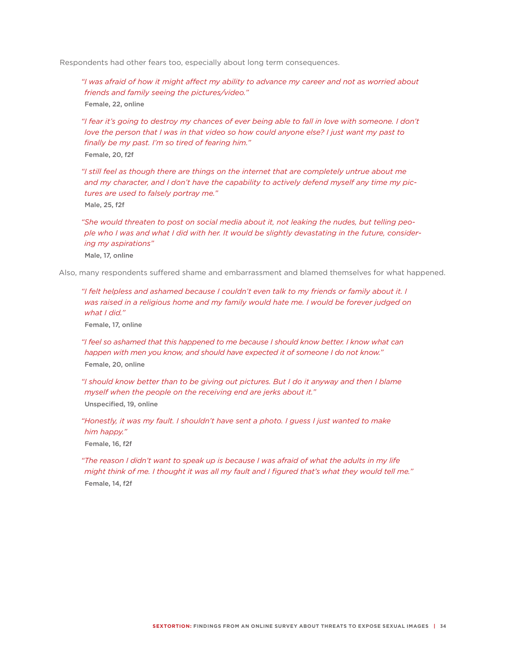Respondents had other fears too, especially about long term consequences.

*"I was afraid of how it might affect my ability to advance my career and not as worried about friends and family seeing the pictures/video."* Female, 22, online

*"I fear it's going to destroy my chances of ever being able to fall in love with someone. I don't love the person that I was in that video so how could anyone else? I just want my past to finally be my past. I'm so tired of fearing him."* Female, 20, f2f

*"I still feel as though there are things on the internet that are completely untrue about me and my character, and I don't have the capability to actively defend myself any time my pictures are used to falsely portray me."* Male, 25, f2f

*"She would threaten to post on social media about it, not leaking the nudes, but telling people who I was and what I did with her. It would be slightly devastating in the future, considering my aspirations"* Male, 17, online

Also, many respondents suffered shame and embarrassment and blamed themselves for what happened.

*"I felt helpless and ashamed because I couldn't even talk to my friends or family about it. I was raised in a religious home and my family would hate me. I would be forever judged on what I did."*

Female, 17, online

*"I feel so ashamed that this happened to me because I should know better. I know what can happen with men you know, and should have expected it of someone I do not know."* Female, 20, online

*"I should know better than to be giving out pictures. But I do it anyway and then I blame myself when the people on the receiving end are jerks about it."* Unspecified, 19, online

*"Honestly, it was my fault. I shouldn't have sent a photo. I guess I just wanted to make him happy."* Female, 16, f2f

*"The reason I didn't want to speak up is because I was afraid of what the adults in my life might think of me. I thought it was all my fault and I figured that's what they would tell me."* Female, 14, f2f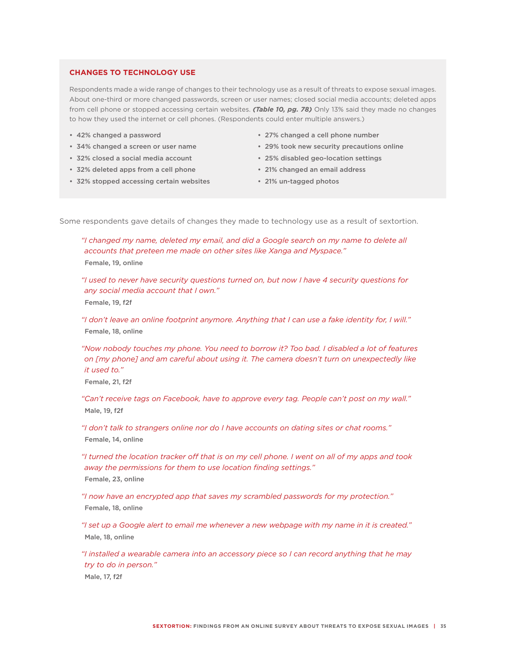#### **CHANGES TO TECHNOLOGY USE**

Respondents made a wide range of changes to their technology use as a result of threats to expose sexual images. About one-third or more changed passwords, screen or user names; closed social media accounts; deleted apps from cell phone or stopped accessing certain websites. *(Table 10, pg. 78)* Only 13% said they made no changes to how they used the internet or cell phones. (Respondents could enter multiple answers.)

- • 42% changed a password
- • 34% changed a screen or user name
- • 32% closed a social media account
- • 32% deleted apps from a cell phone
- • 32% stopped accessing certain websites
- • 27% changed a cell phone number
- • 29% took new security precautions online
- • 25% disabled geo-location settings
- • 21% changed an email address
- • 21% un-tagged photos

Some respondents gave details of changes they made to technology use as a result of sextortion.

*"I changed my name, deleted my email, and did a Google search on my name to delete all accounts that preteen me made on other sites like Xanga and Myspace."* Female, 19, online

*"I used to never have security questions turned on, but now I have 4 security questions for any social media account that I own."* Female, 19, f2f

*"I don't leave an online footprint anymore. Anything that I can use a fake identity for, I will."* Female, 18, online

*"Now nobody touches my phone. You need to borrow it? Too bad. I disabled a lot of features on [my phone] and am careful about using it. The camera doesn't turn on unexpectedly like it used to."*

Female, 21, f2f

*"Can't receive tags on Facebook, have to approve every tag. People can't post on my wall."* Male, 19, f2f

*"I don't talk to strangers online nor do I have accounts on dating sites or chat rooms."* Female, 14, online

*"I turned the location tracker off that is on my cell phone. I went on all of my apps and took away the permissions for them to use location finding settings."*

Female, 23, online

*"I now have an encrypted app that saves my scrambled passwords for my protection."* Female, 18, online

*"I set up a Google alert to email me whenever a new webpage with my name in it is created."* Male, 18, online

*"I installed a wearable camera into an accessory piece so I can record anything that he may try to do in person."*  Male, 17, f2f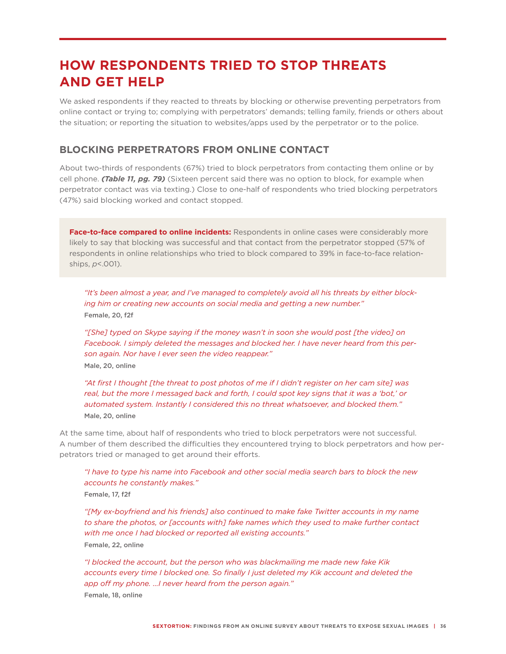# **HOW RESPONDENTS TRIED TO STOP THREATS AND GET HELP**

We asked respondents if they reacted to threats by blocking or otherwise preventing perpetrators from online contact or trying to; complying with perpetrators' demands; telling family, friends or others about the situation; or reporting the situation to websites/apps used by the perpetrator or to the police.

## **BLOCKING PERPETRATORS FROM ONLINE CONTACT**

About two-thirds of respondents (67%) tried to block perpetrators from contacting them online or by cell phone. *(Table 11, pg. 79)* (Sixteen percent said there was no option to block, for example when perpetrator contact was via texting.) Close to one-half of respondents who tried blocking perpetrators (47%) said blocking worked and contact stopped.

**Face-to-face compared to online incidents:** Respondents in online cases were considerably more likely to say that blocking was successful and that contact from the perpetrator stopped (57% of respondents in online relationships who tried to block compared to 39% in face-to-face relationships, *p*<.001).

*"It's been almost a year, and I've managed to completely avoid all his threats by either blocking him or creating new accounts on social media and getting a new number."* Female, 20, f2f

*"[She] typed on Skype saying if the money wasn't in soon she would post [the video] on Facebook. I simply deleted the messages and blocked her. I have never heard from this person again. Nor have I ever seen the video reappear."* Male, 20, online

*"At first I thought [the threat to post photos of me if I didn't register on her cam site] was real, but the more I messaged back and forth, I could spot key signs that it was a 'bot,' or automated system. Instantly I considered this no threat whatsoever, and blocked them."* Male, 20, online

At the same time, about half of respondents who tried to block perpetrators were not successful. A number of them described the difficulties they encountered trying to block perpetrators and how perpetrators tried or managed to get around their efforts.

*"I have to type his name into Facebook and other social media search bars to block the new accounts he constantly makes."*

Female, 17, f2f

*"[My ex-boyfriend and his friends] also continued to make fake Twitter accounts in my name to share the photos, or [accounts with] fake names which they used to make further contact with me once I had blocked or reported all existing accounts."* Female, 22, online

*"I blocked the account, but the person who was blackmailing me made new fake Kik*  accounts every time I blocked one. So finally I just deleted my Kik account and deleted the *app off my phone. …I never heard from the person again."*

Female, 18, online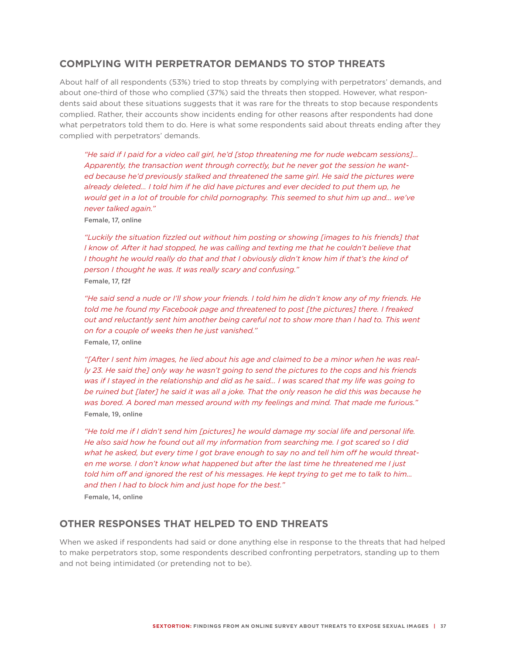### **COMPLYING WITH PERPETRATOR DEMANDS TO STOP THREATS**

About half of all respondents (53%) tried to stop threats by complying with perpetrators' demands, and about one-third of those who complied (37%) said the threats then stopped. However, what respondents said about these situations suggests that it was rare for the threats to stop because respondents complied. Rather, their accounts show incidents ending for other reasons after respondents had done what perpetrators told them to do. Here is what some respondents said about threats ending after they complied with perpetrators' demands.

*"He said if I paid for a video call girl, he'd [stop threatening me for nude webcam sessions]… Apparently, the transaction went through correctly, but he never got the session he want*ed because he'd previously stalked and threatened the same girl. He said the pictures were *already deleted... I told him if he did have pictures and ever decided to put them up, he*  would get in a lot of trouble for child pornography. This seemed to shut him up and... we've *never talked again."*

Female, 17, online

*"Luckily the situation fizzled out without him posting or showing [images to his friends] that I know of. After it had stopped, he was calling and texting me that he couldn't believe that* I thought he would really do that and that I obviously didn't know him if that's the kind of *person I thought he was. It was really scary and confusing."* Female, 17, f2f

*"He said send a nude or I'll show your friends. I told him he didn't know any of my friends. He told me he found my Facebook page and threatened to post [the pictures] there. I freaked out and reluctantly sent him another being careful not to show more than I had to. This went on for a couple of weeks then he just vanished."*

Female, 17, online

*"[After I sent him images, he lied about his age and claimed to be a minor when he was really 23. He said the] only way he wasn't going to send the pictures to the cops and his friends was if I stayed in the relationship and did as he said… I was scared that my life was going to*  be ruined but [later] he said it was all a joke. That the only reason he did this was because he *was bored. A bored man messed around with my feelings and mind. That made me furious."* Female, 19, online

*"He told me if I didn't send him [pictures] he would damage my social life and personal life. He also said how he found out all my information from searching me. I got scared so I did what he asked, but every time I got brave enough to say no and tell him off he would threaten me worse. I don't know what happened but after the last time he threatened me I just told him off and ignored the rest of his messages. He kept trying to get me to talk to him… and then I had to block him and just hope for the best."*

Female, 14, online

#### **OTHER RESPONSES THAT HELPED TO END THREATS**

When we asked if respondents had said or done anything else in response to the threats that had helped to make perpetrators stop, some respondents described confronting perpetrators, standing up to them and not being intimidated (or pretending not to be).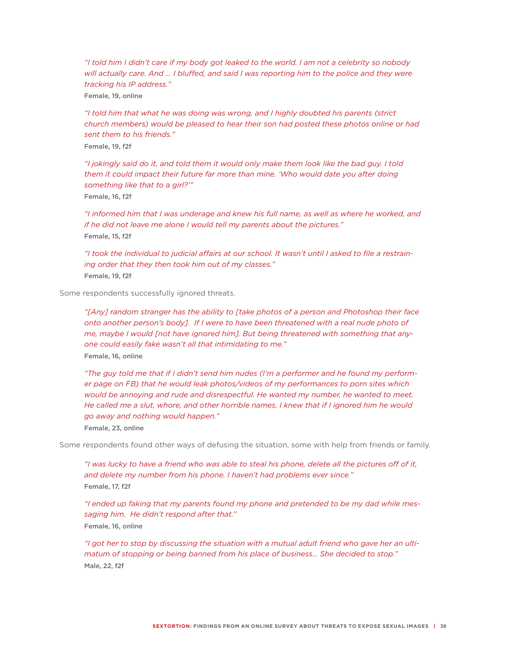*"I told him I didn't care if my body got leaked to the world. I am not a celebrity so nobody will actually care. And … I bluffed, and said I was reporting him to the police and they were tracking his IP address."*

Female, 19, online

*"I told him that what he was doing was wrong, and I highly doubted his parents (strict church members) would be pleased to hear their son had posted these photos online or had sent them to his friends."* Female, 19, f2f

*"I jokingly said do it, and told them it would only make them look like the bad guy. I told them it could impact their future far more than mine. 'Who would date you after doing something like that to a girl?'"*

Female, 16, f2f

*"I informed him that I was underage and knew his full name, as well as where he worked, and if he did not leave me alone I would tell my parents about the pictures."* Female, 15, f2f

*"I took the individual to judicial affairs at our school. It wasn't until I asked to file a restraining order that they then took him out of my classes."* Female, 19, f2f

Some respondents successfully ignored threats.

*"[Any] random stranger has the ability to [take photos of a person and Photoshop their face onto another person's body]. If I were to have been threatened with a real nude photo of me, maybe I would [not have ignored him]. But being threatened with something that anyone could easily fake wasn't all that intimidating to me."*

Female, 16, online

*"The guy told me that if I didn't send him nudes (I'm a performer and he found my performer page on FB) that he would leak photos/videos of my performances to porn sites which would be annoying and rude and disrespectful. He wanted my number, he wanted to meet. He called me a slut, whore, and other horrible names. I knew that if I ignored him he would go away and nothing would happen."*

Female, 23, online

Some respondents found other ways of defusing the situation, some with help from friends or family.

*"I was lucky to have a friend who was able to steal his phone, delete all the pictures off of it, and delete my number from his phone. I haven't had problems ever since."* Female, 17, f2f

*"I ended up faking that my parents found my phone and pretended to be my dad while messaging him. He didn't respond after that."* Female, 16, online

*"I got her to stop by discussing the situation with a mutual adult friend who gave her an ultimatum of stopping or being banned from his place of business… She decided to stop."*  Male, 22, f2f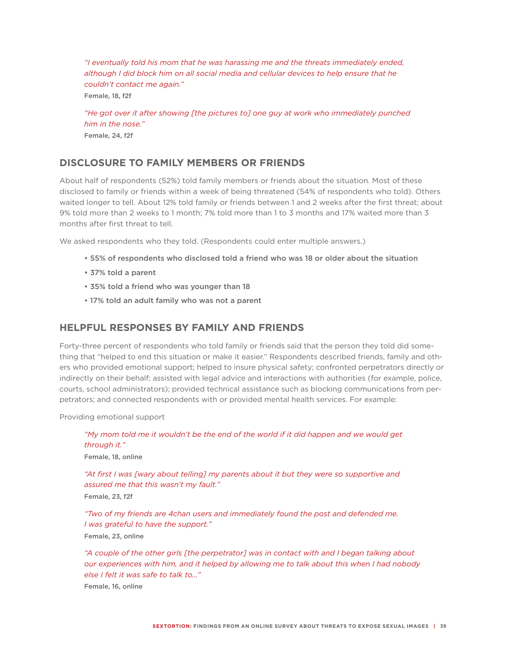*"I eventually told his mom that he was harassing me and the threats immediately ended, although I did block him on all social media and cellular devices to help ensure that he couldn't contact me again."* Female, 18, f2f

*"He got over it after showing [the pictures to] one guy at work who immediately punched him in the nose."* Female, 24, f2f

## **DISCLOSURE TO FAMILY MEMBERS OR FRIENDS**

About half of respondents (52%) told family members or friends about the situation. Most of these disclosed to family or friends within a week of being threatened (54% of respondents who told). Others waited longer to tell. About 12% told family or friends between 1 and 2 weeks after the first threat; about 9% told more than 2 weeks to 1 month; 7% told more than 1 to 3 months and 17% waited more than 3 months after first threat to tell.

We asked respondents who they told. (Respondents could enter multiple answers.)

- 55% of respondents who disclosed told a friend who was 18 or older about the situation
- 37% told a parent
- 35% told a friend who was younger than 18
- 17% told an adult family who was not a parent

#### **HELPFUL RESPONSES BY FAMILY AND FRIENDS**

Forty-three percent of respondents who told family or friends said that the person they told did something that "helped to end this situation or make it easier." Respondents described friends, family and others who provided emotional support; helped to insure physical safety; confronted perpetrators directly or indirectly on their behalf; assisted with legal advice and interactions with authorities (for example, police, courts, school administrators); provided technical assistance such as blocking communications from perpetrators; and connected respondents with or provided mental health services. For example:

Providing emotional support

*"My mom told me it wouldn't be the end of the world if it did happen and we would get through it."* Female, 18, online

*"At first I was [wary about telling] my parents about it but they were so supportive and assured me that this wasn't my fault."* Female, 23, f2f

*"Two of my friends are 4chan users and immediately found the post and defended me. I was grateful to have the support."* Female, 23, online

*"A couple of the other girls [the perpetrator] was in contact with and I began talking about our experiences with him, and it helped by allowing me to talk about this when I had nobody else I felt it was safe to talk to…"* 

Female, 16, online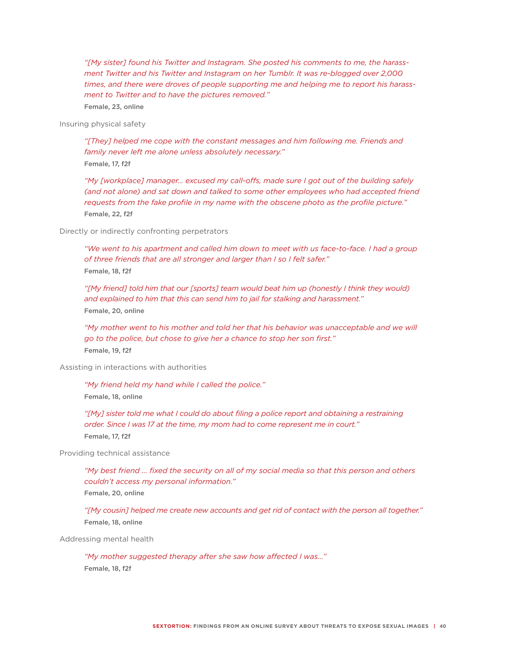*"[My sister] found his Twitter and Instagram. She posted his comments to me, the harassment Twitter and his Twitter and Instagram on her Tumblr. It was re-blogged over 2,000 times, and there were droves of people supporting me and helping me to report his harassment to Twitter and to have the pictures removed."*  Female, 23, online

Insuring physical safety

*"[They] helped me cope with the constant messages and him following me. Friends and family never left me alone unless absolutely necessary."* Female, 17, f2f

*"My [workplace] manager… excused my call-offs, made sure I got out of the building safely (and not alone) and sat down and talked to some other employees who had accepted friend requests from the fake profile in my name with the obscene photo as the profile picture."* Female, 22, f2f

Directly or indirectly confronting perpetrators

*"We went to his apartment and called him down to meet with us face-to-face. I had a group of three friends that are all stronger and larger than I so I felt safer."* Female, 18, f2f

*"[My friend] told him that our [sports] team would beat him up (honestly I think they would) and explained to him that this can send him to jail for stalking and harassment."*  Female, 20, online

*"My mother went to his mother and told her that his behavior was unacceptable and we will go to the police, but chose to give her a chance to stop her son first."*  Female, 19, f2f

Assisting in interactions with authorities

*"My friend held my hand while I called the police."*  Female, 18, online

*"[My] sister told me what I could do about filing a police report and obtaining a restraining order. Since I was 17 at the time, my mom had to come represent me in court."* Female, 17, f2f

Providing technical assistance

*"My best friend … fixed the security on all of my social media so that this person and others couldn't access my personal information."* Female, 20, online

*"[My cousin] helped me create new accounts and get rid of contact with the person all together."* Female, 18, online

Addressing mental health

*"My mother suggested therapy after she saw how affected I was..."* Female, 18, f2f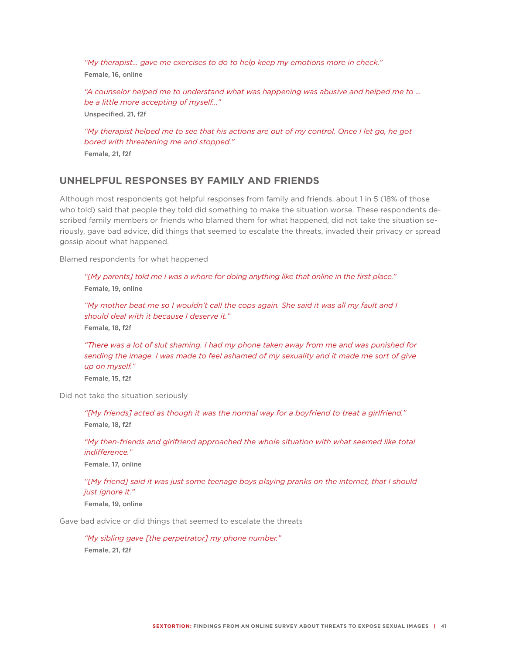*"My therapist… gave me exercises to do to help keep my emotions more in check."* Female, 16, online

*"A counselor helped me to understand what was happening was abusive and helped me to … be a little more accepting of myself..."* Unspecified, 21, f2f

*"My therapist helped me to see that his actions are out of my control. Once I let go, he got bored with threatening me and stopped."* Female, 21, f2f

### **UNHELPFUL RESPONSES BY FAMILY AND FRIENDS**

Although most respondents got helpful responses from family and friends, about 1 in 5 (18% of those who told) said that people they told did something to make the situation worse. These respondents described family members or friends who blamed them for what happened, did not take the situation seriously, gave bad advice, did things that seemed to escalate the threats, invaded their privacy or spread gossip about what happened.

Blamed respondents for what happened

*"[My parents] told me I was a whore for doing anything like that online in the first place."*  Female, 19, online

*"My mother beat me so I wouldn't call the cops again. She said it was all my fault and I should deal with it because I deserve it."*  Female, 18, f2f

*"There was a lot of slut shaming. I had my phone taken away from me and was punished for sending the image. I was made to feel ashamed of my sexuality and it made me sort of give up on myself."*

Female, 15, f2f

Did not take the situation seriously

*"[My friends] acted as though it was the normal way for a boyfriend to treat a girlfriend."* Female, 18, f2f

*"My then-friends and girlfriend approached the whole situation with what seemed like total indifference."* 

Female, 17, online

*"[My friend] said it was just some teenage boys playing pranks on the internet, that I should just ignore it."*  Female, 19, online

Gave bad advice or did things that seemed to escalate the threats

*"My sibling gave [the perpetrator] my phone number."*  Female, 21, f2f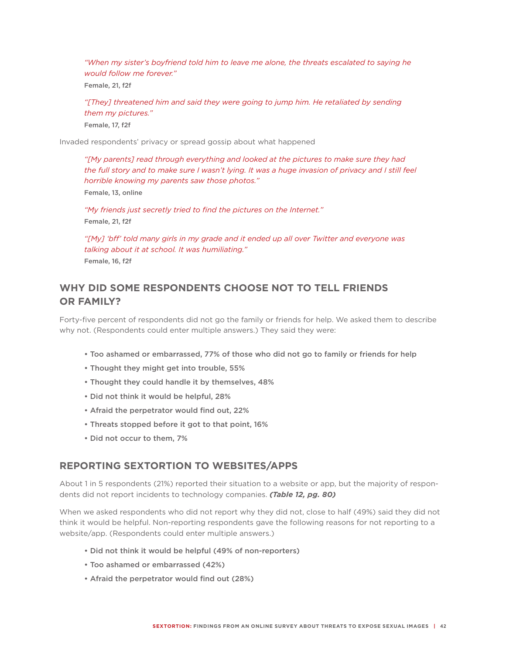*"When my sister's boyfriend told him to leave me alone, the threats escalated to saying he would follow me forever."*

Female, 21, f2f

*"[They] threatened him and said they were going to jump him. He retaliated by sending them my pictures."* Female, 17, f2f

Invaded respondents' privacy or spread gossip about what happened

*"[My parents] read through everything and looked at the pictures to make sure they had the full story and to make sure I wasn't lying. It was a huge invasion of privacy and I still feel horrible knowing my parents saw those photos."*

Female, 13, online

*"My friends just secretly tried to find the pictures on the Internet."* Female, 21, f2f

*"[My] 'bff' told many girls in my grade and it ended up all over Twitter and everyone was talking about it at school. It was humiliating."* Female, 16, f2f

# **WHY DID SOME RESPONDENTS CHOOSE NOT TO TELL FRIENDS OR FAMILY?**

Forty-five percent of respondents did not go the family or friends for help. We asked them to describe why not. (Respondents could enter multiple answers.) They said they were:

- Too ashamed or embarrassed, 77% of those who did not go to family or friends for help
- Thought they might get into trouble, 55%
- Thought they could handle it by themselves, 48%
- Did not think it would be helpful, 28%
- Afraid the perpetrator would find out, 22%
- Threats stopped before it got to that point, 16%
- Did not occur to them, 7%

#### **REPORTING SEXTORTION TO WEBSITES/APPS**

About 1 in 5 respondents (21%) reported their situation to a website or app, but the majority of respondents did not report incidents to technology companies. *(Table 12, pg. 80)*

When we asked respondents who did not report why they did not, close to half (49%) said they did not think it would be helpful. Non-reporting respondents gave the following reasons for not reporting to a website/app. (Respondents could enter multiple answers.)

- Did not think it would be helpful (49% of non-reporters)
- Too ashamed or embarrassed (42%)
- Afraid the perpetrator would find out (28%)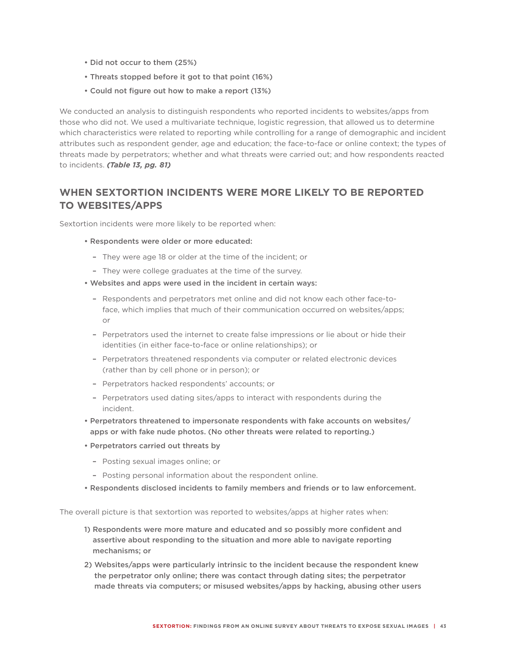- Did not occur to them (25%)
- Threats stopped before it got to that point (16%)
- Could not figure out how to make a report (13%)

We conducted an analysis to distinguish respondents who reported incidents to websites/apps from those who did not. We used a multivariate technique, logistic regression, that allowed us to determine which characteristics were related to reporting while controlling for a range of demographic and incident attributes such as respondent gender, age and education; the face-to-face or online context; the types of threats made by perpetrators; whether and what threats were carried out; and how respondents reacted to incidents. *(Table 13, pg. 81)*

## **WHEN SEXTORTION INCIDENTS WERE MORE LIKELY TO BE REPORTED TO WEBSITES/APPS**

Sextortion incidents were more likely to be reported when:

- Respondents were older or more educated:
	- They were age 18 or older at the time of the incident; or
	- They were college graduates at the time of the survey.
- Websites and apps were used in the incident in certain ways:
	- Respondents and perpetrators met online and did not know each other face-toface, which implies that much of their communication occurred on websites/apps; or
	- Perpetrators used the internet to create false impressions or lie about or hide their identities (in either face-to-face or online relationships); or
	- Perpetrators threatened respondents via computer or related electronic devices (rather than by cell phone or in person); or
	- Perpetrators hacked respondents' accounts; or
	- Perpetrators used dating sites/apps to interact with respondents during the incident.
- Perpetrators threatened to impersonate respondents with fake accounts on websites/ apps or with fake nude photos. (No other threats were related to reporting.)
- Perpetrators carried out threats by
	- Posting sexual images online; or
	- Posting personal information about the respondent online.
- Respondents disclosed incidents to family members and friends or to law enforcement.

The overall picture is that sextortion was reported to websites/apps at higher rates when:

- 1) Respondents were more mature and educated and so possibly more confident and assertive about responding to the situation and more able to navigate reporting mechanisms; or
- 2) Websites/apps were particularly intrinsic to the incident because the respondent knew the perpetrator only online; there was contact through dating sites; the perpetrator made threats via computers; or misused websites/apps by hacking, abusing other users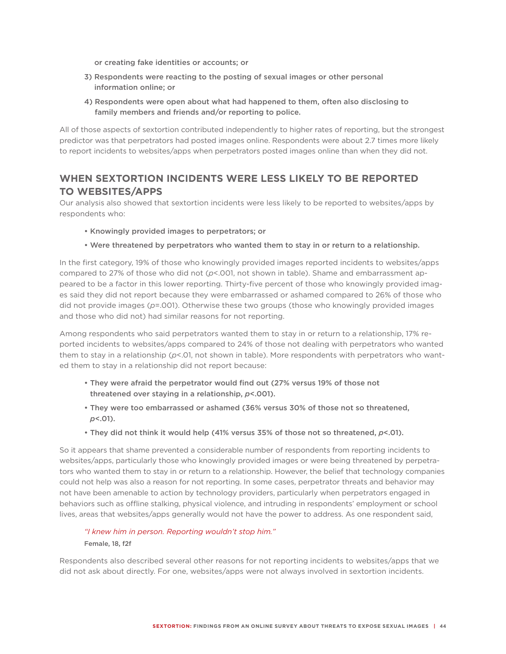or creating fake identities or accounts; or

- 3) Respondents were reacting to the posting of sexual images or other personal information online; or
- 4) Respondents were open about what had happened to them, often also disclosing to family members and friends and/or reporting to police.

All of those aspects of sextortion contributed independently to higher rates of reporting, but the strongest predictor was that perpetrators had posted images online. Respondents were about 2.7 times more likely to report incidents to websites/apps when perpetrators posted images online than when they did not.

# **WHEN SEXTORTION INCIDENTS WERE LESS LIKELY TO BE REPORTED TO WEBSITES/APPS**

Our analysis also showed that sextortion incidents were less likely to be reported to websites/apps by respondents who:

- Knowingly provided images to perpetrators; or
- Were threatened by perpetrators who wanted them to stay in or return to a relationship.

In the first category, 19% of those who knowingly provided images reported incidents to websites/apps compared to 27% of those who did not (*p*<.001, not shown in table). Shame and embarrassment appeared to be a factor in this lower reporting. Thirty-five percent of those who knowingly provided images said they did not report because they were embarrassed or ashamed compared to 26% of those who did not provide images (*p*=.001). Otherwise these two groups (those who knowingly provided images and those who did not) had similar reasons for not reporting.

Among respondents who said perpetrators wanted them to stay in or return to a relationship, 17% reported incidents to websites/apps compared to 24% of those not dealing with perpetrators who wanted them to stay in a relationship ( $p$ <.01, not shown in table). More respondents with perpetrators who wanted them to stay in a relationship did not report because:

- They were afraid the perpetrator would find out (27% versus 19% of those not threatened over staying in a relationship, *p*<.001).
- They were too embarrassed or ashamed (36% versus 30% of those not so threatened, *p*<.01).
- They did not think it would help (41% versus 35% of those not so threatened, *p*<.01).

So it appears that shame prevented a considerable number of respondents from reporting incidents to websites/apps, particularly those who knowingly provided images or were being threatened by perpetrators who wanted them to stay in or return to a relationship. However, the belief that technology companies could not help was also a reason for not reporting. In some cases, perpetrator threats and behavior may not have been amenable to action by technology providers, particularly when perpetrators engaged in behaviors such as offline stalking, physical violence, and intruding in respondents' employment or school lives, areas that websites/apps generally would not have the power to address. As one respondent said,

#### *"I knew him in person. Reporting wouldn't stop him."* Female, 18, f2f

Respondents also described several other reasons for not reporting incidents to websites/apps that we did not ask about directly. For one, websites/apps were not always involved in sextortion incidents.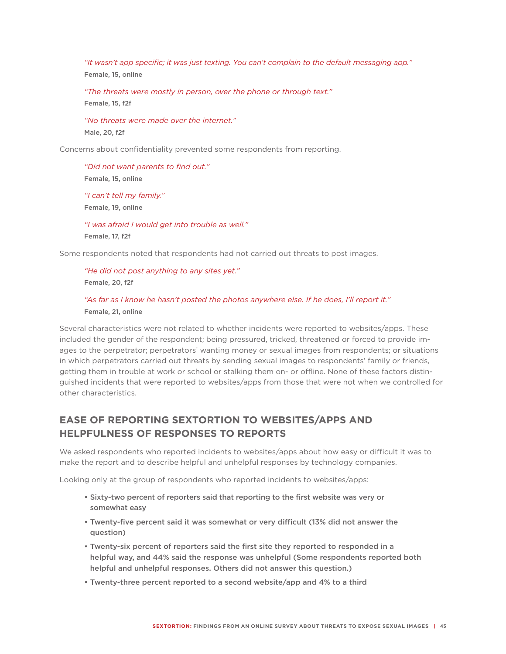*"It wasn't app specific; it was just texting. You can't complain to the default messaging app."* Female, 15, online

*"The threats were mostly in person, over the phone or through text."* Female, 15, f2f

*"No threats were made over the internet."* Male, 20, f2f

Concerns about confidentiality prevented some respondents from reporting.

*"Did not want parents to find out."*  Female, 15, online *"I can't tell my family."*  Female, 19, online

*"I was afraid I would get into trouble as well."*  Female, 17, f2f

Some respondents noted that respondents had not carried out threats to post images.

*"He did not post anything to any sites yet."*  Female, 20, f2f

#### *"As far as I know he hasn't posted the photos anywhere else. If he does, I'll report it."*  Female, 21, online

Several characteristics were not related to whether incidents were reported to websites/apps. These included the gender of the respondent; being pressured, tricked, threatened or forced to provide images to the perpetrator; perpetrators' wanting money or sexual images from respondents; or situations in which perpetrators carried out threats by sending sexual images to respondents' family or friends, getting them in trouble at work or school or stalking them on- or offline. None of these factors distinguished incidents that were reported to websites/apps from those that were not when we controlled for other characteristics.

# **EASE OF REPORTING SEXTORTION TO WEBSITES/APPS AND HELPFULNESS OF RESPONSES TO REPORTS**

We asked respondents who reported incidents to websites/apps about how easy or difficult it was to make the report and to describe helpful and unhelpful responses by technology companies.

Looking only at the group of respondents who reported incidents to websites/apps:

- Sixty-two percent of reporters said that reporting to the first website was very or somewhat easy
- Twenty-five percent said it was somewhat or very difficult (13% did not answer the question)
- Twenty-six percent of reporters said the first site they reported to responded in a helpful way, and 44% said the response was unhelpful (Some respondents reported both helpful and unhelpful responses. Others did not answer this question.)
- Twenty-three percent reported to a second website/app and 4% to a third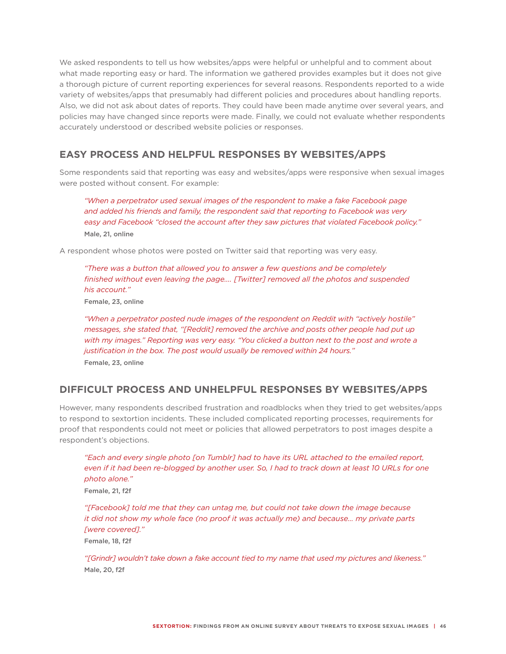We asked respondents to tell us how websites/apps were helpful or unhelpful and to comment about what made reporting easy or hard. The information we gathered provides examples but it does not give a thorough picture of current reporting experiences for several reasons. Respondents reported to a wide variety of websites/apps that presumably had different policies and procedures about handling reports. Also, we did not ask about dates of reports. They could have been made anytime over several years, and policies may have changed since reports were made. Finally, we could not evaluate whether respondents accurately understood or described website policies or responses.

## **EASY PROCESS AND HELPFUL RESPONSES BY WEBSITES/APPS**

Some respondents said that reporting was easy and websites/apps were responsive when sexual images were posted without consent. For example:

*"When a perpetrator used sexual images of the respondent to make a fake Facebook page and added his friends and family, the respondent said that reporting to Facebook was very easy and Facebook "closed the account after they saw pictures that violated Facebook policy."* Male, 21, online

A respondent whose photos were posted on Twitter said that reporting was very easy.

*"There was a button that allowed you to answer a few questions and be completely finished without even leaving the page…. [Twitter] removed all the photos and suspended his account."*

Female, 23, online

*"When a perpetrator posted nude images of the respondent on Reddit with "actively hostile" messages, she stated that, "[Reddit] removed the archive and posts other people had put up with my images." Reporting was very easy. "You clicked a button next to the post and wrote a justification in the box. The post would usually be removed within 24 hours."* Female, 23, online

## **DIFFICULT PROCESS AND UNHELPFUL RESPONSES BY WEBSITES/APPS**

However, many respondents described frustration and roadblocks when they tried to get websites/apps to respond to sextortion incidents. These included complicated reporting processes, requirements for proof that respondents could not meet or policies that allowed perpetrators to post images despite a respondent's objections.

*"Each and every single photo [on Tumblr] had to have its URL attached to the emailed report,*  even if it had been re-blogged by another user. So, I had to track down at least 10 URLs for one *photo alone."* Female, 21, f2f

*"[Facebook] told me that they can untag me, but could not take down the image because it did not show my whole face (no proof it was actually me) and because… my private parts [were covered]."* 

Female, 18, f2f

*"[Grindr] wouldn't take down a fake account tied to my name that used my pictures and likeness."* Male, 20, f2f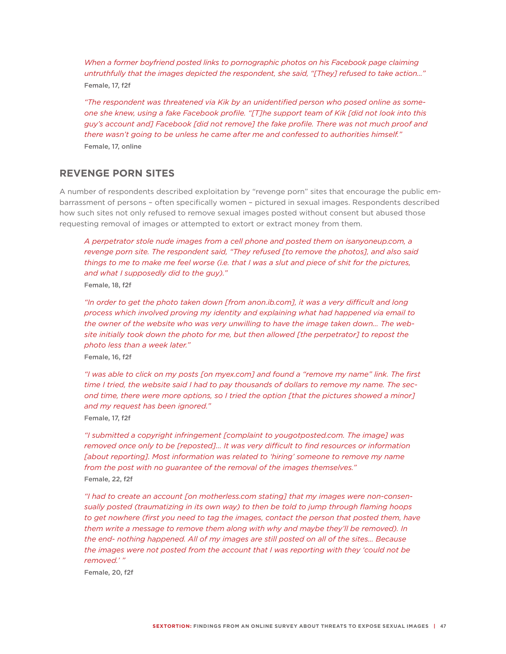*When a former boyfriend posted links to pornographic photos on his Facebook page claiming untruthfully that the images depicted the respondent, she said, "[They] refused to take action…"*  Female, 17, f2f

*"The respondent was threatened via Kik by an unidentified person who posed online as someone she knew, using a fake Facebook profile. "[T]he support team of Kik [did not look into this guy's account and] Facebook [did not remove] the fake profile. There was not much proof and there wasn't going to be unless he came after me and confessed to authorities himself."*  Female, 17, online

#### **REVENGE PORN SITES**

A number of respondents described exploitation by "revenge porn" sites that encourage the public embarrassment of persons – often specifically women – pictured in sexual images. Respondents described how such sites not only refused to remove sexual images posted without consent but abused those requesting removal of images or attempted to extort or extract money from them.

*A perpetrator stole nude images from a cell phone and posted them on isanyoneup.com, a revenge porn site. The respondent said, "They refused [to remove the photos], and also said things to me to make me feel worse (i.e. that I was a slut and piece of shit for the pictures, and what I supposedly did to the guy)."* Female, 18, f2f

*"In order to get the photo taken down [from anon.ib.com], it was a very difficult and long process which involved proving my identity and explaining what had happened via email to the owner of the website who was very unwilling to have the image taken down… The website initially took down the photo for me, but then allowed [the perpetrator] to repost the photo less than a week later."*

Female, 16, f2f

*"I was able to click on my posts [on myex.com] and found a "remove my name" link. The first time I tried, the website said I had to pay thousands of dollars to remove my name. The second time, there were more options, so I tried the option [that the pictures showed a minor] and my request has been ignored."*

Female, 17, f2f

*"I submitted a copyright infringement [complaint to yougotposted.com. The image] was removed once only to be [reposted]... It was very difficult to find resources or information [about reporting]. Most information was related to 'hiring' someone to remove my name from the post with no guarantee of the removal of the images themselves."* Female, 22, f2f

*"I had to create an account [on motherless.com stating] that my images were non-consensually posted (traumatizing in its own way) to then be told to jump through flaming hoops*  to get nowhere (first you need to tag the images, contact the person that posted them, have *them write a message to remove them along with why and maybe they'll be removed). In the end- nothing happened. All of my images are still posted on all of the sites… Because the images were not posted from the account that I was reporting with they 'could not be removed.' "*

Female, 20, f2f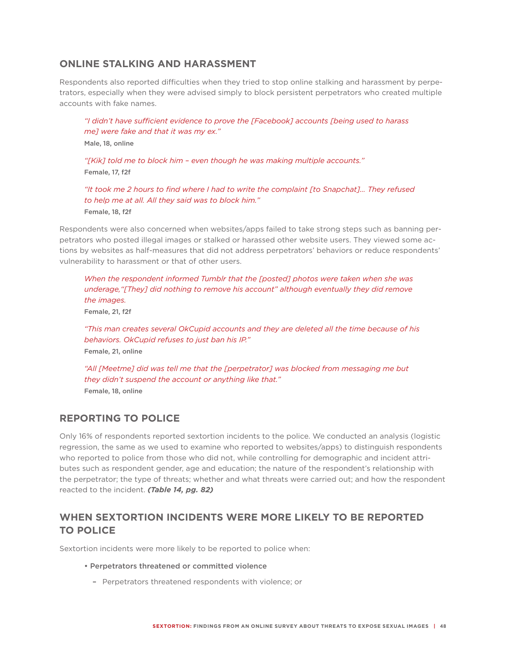## **ONLINE STALKING AND HARASSMENT**

Respondents also reported difficulties when they tried to stop online stalking and harassment by perpetrators, especially when they were advised simply to block persistent perpetrators who created multiple accounts with fake names.

*"I didn't have sufficient evidence to prove the [Facebook] accounts [being used to harass me] were fake and that it was my ex."* Male, 18, online *"[Kik] told me to block him – even though he was making multiple accounts."*

Female, 17, f2f

*"It took me 2 hours to find where I had to write the complaint [to Snapchat]… They refused to help me at all. All they said was to block him."* Female, 18, f2f

Respondents were also concerned when websites/apps failed to take strong steps such as banning perpetrators who posted illegal images or stalked or harassed other website users. They viewed some actions by websites as half-measures that did not address perpetrators' behaviors or reduce respondents' vulnerability to harassment or that of other users.

*When the respondent informed Tumblr that the [posted] photos were taken when she was underage,"[They] did nothing to remove his account" although eventually they did remove the images.* Female, 21, f2f

*"This man creates several OkCupid accounts and they are deleted all the time because of his behaviors. OkCupid refuses to just ban his IP."* Female, 21, online

*"All [Meetme] did was tell me that the [perpetrator] was blocked from messaging me but they didn't suspend the account or anything like that."* Female, 18, online

#### **REPORTING TO POLICE**

Only 16% of respondents reported sextortion incidents to the police. We conducted an analysis (logistic regression, the same as we used to examine who reported to websites/apps) to distinguish respondents who reported to police from those who did not, while controlling for demographic and incident attributes such as respondent gender, age and education; the nature of the respondent's relationship with the perpetrator; the type of threats; whether and what threats were carried out; and how the respondent reacted to the incident. *(Table 14, pg. 82)*

## **WHEN SEXTORTION INCIDENTS WERE MORE LIKELY TO BE REPORTED TO POLICE**

Sextortion incidents were more likely to be reported to police when:

- Perpetrators threatened or committed violence
	- Perpetrators threatened respondents with violence; or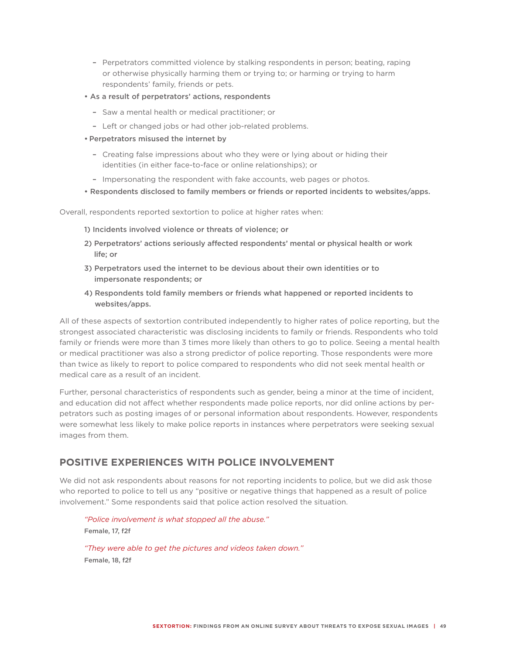- Perpetrators committed violence by stalking respondents in person; beating, raping or otherwise physically harming them or trying to; or harming or trying to harm respondents' family, friends or pets.
- As a result of perpetrators' actions, respondents
	- Saw a mental health or medical practitioner; or
	- Left or changed jobs or had other job-related problems.
- Perpetrators misused the internet by
	- Creating false impressions about who they were or lying about or hiding their identities (in either face-to-face or online relationships); or
	- Impersonating the respondent with fake accounts, web pages or photos.
- Respondents disclosed to family members or friends or reported incidents to websites/apps.

Overall, respondents reported sextortion to police at higher rates when:

- 1) Incidents involved violence or threats of violence; or
- 2) Perpetrators' actions seriously affected respondents' mental or physical health or work life; or
- 3) Perpetrators used the internet to be devious about their own identities or to impersonate respondents; or
- 4) Respondents told family members or friends what happened or reported incidents to websites/apps.

All of these aspects of sextortion contributed independently to higher rates of police reporting, but the strongest associated characteristic was disclosing incidents to family or friends. Respondents who told family or friends were more than 3 times more likely than others to go to police. Seeing a mental health or medical practitioner was also a strong predictor of police reporting. Those respondents were more than twice as likely to report to police compared to respondents who did not seek mental health or medical care as a result of an incident.

Further, personal characteristics of respondents such as gender, being a minor at the time of incident, and education did not affect whether respondents made police reports, nor did online actions by perpetrators such as posting images of or personal information about respondents. However, respondents were somewhat less likely to make police reports in instances where perpetrators were seeking sexual images from them.

#### **POSITIVE EXPERIENCES WITH POLICE INVOLVEMENT**

We did not ask respondents about reasons for not reporting incidents to police, but we did ask those who reported to police to tell us any "positive or negative things that happened as a result of police involvement." Some respondents said that police action resolved the situation.

*"Police involvement is what stopped all the abuse."* Female, 17, f2f *"They were able to get the pictures and videos taken down."*

Female, 18, f2f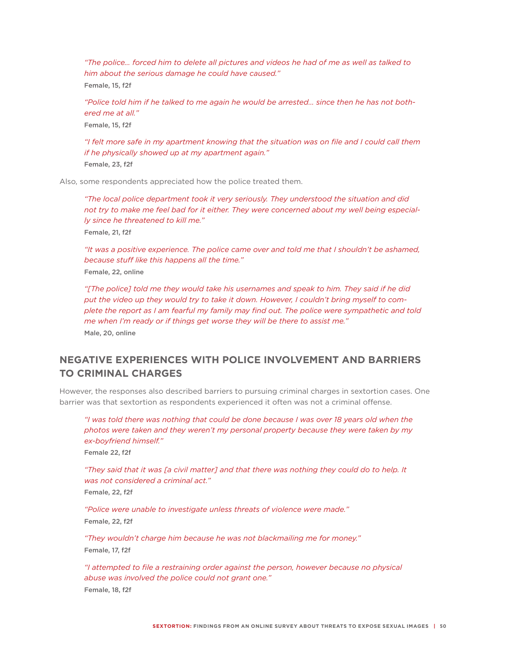*"The police… forced him to delete all pictures and videos he had of me as well as talked to him about the serious damage he could have caused."* Female, 15, f2f

*"Police told him if he talked to me again he would be arrested… since then he has not bothered me at all."*

Female, 15, f2f

*"I felt more safe in my apartment knowing that the situation was on file and I could call them if he physically showed up at my apartment again."*

Female, 23, f2f

Also, some respondents appreciated how the police treated them.

*"The local police department took it very seriously. They understood the situation and did not try to make me feel bad for it either. They were concerned about my well being especially since he threatened to kill me."* Female, 21, f2f

*"It was a positive experience. The police came over and told me that I shouldn't be ashamed, because stuff like this happens all the time."* Female, 22, online

*"[The police] told me they would take his usernames and speak to him. They said if he did put the video up they would try to take it down. However, I couldn't bring myself to complete the report as I am fearful my family may find out. The police were sympathetic and told me when I'm ready or if things get worse they will be there to assist me."* Male, 20, online

## **NEGATIVE EXPERIENCES WITH POLICE INVOLVEMENT AND BARRIERS TO CRIMINAL CHARGES**

However, the responses also described barriers to pursuing criminal charges in sextortion cases. One barrier was that sextortion as respondents experienced it often was not a criminal offense.

*"I was told there was nothing that could be done because I was over 18 years old when the photos were taken and they weren't my personal property because they were taken by my ex-boyfriend himself."*

Female 22, f2f

*"They said that it was [a civil matter] and that there was nothing they could do to help. It was not considered a criminal act."*

Female, 22, f2f

*"Police were unable to investigate unless threats of violence were made."* Female, 22, f2f

*"They wouldn't charge him because he was not blackmailing me for money."* Female, 17, f2f

*"I attempted to file a restraining order against the person, however because no physical abuse was involved the police could not grant one."* Female, 18, f2f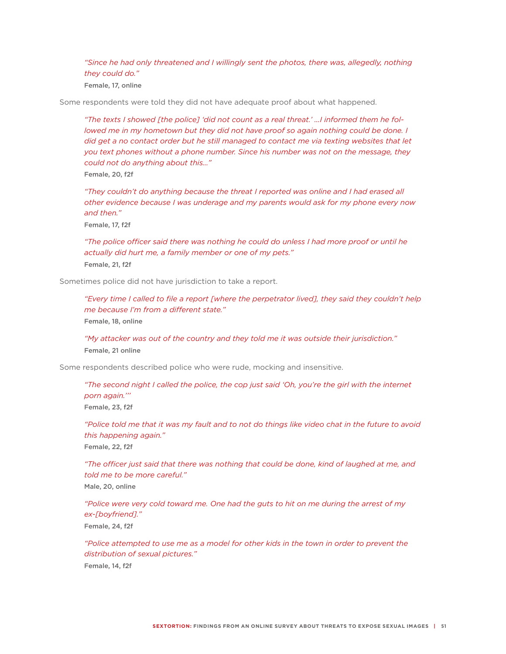"Since he had only threatened and I willingly sent the photos, there was, allegedly, nothing *they could do."*

Female, 17, online

Some respondents were told they did not have adequate proof about what happened.

*"The texts I showed [the police] 'did not count as a real threat.' …I informed them he followed me in my hometown but they did not have proof so again nothing could be done. I* did get a no contact order but he still managed to contact me via texting websites that let *you text phones without a phone number. Since his number was not on the message, they could not do anything about this…"* Female, 20, f2f

*"They couldn't do anything because the threat I reported was online and I had erased all other evidence because I was underage and my parents would ask for my phone every now* 

*and then."*

Female, 17, f2f

*"The police officer said there was nothing he could do unless I had more proof or until he actually did hurt me, a family member or one of my pets."* Female, 21, f2f

Sometimes police did not have jurisdiction to take a report.

*"Every time I called to file a report [where the perpetrator lived], they said they couldn't help me because I'm from a different state."* Female, 18, online

*"My attacker was out of the country and they told me it was outside their jurisdiction."* Female, 21 online

Some respondents described police who were rude, mocking and insensitive.

*"The second night I called the police, the cop just said 'Oh, you're the girl with the internet porn again.'''* Female, 23, f2f

*"Police told me that it was my fault and to not do things like video chat in the future to avoid this happening again."*

Female, 22, f2f

*"The officer just said that there was nothing that could be done, kind of laughed at me, and told me to be more careful."*

Male, 20, online

*"Police were very cold toward me. One had the guts to hit on me during the arrest of my ex-[boyfriend]."*

Female, 24, f2f

*"Police attempted to use me as a model for other kids in the town in order to prevent the distribution of sexual pictures."*

Female, 14, f2f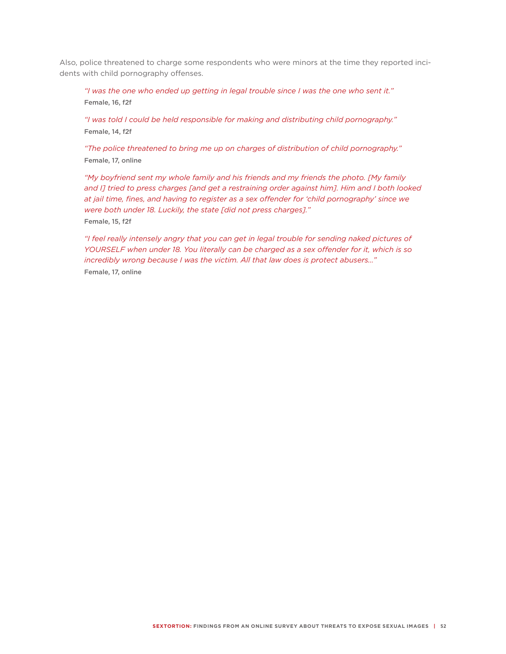Also, police threatened to charge some respondents who were minors at the time they reported incidents with child pornography offenses.

*"I was the one who ended up getting in legal trouble since I was the one who sent it."* Female, 16, f2f

*"I was told I could be held responsible for making and distributing child pornography."* Female, 14, f2f

*"The police threatened to bring me up on charges of distribution of child pornography."* Female, 17, online

*"My boyfriend sent my whole family and his friends and my friends the photo. [My family and I] tried to press charges [and get a restraining order against him]. Him and I both looked at jail time, fines, and having to register as a sex offender for 'child pornography' since we were both under 18. Luckily, the state [did not press charges]."* Female, 15, f2f

*"I feel really intensely angry that you can get in legal trouble for sending naked pictures of YOURSELF when under 18. You literally can be charged as a sex offender for it, which is so incredibly wrong because I was the victim. All that law does is protect abusers…"* Female, 17, online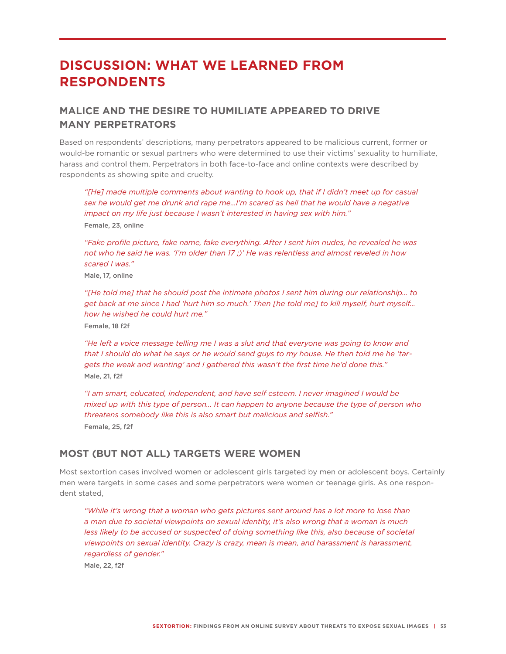# **DISCUSSION: WHAT WE LEARNED FROM RESPONDENTS**

## **MALICE AND THE DESIRE TO HUMILIATE APPEARED TO DRIVE MANY PERPETRATORS**

Based on respondents' descriptions, many perpetrators appeared to be malicious current, former or would-be romantic or sexual partners who were determined to use their victims' sexuality to humiliate, harass and control them. Perpetrators in both face-to-face and online contexts were described by respondents as showing spite and cruelty.

*"[He] made multiple comments about wanting to hook up, that if I didn't meet up for casual sex he would get me drunk and rape me…I'm scared as hell that he would have a negative impact on my life just because I wasn't interested in having sex with him."* Female, 23, online

*"Fake profile picture, fake name, fake everything. After I sent him nudes, he revealed he was not who he said he was. 'I'm older than 17 ;)' He was relentless and almost reveled in how scared I was."*

Male, 17, online

*"[He told me] that he should post the intimate photos I sent him during our relationship… to get back at me since I had 'hurt him so much.' Then [he told me] to kill myself, hurt myself… how he wished he could hurt me."* Female, 18 f2f

*"He left a voice message telling me I was a slut and that everyone was going to know and that I should do what he says or he would send guys to my house. He then told me he 'targets the weak and wanting' and I gathered this wasn't the first time he'd done this."* Male, 21, f2f

*"I am smart, educated, independent, and have self esteem. I never imagined I would be mixed up with this type of person… It can happen to anyone because the type of person who threatens somebody like this is also smart but malicious and selfish."* Female, 25, f2f

## **MOST (BUT NOT ALL) TARGETS WERE WOMEN**

Most sextortion cases involved women or adolescent girls targeted by men or adolescent boys. Certainly men were targets in some cases and some perpetrators were women or teenage girls. As one respondent stated,

*"While it's wrong that a woman who gets pictures sent around has a lot more to lose than a man due to societal viewpoints on sexual identity, it's also wrong that a woman is much*  less likely to be accused or suspected of doing something like this, also because of societal *viewpoints on sexual identity. Crazy is crazy, mean is mean, and harassment is harassment, regardless of gender."*

Male, 22, f2f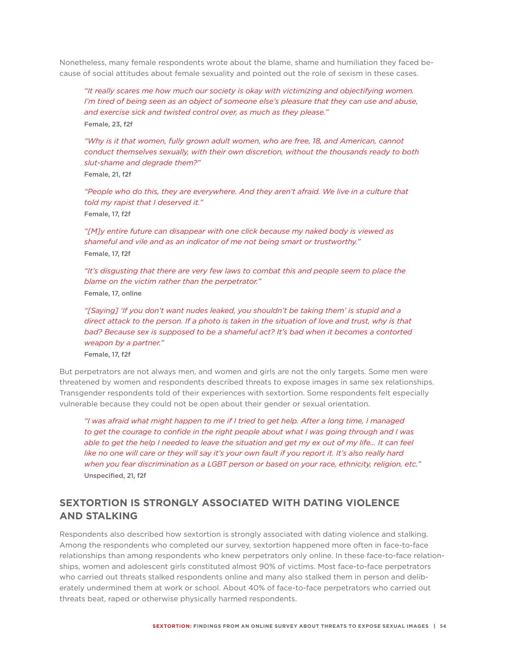Nonetheless, many female respondents wrote about the blame, shame and humiliation they faced because of social attitudes about female sexuality and pointed out the role of sexism in these cases.

*"It really scares me how much our society is okay with victimizing and objectifying women. I'm tired of being seen as an object of someone else's pleasure that they can use and abuse, and exercise sick and twisted control over, as much as they please."* Female, 23, f2f

*"Why is it that women, fully grown adult women, who are free, 18, and American, cannot conduct themselves sexually, with their own discretion, without the thousands ready to both slut-shame and degrade them?"*

Female, 21, f2f

"People who do this, they are everywhere. And they aren't afraid. We live in a culture that *told my rapist that I deserved it."* Female, 17, f2f

*"[M]y entire future can disappear with one click because my naked body is viewed as shameful and vile and as an indicator of me not being smart or trustworthy."* Female, 17, f2f

*"It's disgusting that there are very few laws to combat this and people seem to place the blame on the victim rather than the perpetrator."*

Female, 17, online

*"[Saying] 'If you don't want nudes leaked, you shouldn't be taking them' is stupid and a*  direct attack to the person. If a photo is taken in the situation of love and trust, why is that *bad? Because sex is supposed to be a shameful act? It's bad when it becomes a contorted weapon by a partner."* Female, 17, f2f

But perpetrators are not always men, and women and girls are not the only targets. Some men were threatened by women and respondents described threats to expose images in same sex relationships. Transgender respondents told of their experiences with sextortion. Some respondents felt especially vulnerable because they could not be open about their gender or sexual orientation.

*"I was afraid what might happen to me if I tried to get help. After a long time, I managed*  to get the courage to confide in the right people about what I was going through and I was *able to get the help I needed to leave the situation and get my ex out of my life… It can feel*  like no one will care or they will say it's your own fault if you report it. It's also really hard *when you fear discrimination as a LGBT person or based on your race, ethnicity, religion, etc."* Unspecified, 21, f2f

# **SEXTORTION IS STRONGLY ASSOCIATED WITH DATING VIOLENCE AND STALKING**

Respondents also described how sextortion is strongly associated with dating violence and stalking. Among the respondents who completed our survey, sextortion happened more often in face-to-face relationships than among respondents who knew perpetrators only online. In these face-to-face relationships, women and adolescent girls constituted almost 90% of victims. Most face-to-face perpetrators who carried out threats stalked respondents online and many also stalked them in person and deliberately undermined them at work or school. About 40% of face-to-face perpetrators who carried out threats beat, raped or otherwise physically harmed respondents.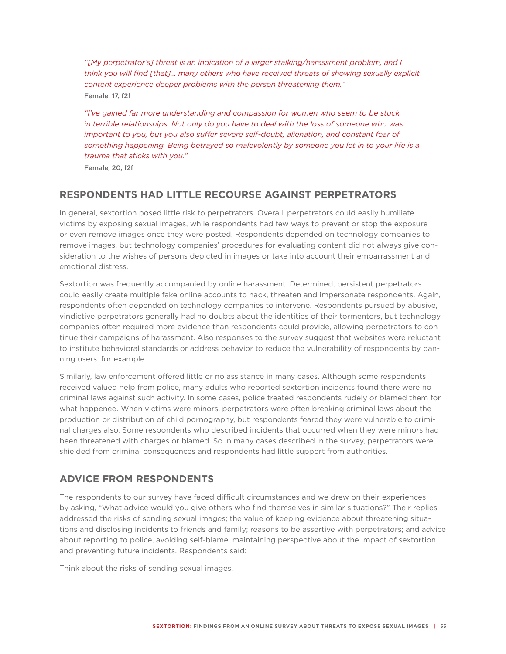*"[My perpetrator's] threat is an indication of a larger stalking/harassment problem, and I think you will find [that]… many others who have received threats of showing sexually explicit content experience deeper problems with the person threatening them."* Female, 17, f2f

*"I've gained far more understanding and compassion for women who seem to be stuck in terrible relationships. Not only do you have to deal with the loss of someone who was*  important to you, but you also suffer severe self-doubt, alienation, and constant fear of *something happening. Being betrayed so malevolently by someone you let in to your life is a trauma that sticks with you."*

Female, 20, f2f

#### **RESPONDENTS HAD LITTLE RECOURSE AGAINST PERPETRATORS**

In general, sextortion posed little risk to perpetrators. Overall, perpetrators could easily humiliate victims by exposing sexual images, while respondents had few ways to prevent or stop the exposure or even remove images once they were posted. Respondents depended on technology companies to remove images, but technology companies' procedures for evaluating content did not always give consideration to the wishes of persons depicted in images or take into account their embarrassment and emotional distress.

Sextortion was frequently accompanied by online harassment. Determined, persistent perpetrators could easily create multiple fake online accounts to hack, threaten and impersonate respondents. Again, respondents often depended on technology companies to intervene. Respondents pursued by abusive, vindictive perpetrators generally had no doubts about the identities of their tormentors, but technology companies often required more evidence than respondents could provide, allowing perpetrators to continue their campaigns of harassment. Also responses to the survey suggest that websites were reluctant to institute behavioral standards or address behavior to reduce the vulnerability of respondents by banning users, for example.

Similarly, law enforcement offered little or no assistance in many cases. Although some respondents received valued help from police, many adults who reported sextortion incidents found there were no criminal laws against such activity. In some cases, police treated respondents rudely or blamed them for what happened. When victims were minors, perpetrators were often breaking criminal laws about the production or distribution of child pornography, but respondents feared they were vulnerable to criminal charges also. Some respondents who described incidents that occurred when they were minors had been threatened with charges or blamed. So in many cases described in the survey, perpetrators were shielded from criminal consequences and respondents had little support from authorities.

## **ADVICE FROM RESPONDENTS**

The respondents to our survey have faced difficult circumstances and we drew on their experiences by asking, "What advice would you give others who find themselves in similar situations?" Their replies addressed the risks of sending sexual images; the value of keeping evidence about threatening situations and disclosing incidents to friends and family; reasons to be assertive with perpetrators; and advice about reporting to police, avoiding self-blame, maintaining perspective about the impact of sextortion and preventing future incidents. Respondents said:

Think about the risks of sending sexual images.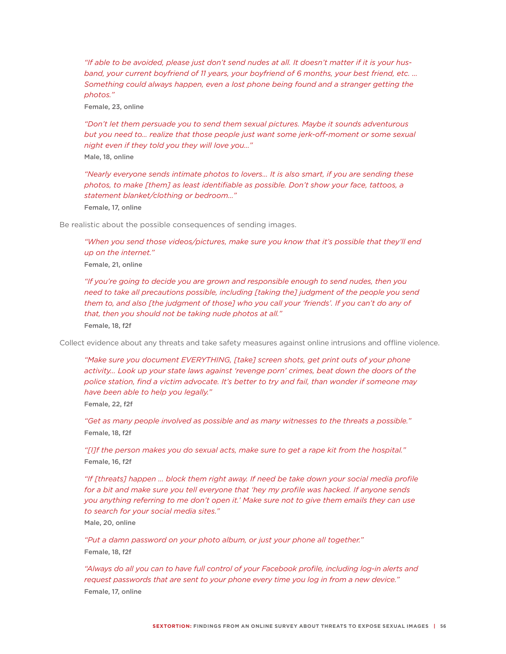*"If able to be avoided, please just don't send nudes at all. It doesn't matter if it is your husband, your current boyfriend of 11 years, your boyfriend of 6 months, your best friend, etc. … Something could always happen, even a lost phone being found and a stranger getting the photos."*

Female, 23, online

*"Don't let them persuade you to send them sexual pictures. Maybe it sounds adventurous but you need to… realize that those people just want some jerk-off-moment or some sexual night even if they told you they will love you…"*

Male, 18, online

*"Nearly everyone sends intimate photos to lovers… It is also smart, if you are sending these photos, to make [them] as least identifiable as possible. Don't show your face, tattoos, a statement blanket/clothing or bedroom…"*

Female, 17, online

Be realistic about the possible consequences of sending images.

*"When you send those videos/pictures, make sure you know that it's possible that they'll end up on the internet."*

Female, 21, online

*"If you're going to decide you are grown and responsible enough to send nudes, then you need to take all precautions possible, including [taking the] judgment of the people you send them to, and also [the judgment of those] who you call your 'friends'. If you can't do any of that, then you should not be taking nude photos at all."*  Female, 18, f2f

Collect evidence about any threats and take safety measures against online intrusions and offline violence.

*"Make sure you document EVERYTHING, [take] screen shots, get print outs of your phone activity… Look up your state laws against 'revenge porn' crimes, beat down the doors of the*  police station, find a victim advocate. It's better to try and fail, than wonder if someone may *have been able to help you legally."*

Female, 22, f2f

*"Get as many people involved as possible and as many witnesses to the threats a possible."* Female, 18, f2f

*"[I]f the person makes you do sexual acts, make sure to get a rape kit from the hospital."* Female, 16, f2f

*"If [threats] happen … block them right away. If need be take down your social media profile*  for a bit and make sure you tell everyone that 'hey my profile was hacked. If anyone sends *you anything referring to me don't open it.' Make sure not to give them emails they can use to search for your social media sites."* Male, 20, online

*"Put a damn password on your photo album, or just your phone all together."* Female, 18, f2f

*"Always do all you can to have full control of your Facebook profile, including log-in alerts and request passwords that are sent to your phone every time you log in from a new device."* Female, 17, online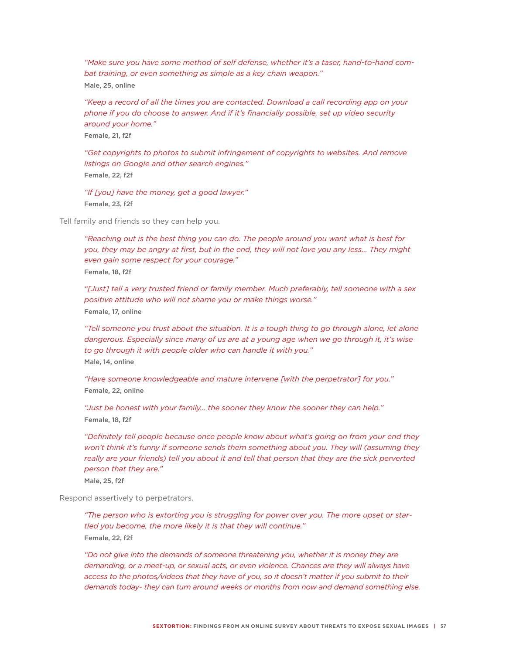*"Make sure you have some method of self defense, whether it's a taser, hand-to-hand combat training, or even something as simple as a key chain weapon."* Male, 25, online

*"Keep a record of all the times you are contacted. Download a call recording app on your phone if you do choose to answer. And if it's financially possible, set up video security around your home."*

Female, 21, f2f

*"Get copyrights to photos to submit infringement of copyrights to websites. And remove listings on Google and other search engines."* Female, 22, f2f

*"If [you] have the money, get a good lawyer."* Female, 23, f2f

Tell family and friends so they can help you.

*"Reaching out is the best thing you can do. The people around you want what is best for you, they may be angry at first, but in the end, they will not love you any less... They might even gain some respect for your courage."* Female, 18, f2f

*"[Just] tell a very trusted friend or family member. Much preferably, tell someone with a sex positive attitude who will not shame you or make things worse."* Female, 17, online

*"Tell someone you trust about the situation. It is a tough thing to go through alone, let alone dangerous. Especially since many of us are at a young age when we go through it, it's wise to go through it with people older who can handle it with you."* Male, 14, online

*"Have someone knowledgeable and mature intervene [with the perpetrator] for you."* Female, 22, online

*"Just be honest with your family… the sooner they know the sooner they can help."* Female, 18, f2f

*"Definitely tell people because once people know about what's going on from your end they won't think it's funny if someone sends them something about you. They will (assuming they really are your friends) tell you about it and tell that person that they are the sick perverted person that they are."*

Male, 25, f2f

Respond assertively to perpetrators.

*"The person who is extorting you is struggling for power over you. The more upset or startled you become, the more likely it is that they will continue."* Female, 22, f2f

*"Do not give into the demands of someone threatening you, whether it is money they are demanding, or a meet-up, or sexual acts, or even violence. Chances are they will always have access to the photos/videos that they have of you, so it doesn't matter if you submit to their demands today- they can turn around weeks or months from now and demand something else.*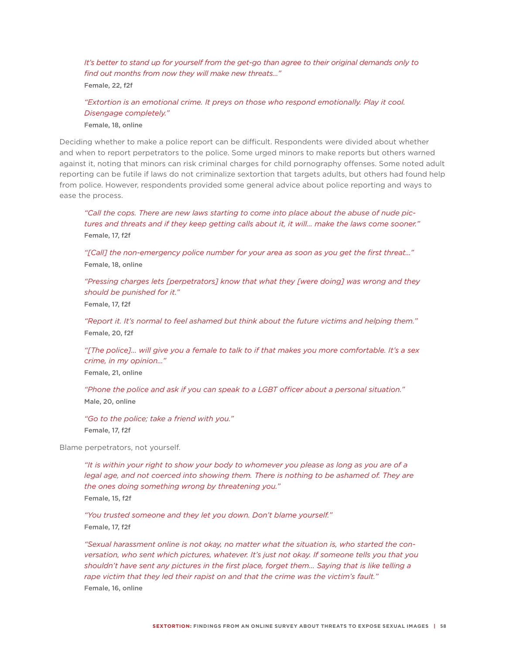*It's better to stand up for yourself from the get-go than agree to their original demands only to find out months from now they will make new threats…"*

Female, 22, f2f

*"Extortion is an emotional crime. It preys on those who respond emotionally. Play it cool. Disengage completely."*

Female, 18, online

Deciding whether to make a police report can be difficult. Respondents were divided about whether and when to report perpetrators to the police. Some urged minors to make reports but others warned against it, noting that minors can risk criminal charges for child pornography offenses. Some noted adult reporting can be futile if laws do not criminalize sextortion that targets adults, but others had found help from police. However, respondents provided some general advice about police reporting and ways to ease the process.

*"Call the cops. There are new laws starting to come into place about the abuse of nude pictures and threats and if they keep getting calls about it, it will… make the laws come sooner."* Female, 17, f2f

*"[Call] the non-emergency police number for your area as soon as you get the first threat…"* Female, 18, online

*"Pressing charges lets [perpetrators] know that what they [were doing] was wrong and they should be punished for it."*

Female, 17, f2f

*"Report it. It's normal to feel ashamed but think about the future victims and helping them."* Female, 20, f2f

*"[The police]… will give you a female to talk to if that makes you more comfortable. It's a sex crime, in my opinion…"*

Female, 21, online

*"Phone the police and ask if you can speak to a LGBT officer about a personal situation."* Male, 20, online

*"Go to the police; take a friend with you."* Female, 17, f2f

Blame perpetrators, not yourself.

*"It is within your right to show your body to whomever you please as long as you are of a*  legal age, and not coerced into showing them. There is nothing to be ashamed of. They are *the ones doing something wrong by threatening you."* Female, 15, f2f

*"You trusted someone and they let you down. Don't blame yourself."* Female, 17, f2f

*"Sexual harassment online is not okay, no matter what the situation is, who started the conversation, who sent which pictures, whatever. It's just not okay. If someone tells you that you shouldn't have sent any pictures in the first place, forget them... Saying that is like telling a rape victim that they led their rapist on and that the crime was the victim's fault."*

Female, 16, online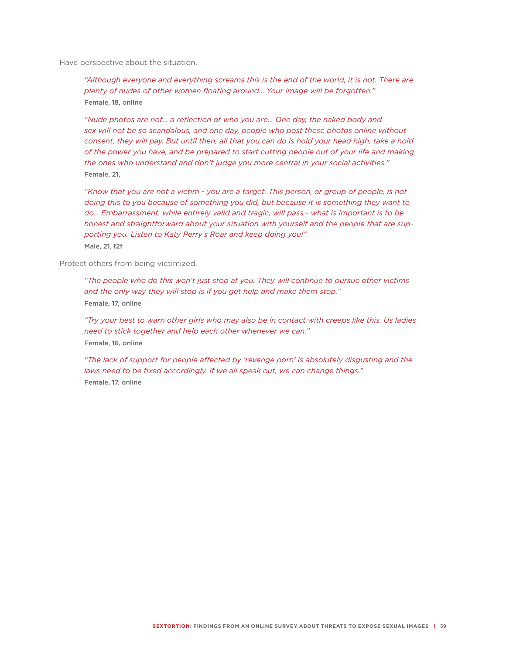Have perspective about the situation.

"Although everyone and everything screams this is the end of the world, it is not. There are *plenty of nudes of other women floating around… Your image will be forgotten."* Female, 18, online

*"Nude photos are not… a reflection of who you are… One day, the naked body and sex will not be so scandalous, and one day, people who post these photos online without consent, they will pay. But until then, all that you can do is hold your head high, take a hold of the power you have, and be prepared to start cutting people out of your life and making the ones who understand and don't judge you more central in your social activities."* Female, 21,

"Know that you are not a victim - you are a target. This person, or group of people, is not *doing this to you because of something you did, but because it is something they want to do… Embarrassment, while entirely valid and tragic, will pass - what is important is to be honest and straightforward about your situation with yourself and the people that are supporting you. Listen to Katy Perry's Roar and keep doing you!"* Male, 21, f2f

Protect others from being victimized.

*"The people who do this won't just stop at you. They will continue to pursue other victims and the only way they will stop is if you get help and make them stop."* Female, 17, online

*"Try your best to warn other girls who may also be in contact with creeps like this. Us ladies need to stick together and help each other whenever we can."* Female, 16, online

*"The lack of support for people affected by 'revenge porn' is absolutely disgusting and the laws need to be fixed accordingly. If we all speak out, we can change things."* Female, 17, online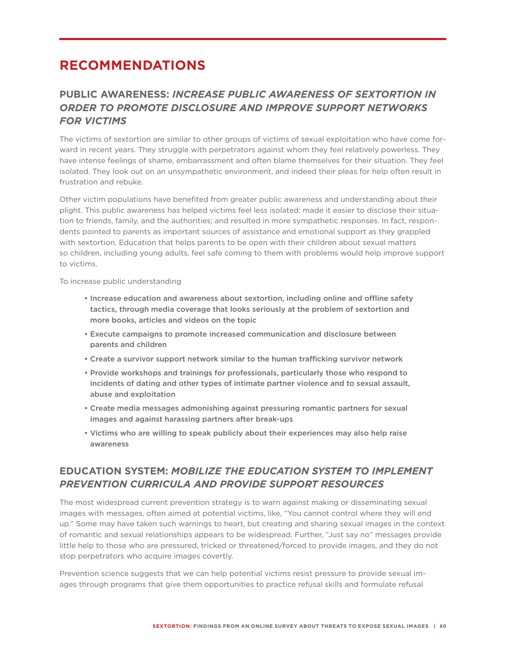# **RECOMMENDATIONS**

# **PUBLIC AWARENESS:** *INCREASE PUBLIC AWARENESS OF SEXTORTION IN ORDER TO PROMOTE DISCLOSURE AND IMPROVE SUPPORT NETWORKS FOR VICTIMS*

The victims of sextortion are similar to other groups of victims of sexual exploitation who have come forward in recent years. They struggle with perpetrators against whom they feel relatively powerless. They have intense feelings of shame, embarrassment and often blame themselves for their situation. They feel isolated. They look out on an unsympathetic environment, and indeed their pleas for help often result in frustration and rebuke.

Other victim populations have benefited from greater public awareness and understanding about their plight. This public awareness has helped victims feel less isolated; made it easier to disclose their situation to friends, family, and the authorities; and resulted in more sympathetic responses. In fact, respondents pointed to parents as important sources of assistance and emotional support as they grappled with sextortion. Education that helps parents to be open with their children about sexual matters so children, including young adults, feel safe coming to them with problems would help improve support to victims.

To increase public understanding

- Increase education and awareness about sextortion, including online and offline safety tactics, through media coverage that looks seriously at the problem of sextortion and more books, articles and videos on the topic
- Execute campaigns to promote increased communication and disclosure between parents and children
- Create a survivor support network similar to the human trafficking survivor network
- Provide workshops and trainings for professionals, particularly those who respond to incidents of dating and other types of intimate partner violence and to sexual assault, abuse and exploitation
- Create media messages admonishing against pressuring romantic partners for sexual images and against harassing partners after break-ups
- Victims who are willing to speak publicly about their experiences may also help raise awareness

## **EDUCATION SYSTEM:** *MOBILIZE THE EDUCATION SYSTEM TO IMPLEMENT PREVENTION CURRICULA AND PROVIDE SUPPORT RESOURCES*

The most widespread current prevention strategy is to warn against making or disseminating sexual images with messages, often aimed at potential victims, like, "You cannot control where they will end up." Some may have taken such warnings to heart, but creating and sharing sexual images in the context of romantic and sexual relationships appears to be widespread. Further, "Just say no" messages provide little help to those who are pressured, tricked or threatened/forced to provide images, and they do not stop perpetrators who acquire images covertly.

Prevention science suggests that we can help potential victims resist pressure to provide sexual images through programs that give them opportunities to practice refusal skills and formulate refusal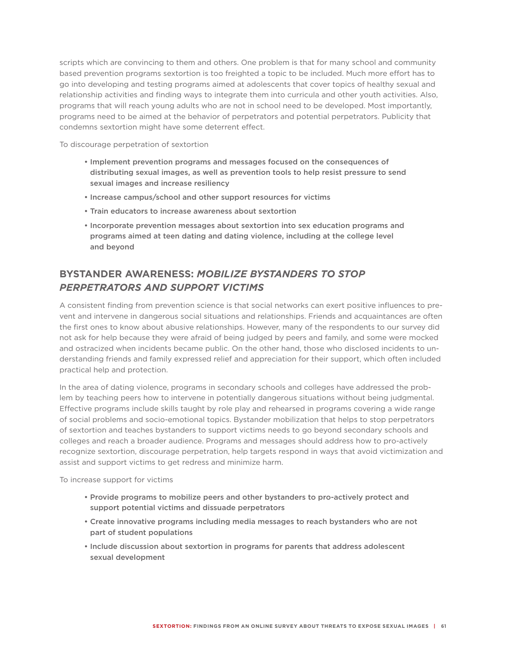scripts which are convincing to them and others. One problem is that for many school and community based prevention programs sextortion is too freighted a topic to be included. Much more effort has to go into developing and testing programs aimed at adolescents that cover topics of healthy sexual and relationship activities and finding ways to integrate them into curricula and other youth activities. Also, programs that will reach young adults who are not in school need to be developed. Most importantly, programs need to be aimed at the behavior of perpetrators and potential perpetrators. Publicity that condemns sextortion might have some deterrent effect.

To discourage perpetration of sextortion

- Implement prevention programs and messages focused on the consequences of distributing sexual images, as well as prevention tools to help resist pressure to send sexual images and increase resiliency
- Increase campus/school and other support resources for victims
- Train educators to increase awareness about sextortion
- Incorporate prevention messages about sextortion into sex education programs and programs aimed at teen dating and dating violence, including at the college level and beyond

# **BYSTANDER AWARENESS:** *MOBILIZE BYSTANDERS TO STOP PERPETRATORS AND SUPPORT VICTIMS*

A consistent finding from prevention science is that social networks can exert positive influences to prevent and intervene in dangerous social situations and relationships. Friends and acquaintances are often the first ones to know about abusive relationships. However, many of the respondents to our survey did not ask for help because they were afraid of being judged by peers and family, and some were mocked and ostracized when incidents became public. On the other hand, those who disclosed incidents to understanding friends and family expressed relief and appreciation for their support, which often included practical help and protection.

In the area of dating violence, programs in secondary schools and colleges have addressed the problem by teaching peers how to intervene in potentially dangerous situations without being judgmental. Effective programs include skills taught by role play and rehearsed in programs covering a wide range of social problems and socio-emotional topics. Bystander mobilization that helps to stop perpetrators of sextortion and teaches bystanders to support victims needs to go beyond secondary schools and colleges and reach a broader audience. Programs and messages should address how to pro-actively recognize sextortion, discourage perpetration, help targets respond in ways that avoid victimization and assist and support victims to get redress and minimize harm.

To increase support for victims

- Provide programs to mobilize peers and other bystanders to pro-actively protect and support potential victims and dissuade perpetrators
- Create innovative programs including media messages to reach bystanders who are not part of student populations
- Include discussion about sextortion in programs for parents that address adolescent sexual development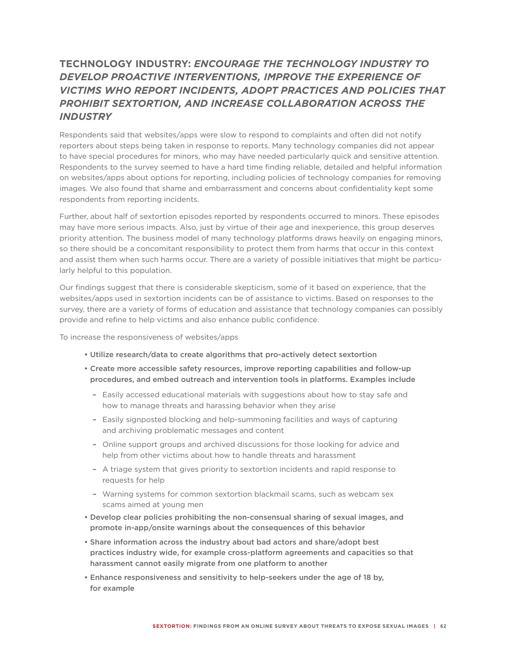# **TECHNOLOGY INDUSTRY:** *ENCOURAGE THE TECHNOLOGY INDUSTRY TO DEVELOP PROACTIVE INTERVENTIONS, IMPROVE THE EXPERIENCE OF VICTIMS WHO REPORT INCIDENTS, ADOPT PRACTICES AND POLICIES THAT PROHIBIT SEXTORTION, AND INCREASE COLLABORATION ACROSS THE INDUSTRY*

Respondents said that websites/apps were slow to respond to complaints and often did not notify reporters about steps being taken in response to reports. Many technology companies did not appear to have special procedures for minors, who may have needed particularly quick and sensitive attention. Respondents to the survey seemed to have a hard time finding reliable, detailed and helpful information on websites/apps about options for reporting, including policies of technology companies for removing images. We also found that shame and embarrassment and concerns about confidentiality kept some respondents from reporting incidents.

Further, about half of sextortion episodes reported by respondents occurred to minors. These episodes may have more serious impacts. Also, just by virtue of their age and inexperience, this group deserves priority attention. The business model of many technology platforms draws heavily on engaging minors, so there should be a concomitant responsibility to protect them from harms that occur in this context and assist them when such harms occur. There are a variety of possible initiatives that might be particularly helpful to this population.

Our findings suggest that there is considerable skepticism, some of it based on experience, that the websites/apps used in sextortion incidents can be of assistance to victims. Based on responses to the survey, there are a variety of forms of education and assistance that technology companies can possibly provide and refine to help victims and also enhance public confidence.

To increase the responsiveness of websites/apps

- Utilize research/data to create algorithms that pro-actively detect sextortion
- Create more accessible safety resources, improve reporting capabilities and follow-up procedures, and embed outreach and intervention tools in platforms. Examples include
	- Easily accessed educational materials with suggestions about how to stay safe and how to manage threats and harassing behavior when they arise
	- Easily signposted blocking and help-summoning facilities and ways of capturing and archiving problematic messages and content
	- Online support groups and archived discussions for those looking for advice and help from other victims about how to handle threats and harassment
	- A triage system that gives priority to sextortion incidents and rapid response to requests for help
	- Warning systems for common sextortion blackmail scams, such as webcam sex scams aimed at young men
- Develop clear policies prohibiting the non-consensual sharing of sexual images, and promote in-app/onsite warnings about the consequences of this behavior
- Share information across the industry about bad actors and share/adopt best practices industry wide, for example cross-platform agreements and capacities so that harassment cannot easily migrate from one platform to another
- Enhance responsiveness and sensitivity to help-seekers under the age of 18 by, for example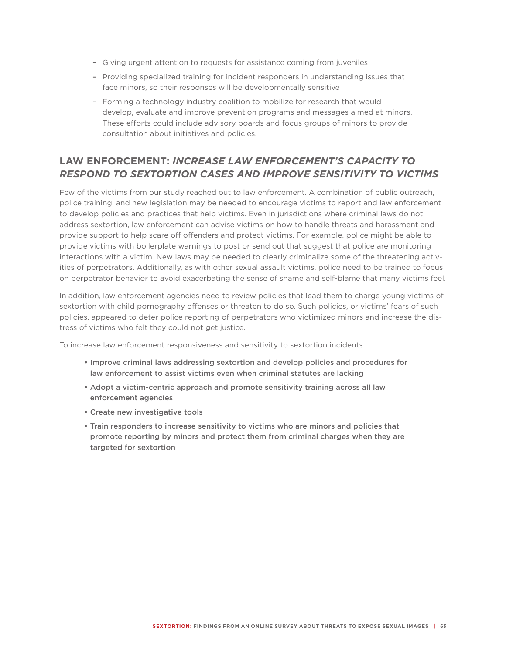- Giving urgent attention to requests for assistance coming from juveniles
- Providing specialized training for incident responders in understanding issues that face minors, so their responses will be developmentally sensitive
- Forming a technology industry coalition to mobilize for research that would develop, evaluate and improve prevention programs and messages aimed at minors. These efforts could include advisory boards and focus groups of minors to provide consultation about initiatives and policies.

## **LAW ENFORCEMENT:** *INCREASE LAW ENFORCEMENT'S CAPACITY TO RESPOND TO SEXTORTION CASES AND IMPROVE SENSITIVITY TO VICTIMS*

Few of the victims from our study reached out to law enforcement. A combination of public outreach, police training, and new legislation may be needed to encourage victims to report and law enforcement to develop policies and practices that help victims. Even in jurisdictions where criminal laws do not address sextortion, law enforcement can advise victims on how to handle threats and harassment and provide support to help scare off offenders and protect victims. For example, police might be able to provide victims with boilerplate warnings to post or send out that suggest that police are monitoring interactions with a victim. New laws may be needed to clearly criminalize some of the threatening activities of perpetrators. Additionally, as with other sexual assault victims, police need to be trained to focus on perpetrator behavior to avoid exacerbating the sense of shame and self-blame that many victims feel.

In addition, law enforcement agencies need to review policies that lead them to charge young victims of sextortion with child pornography offenses or threaten to do so. Such policies, or victims' fears of such policies, appeared to deter police reporting of perpetrators who victimized minors and increase the distress of victims who felt they could not get justice.

To increase law enforcement responsiveness and sensitivity to sextortion incidents

- Improve criminal laws addressing sextortion and develop policies and procedures for law enforcement to assist victims even when criminal statutes are lacking
- Adopt a victim-centric approach and promote sensitivity training across all law enforcement agencies
- Create new investigative tools
- Train responders to increase sensitivity to victims who are minors and policies that promote reporting by minors and protect them from criminal charges when they are targeted for sextortion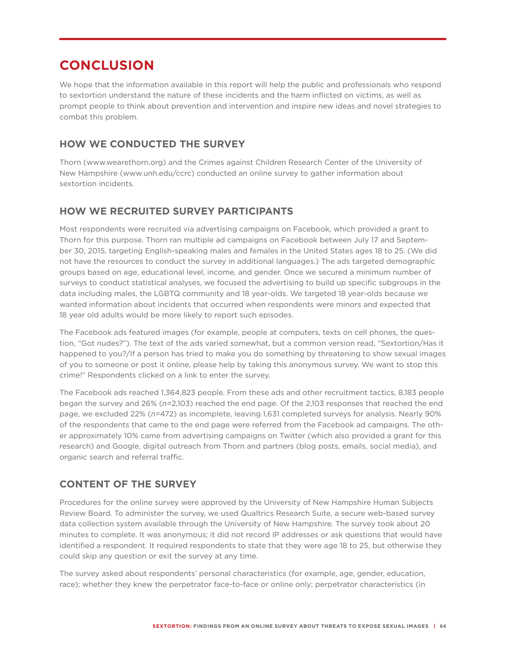# **CONCLUSION**

We hope that the information available in this report will help the public and professionals who respond to sextortion understand the nature of these incidents and the harm inflicted on victims, as well as prompt people to think about prevention and intervention and inspire new ideas and novel strategies to combat this problem.

## **HOW WE CONDUCTED THE SURVEY**

Thorn (www.wearethorn.org) and the Crimes against Children Research Center of the University of New Hampshire (www.unh.edu/ccrc) conducted an online survey to gather information about sextortion incidents.

## **HOW WE RECRUITED SURVEY PARTICIPANTS**

Most respondents were recruited via advertising campaigns on Facebook, which provided a grant to Thorn for this purpose. Thorn ran multiple ad campaigns on Facebook between July 17 and September 30, 2015, targeting English-speaking males and females in the United States ages 18 to 25. (We did not have the resources to conduct the survey in additional languages.) The ads targeted demographic groups based on age, educational level, income, and gender. Once we secured a minimum number of surveys to conduct statistical analyses, we focused the advertising to build up specific subgroups in the data including males, the LGBTQ community and 18 year-olds. We targeted 18 year-olds because we wanted information about incidents that occurred when respondents were minors and expected that 18 year old adults would be more likely to report such episodes.

The Facebook ads featured images (for example, people at computers, texts on cell phones, the question, "Got nudes?"). The text of the ads varied somewhat, but a common version read, "Sextortion/Has it happened to you?/If a person has tried to make you do something by threatening to show sexual images of you to someone or post it online, please help by taking this anonymous survey. We want to stop this crime!" Respondents clicked on a link to enter the survey.

The Facebook ads reached 1,364,823 people. From these ads and other recruitment tactics, 8,183 people began the survey and 26% (*n=*2,103) reached the end page. Of the 2,103 responses that reached the end page, we excluded 22% (*n=*472) as incomplete, leaving 1,631 completed surveys for analysis. Nearly 90% of the respondents that came to the end page were referred from the Facebook ad campaigns. The other approximately 10% came from advertising campaigns on Twitter (which also provided a grant for this research) and Google, digital outreach from Thorn and partners (blog posts, emails, social media), and organic search and referral traffic.

## **CONTENT OF THE SURVEY**

Procedures for the online survey were approved by the University of New Hampshire Human Subjects Review Board. To administer the survey, we used Qualtrics Research Suite, a secure web-based survey data collection system available through the University of New Hampshire. The survey took about 20 minutes to complete. It was anonymous; it did not record IP addresses or ask questions that would have identified a respondent. It required respondents to state that they were age 18 to 25, but otherwise they could skip any question or exit the survey at any time.

The survey asked about respondents' personal characteristics (for example, age, gender, education, race); whether they knew the perpetrator face-to-face or online only; perpetrator characteristics (in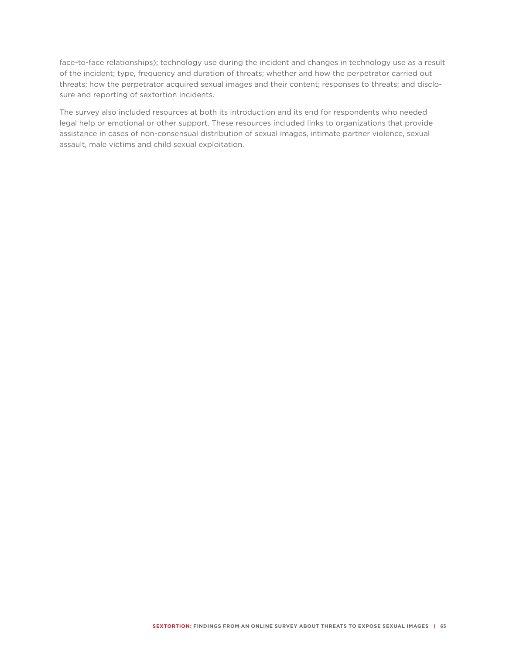face-to-face relationships); technology use during the incident and changes in technology use as a result of the incident; type, frequency and duration of threats; whether and how the perpetrator carried out threats; how the perpetrator acquired sexual images and their content; responses to threats; and disclosure and reporting of sextortion incidents.

The survey also included resources at both its introduction and its end for respondents who needed legal help or emotional or other support. These resources included links to organizations that provide assistance in cases of non-consensual distribution of sexual images, intimate partner violence, sexual assault, male victims and child sexual exploitation.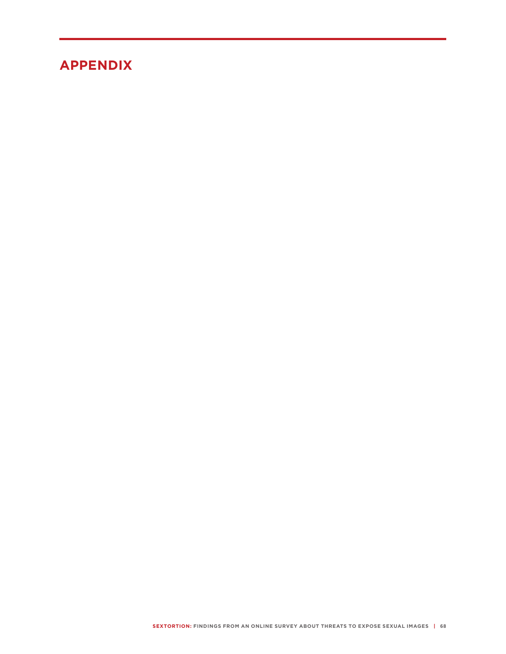# **APPENDIX**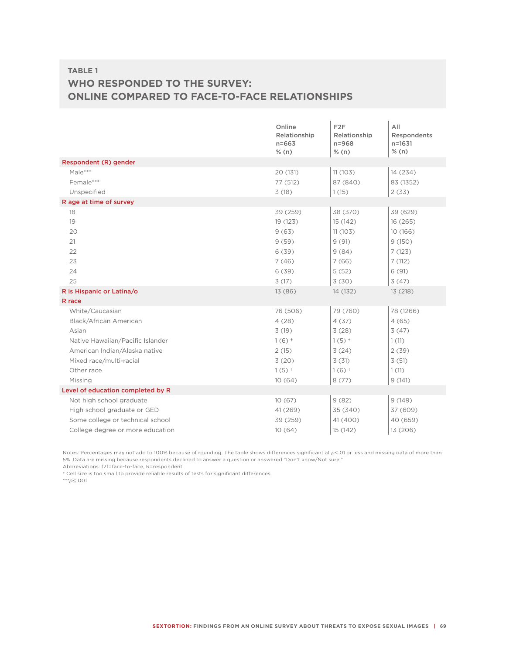# **TABLE 1 WHO RESPONDED TO THE SURVEY: ONLINE COMPARED TO FACE-TO-FACE RELATIONSHIPS**

|                                   | Online<br>Relationship<br>$n = 663$ | F <sub>2</sub> F<br>Relationship<br>$n = 968$ | All<br>Respondents<br>$n = 1631$ |
|-----------------------------------|-------------------------------------|-----------------------------------------------|----------------------------------|
|                                   | % (n)                               | % (n)                                         | % (n)                            |
| Respondent (R) gender             |                                     |                                               |                                  |
| Male***                           | 20 (131)                            | 11(103)                                       | 14 (234)                         |
| Female***                         | 77 (512)                            | 87 (840)                                      | 83 (1352)                        |
| Unspecified                       | 3(18)                               | 1(15)                                         | 2(33)                            |
| R age at time of survey           |                                     |                                               |                                  |
| 18                                | 39 (259)                            | 38 (370)                                      | 39 (629)                         |
| 19                                | 19 (123)                            | 15 (142)                                      | 16(265)                          |
| 20                                | 9(63)                               | 11(103)                                       | 10 (166)                         |
| 21                                | 9(59)                               | 9(91)                                         | 9(150)                           |
| 22                                | 6(39)                               | 9(84)                                         | 7(123)                           |
| 23                                | 7(46)                               | 7(66)                                         | 7(112)                           |
| 24                                | 6(39)                               | 5(52)                                         | 6(91)                            |
| 25                                | 3(17)                               | 3(30)                                         | 3(47)                            |
| R is Hispanic or Latina/o         | 13 (86)                             | 14 (132)                                      | 13 (218)                         |
| R race                            |                                     |                                               |                                  |
| White/Caucasian                   | 76 (506)                            | 79 (760)                                      | 78 (1266)                        |
| Black/African American            | 4(28)                               | 4(37)                                         | 4(65)                            |
| Asian                             | 3(19)                               | 3(28)                                         | 3(47)                            |
| Native Hawaiian/Pacific Islander  | $1(6)$ +                            | $1(5)$ †                                      | 1(11)                            |
| American Indian/Alaska native     | 2(15)                               | 3(24)                                         | 2(39)                            |
| Mixed race/multi-racial           | 3(20)                               | 3(31)                                         | 3(51)                            |
| Other race                        | $1(5)$ †                            | $1(6)$ †                                      | 1(11)                            |
| Missing                           | 10(64)                              | 8(77)                                         | 9(141)                           |
| Level of education completed by R |                                     |                                               |                                  |
| Not high school graduate          | 10(67)                              | 9(82)                                         | 9(149)                           |
| High school graduate or GED       | 41 (269)                            | 35 (340)                                      | 37 (609)                         |
| Some college or technical school  | 39 (259)                            | 41 (400)                                      | 40 (659)                         |
| College degree or more education  | 10(64)                              | 15 (142)                                      | 13 (206)                         |

Notes: Percentages may not add to 100% because of rounding. The table shows differences significant at  $p\leq 01$  or less and missing data of more than 5%. Data are missing because respondents declined to answer a question or answered "Don't know/Not sure."

Abbreviations: f2f=face-to-face, R=respondent

† Cell size is too small to provide reliable results of tests for significant differences.

\*\*\**p*<\_.001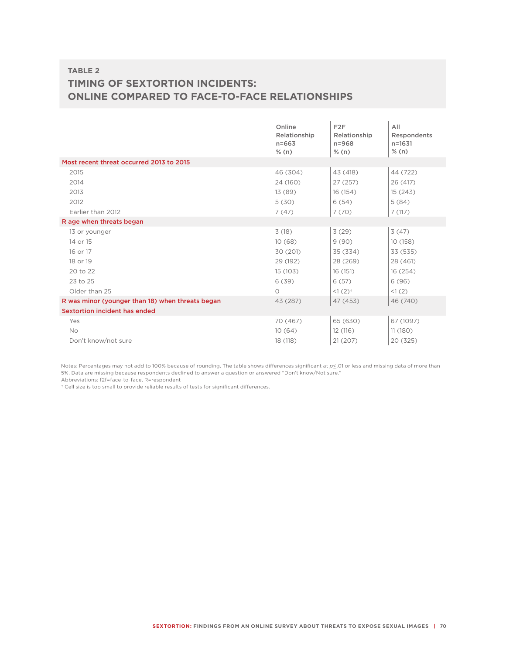## **TABLE 2 TIMING OF SEXTORTION INCIDENTS: ONLINE COMPARED TO FACE-TO-FACE RELATIONSHIPS**

|                                                  | Online<br>Relationship<br>$n = 663$<br>% (n) | F <sub>2F</sub><br>Relationship<br>$n = 968$<br>% (n) | AII<br>Respondents<br>$n = 1631$<br>% (n) |
|--------------------------------------------------|----------------------------------------------|-------------------------------------------------------|-------------------------------------------|
| Most recent threat occurred 2013 to 2015         |                                              |                                                       |                                           |
| 2015                                             | 46 (304)                                     | 43 (418)                                              | 44 (722)                                  |
| 2014                                             | 24 (160)                                     | 27 (257)                                              | 26 (417)                                  |
| 2013                                             | 13 (89)                                      | 16 (154)                                              | 15(243)                                   |
| 2012                                             | 5(30)                                        | 6(54)                                                 | 5(84)                                     |
| Earlier than 2012                                | 7(47)                                        | 7(70)                                                 | 7(117)                                    |
| R age when threats began                         |                                              |                                                       |                                           |
| 13 or younger                                    | 3(18)                                        | 3(29)                                                 | 3(47)                                     |
| 14 or 15                                         | 10(68)                                       | 9(90)                                                 | 10 (158)                                  |
| 16 or 17                                         | 30 (201)                                     | 35 (334)                                              | 33 (535)                                  |
| 18 or 19                                         | 29 (192)                                     | 28 (269)                                              | 28 (461)                                  |
| 20 to 22                                         | 15 (103)                                     | 16 (151)                                              | 16 (254)                                  |
| 23 to 25                                         | 6(39)                                        | 6(57)                                                 | 6(96)                                     |
| Older than 25                                    | $\circ$                                      | $1(2)^{+}$                                            | <1(2)                                     |
| R was minor (younger than 18) when threats began | 43 (287)                                     | 47 (453)                                              | 46 (740)                                  |
| Sextortion incident has ended                    |                                              |                                                       |                                           |
| Yes                                              | 70 (467)                                     | 65 (630)                                              | 67 (1097)                                 |
| <b>No</b>                                        | 10(64)                                       | 12 (116)                                              | 11(180)                                   |
| Don't know/not sure                              | 18 (118)                                     | 21(207)                                               | 20 (325)                                  |

Notes: Percentages may not add to 100% because of rounding. The table shows differences significant at  $p\leq 01$  or less and missing data of more than 5%. Data are missing because respondents declined to answer a question or answered "Don't know/Not sure."

Abbreviations: f2f=face-to-face, R=respondent

† Cell size is too small to provide reliable results of tests for significant differences.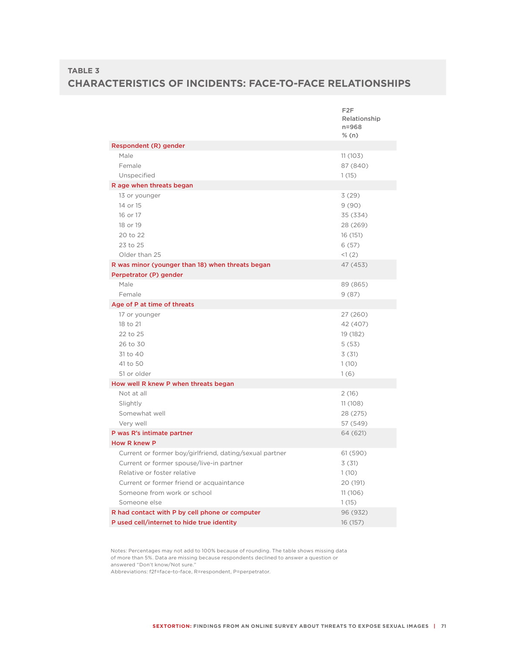## **TABLE 3 CHARACTERISTICS OF INCIDENTS: FACE-TO-FACE RELATIONSHIPS**

|                                                         | F <sub>2</sub> F<br>Relationship<br>$n = 968$<br>% (n) |
|---------------------------------------------------------|--------------------------------------------------------|
| Respondent (R) gender                                   |                                                        |
| Male                                                    | 11(103)                                                |
| Female                                                  | 87 (840)                                               |
| Unspecified                                             | 1(15)                                                  |
| R age when threats began                                |                                                        |
| 13 or younger                                           | 3(29)                                                  |
| 14 or 15                                                | 9(90)                                                  |
| 16 or 17                                                | 35 (334)                                               |
| 18 or 19                                                | 28 (269)                                               |
| 20 to 22                                                | 16 (151)                                               |
| 23 to 25                                                | 6(57)                                                  |
| Older than 25                                           | <1(2)                                                  |
| R was minor (younger than 18) when threats began        | 47 (453)                                               |
| Perpetrator (P) gender                                  |                                                        |
| Male                                                    | 89 (865)                                               |
| Female                                                  | 9(87)                                                  |
| Age of P at time of threats                             |                                                        |
| 17 or younger                                           | 27 (260)                                               |
| 18 to 21                                                | 42 (407)                                               |
| 22 to 25                                                | 19 (182)                                               |
| 26 to 30                                                | 5(53)                                                  |
| 31 to 40                                                | 3(31)                                                  |
| 41 to 50                                                | 1(10)                                                  |
| 51 or older                                             | 1(6)                                                   |
| How well R knew P when threats began                    |                                                        |
| Not at all                                              | 2(16)                                                  |
| Slightly                                                | 11(108)                                                |
| Somewhat well                                           | 28 (275)                                               |
| Very well                                               | 57 (549)                                               |
| P was R's intimate partner                              | 64 (621)                                               |
| <b>How R knew P</b>                                     |                                                        |
| Current or former boy/girlfriend, dating/sexual partner | 61 (590)                                               |
| Current or former spouse/live-in partner                | 3(31)                                                  |
| Relative or foster relative                             | 1(10)                                                  |
| Current or former friend or acquaintance                | 20 (191)                                               |
| Someone from work or school                             | 11(106)                                                |
| Someone else                                            | 1(15)                                                  |
| R had contact with P by cell phone or computer          | 96 (932)                                               |
| P used cell/internet to hide true identity              | 16 (157)                                               |

Notes: Percentages may not add to 100% because of rounding. The table shows missing data of more than 5%. Data are missing because respondents declined to answer a question or answered "Don't know/Not sure."

Abbreviations: f2f=face-to-face, R=respondent, P=perpetrator.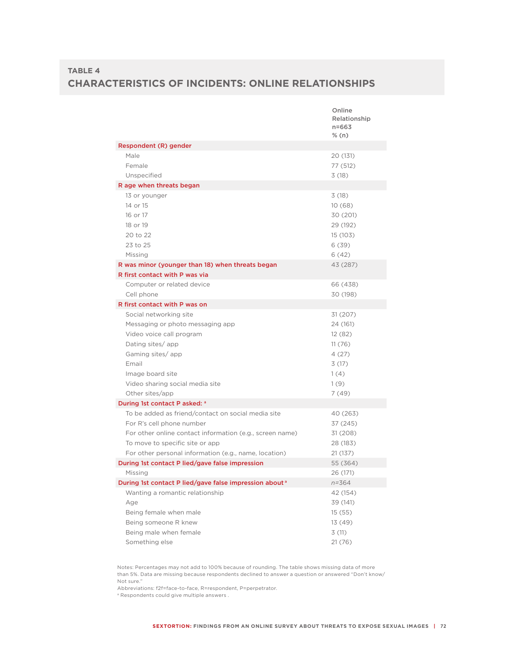## **TABLE 4 CHARACTERISTICS OF INCIDENTS: ONLINE RELATIONSHIPS**

|                                                                    | Online<br>Relationship<br>$n = 663$<br>% (n) |
|--------------------------------------------------------------------|----------------------------------------------|
| Respondent (R) gender                                              |                                              |
| Male                                                               | 20 (131)                                     |
| Female                                                             | 77 (512)                                     |
| Unspecified                                                        | 3(18)                                        |
| R age when threats began                                           |                                              |
| 13 or younger                                                      | 3(18)                                        |
| 14 or 15                                                           | 10(68)                                       |
| 16 or 17                                                           | 30 (201)                                     |
| 18 or 19                                                           | 29 (192)                                     |
| 20 to 22                                                           | 15 (103)                                     |
| 23 to 25                                                           | 6(39)                                        |
| Missing                                                            | 6(42)                                        |
| R was minor (younger than 18) when threats began                   | 43 (287)                                     |
| R first contact with P was via                                     |                                              |
| Computer or related device                                         | 66 (438)                                     |
| Cell phone                                                         | 30 (198)                                     |
| R first contact with P was on                                      |                                              |
| Social networking site                                             | 31 (207)                                     |
| Messaging or photo messaging app                                   | 24 (161)                                     |
| Video voice call program                                           | 12 (82)                                      |
| Dating sites/app                                                   | 11(76)                                       |
| Gaming sites/app                                                   | 4(27)                                        |
| Email                                                              | 3(17)                                        |
| Image board site                                                   | 1(4)                                         |
| Video sharing social media site<br>Other sites/app                 | 1(9)                                         |
| During 1st contact P asked: a                                      | 7 (49)                                       |
| To be added as friend/contact on social media site                 | 40 (263)                                     |
| For R's cell phone number                                          | 37 (245)                                     |
| For other online contact information (e.g., screen name)           | 31 (208)                                     |
| To move to specific site or app                                    | 28 (183)                                     |
| For other personal information (e.g., name, location)              | 21 (137)                                     |
| During 1st contact P lied/gave false impression                    | 55 (364)                                     |
| Missing                                                            | 26 (171)                                     |
| During 1st contact P lied/gave false impression about <sup>a</sup> | n=364                                        |
| Wanting a romantic relationship                                    | 42 (154)                                     |
| Age                                                                | 39 (141)                                     |
| Being female when male                                             | 15(55)                                       |
| Being someone R knew                                               | 13 (49)                                      |
| Being male when female                                             | 3(11)                                        |
| Something else                                                     | 21(76)                                       |

Notes: Percentages may not add to 100% because of rounding. The table shows missing data of more than 5%. Data are missing because respondents declined to answer a question or answered "Don't know/ Not sure."

Abbreviations: f2f=face-to-face, R=respondent, P=perpetrator.

<sup>a</sup> Respondents could give multiple answers.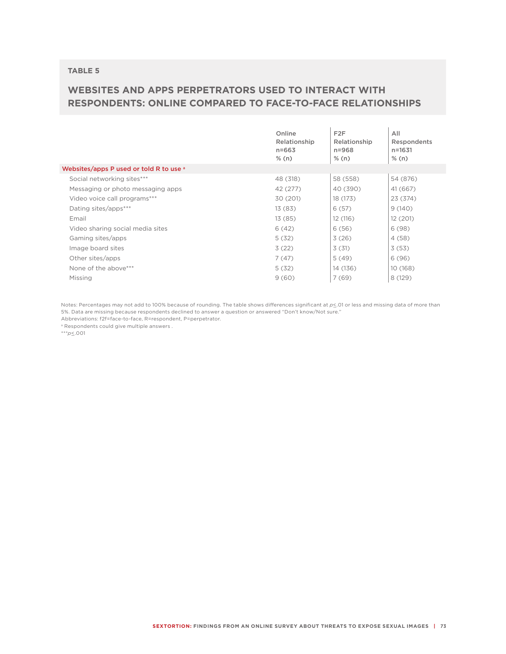#### **TABLE 5**

## **WEBSITES AND APPS PERPETRATORS USED TO INTERACT WITH RESPONDENTS: ONLINE COMPARED TO FACE-TO-FACE RELATIONSHIPS**

|                                         | Online<br>Relationship<br>$n = 663$<br>% (n) | F <sub>2</sub> F<br>Relationship<br>$n = 968$<br>% (n) | All<br>Respondents<br>$n = 1631$<br>% (n) |
|-----------------------------------------|----------------------------------------------|--------------------------------------------------------|-------------------------------------------|
| Websites/apps P used or told R to use a |                                              |                                                        |                                           |
| Social networking sites***              | 48 (318)                                     | 58 (558)                                               | 54 (876)                                  |
| Messaging or photo messaging apps       | 42 (277)                                     | 40 (390)                                               | 41 (667)                                  |
| Video voice call programs***            | 30 (201)                                     | 18 (173)                                               | 23 (374)                                  |
| Dating sites/apps***                    | 13(83)                                       | 6(57)                                                  | 9(140)                                    |
| Email                                   | 13 (85)                                      | 12 (116)                                               | 12 (201)                                  |
| Video sharing social media sites        | 6(42)                                        | 6(56)                                                  | 6(98)                                     |
| Gaming sites/apps                       | 5(32)                                        | 3(26)                                                  | 4(58)                                     |
| Image board sites                       | 3(22)                                        | 3(31)                                                  | 3(53)                                     |
| Other sites/apps                        | 7(47)                                        | 5(49)                                                  | 6(96)                                     |
| None of the above***                    | 5(32)                                        | 14 (136)                                               | 10 (168)                                  |
| Missing                                 | 9(60)                                        | 7(69)                                                  | 8 (129)                                   |

Notes: Percentages may not add to 100% because of rounding. The table shows differences significant at  $p \leq 01$  or less and missing data of more than 5%. Data are missing because respondents declined to answer a question or answered "Don't know/Not sure."

Abbreviations: f2f=face-to-face, R=respondent, P=perpetrator.

a Respondents could give multiple answers .

\*\*\**p*<\_.001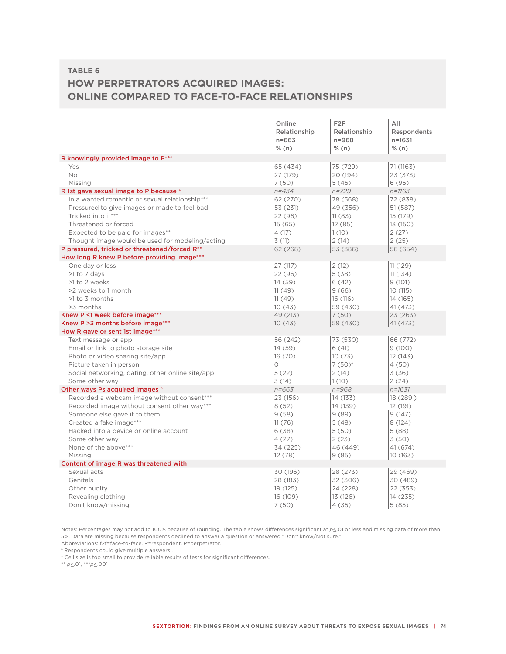#### **TABLE 6**

# **HOW PERPETRATORS ACQUIRED IMAGES: ONLINE COMPARED TO FACE-TO-FACE RELATIONSHIPS**

|                                                            | Online                    | F <sub>2</sub> F          | All                       |
|------------------------------------------------------------|---------------------------|---------------------------|---------------------------|
|                                                            | Relationship<br>$n = 663$ | Relationship<br>$n = 968$ | Respondents<br>$n = 1631$ |
|                                                            | % (n)                     | % (n)                     | % (n)                     |
| R knowingly provided image to P***                         |                           |                           |                           |
| Yes                                                        | 65 (434)                  | 75 (729)                  | 71 (1163)                 |
| <b>No</b>                                                  | 27 (179)                  | 20 (194)                  | 23 (373)                  |
| Missing                                                    | 7(50)                     | 5(45)                     | 6(95)                     |
| R 1st gave sexual image to P because a                     | $n = 434$                 | $n = 729$                 | $n = 1163$                |
| In a wanted romantic or sexual relationship***             | 62 (270)                  | 78 (568)                  | 72 (838)                  |
| Pressured to give images or made to feel bad               | 53 (231)                  | 49 (356)                  | 51 (587)                  |
| Tricked into it***                                         | 22 (96)                   | 11(83)                    | 15 (179)                  |
| Threatened or forced                                       | 15(65)                    | 12(85)                    | 13 (150)                  |
| Expected to be paid for images**                           | 4(17)                     | 1(10)                     | 2(27)                     |
| Thought image would be used for modeling/acting            | 3(11)                     | 2(14)                     | 2(25)                     |
| P pressured, tricked or threatened/forced R**              | 62 (268)                  | 53 (386)                  | 56 (654)                  |
| How long R knew P before providing image***                |                           |                           |                           |
| One day or less                                            | 27 (117)                  | 2(12)                     | 11(129)                   |
| >1 to 7 days                                               | 22 (96)                   | 5(38)                     | 11(134)                   |
| >1 to 2 weeks                                              | 14 (59)                   | 6(42)                     | 9(101)                    |
| >2 weeks to 1 month                                        | 11(49)                    | 9(66)                     | 10 (115)                  |
| >1 to 3 months                                             | 11(49)                    | 16 (116)                  | 14 (165)                  |
| >3 months                                                  | 10(43)                    | 59 (430)                  | 41 (473)                  |
| Knew P <1 week before image***                             | 49 (213)                  | 7(50)                     | 23 (263)                  |
| Knew P > 3 months before image***                          | 10(43)                    | 59 (430)                  | 41(473)                   |
| How R gave or sent 1st image***                            | 56 (242)                  | 73 (530)                  | 66 (772)                  |
| Text message or app<br>Email or link to photo storage site | 14 (59)                   | 6(41)                     | 9(100)                    |
| Photo or video sharing site/app                            | 16(70)                    | 10(73)                    | 12(143)                   |
| Picture taken in person                                    | 0                         | $7(50)^+$                 | 4(50)                     |
| Social networking, dating, other online site/app           | 5(22)                     | 2(14)                     | 3(36)                     |
| Some other way                                             | 3(14)                     | 1(10)                     | 2(24)                     |
| Other ways Ps acquired images a                            | $n = 663$                 | $n = 968$                 | $n = 1631$                |
| Recorded a webcam image without consent***                 | 23 (156)                  | 14 (133)                  | 18 (289)                  |
| Recorded image without consent other way***                | 8(52)                     | 14 (139)                  | 12 (191)                  |
| Someone else gave it to them                               | 9(58)                     | 9(89)                     | 9(147)                    |
| Created a fake image***                                    | 11(76)                    | 5(48)                     | 8(124)                    |
| Hacked into a device or online account                     | 6(38)                     | 5(50)                     | 5(88)                     |
| Some other way                                             | 4(27)                     | 2(23)                     | 3(50)                     |
| None of the above***                                       | 34 (225)                  | 46 (449)                  | 41 (674)                  |
| Missing                                                    | 12(78)                    | 9(85)                     | 10 (163)                  |
| Content of image R was threatened with                     |                           |                           |                           |
| Sexual acts                                                | 30 (196)                  | 28 (273)                  | 29 (469)                  |
| Genitals                                                   | 28 (183)                  | 32 (306)                  | 30 (489)                  |
| Other nudity                                               | 19 (125)                  | 24 (228)                  | 22 (353)                  |
| Revealing clothing                                         | 16 (109)                  | 13 (126)                  | 14 (235)                  |
| Don't know/missing                                         | 7(50)                     | 4(35)                     | 5(85)                     |

Notes: Percentages may not add to 100% because of rounding. The table shows differences significant at  $p\leq 01$  or less and missing data of more than 5%. Data are missing because respondents declined to answer a question or answered "Don't know/Not sure."

Abbreviations: f2f=face-to-face, R=respondent, P=perpetrator.

a Respondents could give multiple answers .

† Cell size is too small to provide reliable results of tests for significant differences.

\*\* *p*<\_.01, \*\*\**p*<\_.001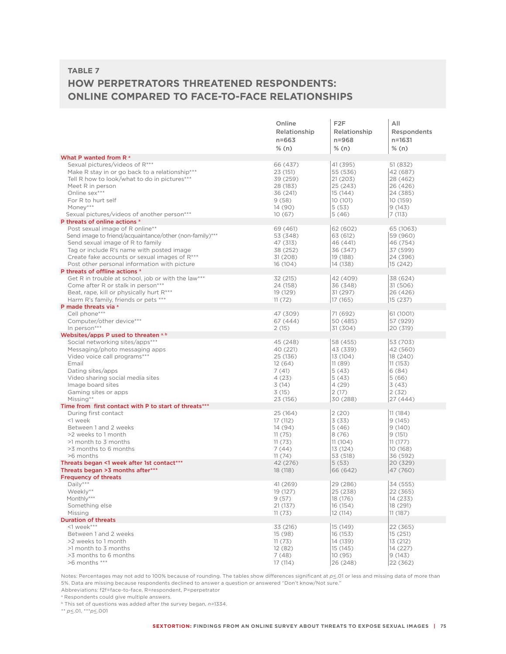## **HOW PERPETRATORS THREATENED RESPONDENTS: ONLINE COMPARED TO FACE-TO-FACE RELATIONSHIPS**

|                                                                               | Online       | F <sub>2</sub> F | All         |
|-------------------------------------------------------------------------------|--------------|------------------|-------------|
|                                                                               | Relationship | Relationship     | Respondents |
|                                                                               | $n = 663$    | $n = 968$        | n=1631      |
|                                                                               | % (n)        | % (n)            | % (n)       |
| What P wanted from R <sup>a</sup>                                             |              |                  |             |
| Sexual pictures/videos of R***                                                | 66 (437)     | 41 (395)         | 51 (832)    |
| Make R stay in or go back to a relationship***                                | 23 (151)     | 55 (536)         | 42 (687)    |
| Tell R how to look/what to do in pictures***                                  | 39 (259)     | 21(203)          | 28 (462)    |
| Meet R in person                                                              | 28 (183)     | 25 (243)         | 26 (426)    |
| Online sex***                                                                 | 36 (241)     | 15 (144)         | 24 (385)    |
| For R to hurt self                                                            | 9(58)        | 10 (101)         | 10 (159)    |
| Money***                                                                      | 14 (90)      | 5(53)            | 9(143)      |
| Sexual pictures/videos of another person***                                   | 10(67)       | 5(46)            | 7(113)      |
| P threats of online actions a                                                 |              |                  |             |
| Post sexual image of R online**                                               | 69 (461)     | 62 (602)         | 65 (1063)   |
| Send image to friend/acquaintance/other (non-family)***                       | 53 (348)     | 63 (612)         | 59 (960)    |
| Send sexual image of R to family                                              | 47 (313)     | 46 (441)         | 46 (754)    |
| Tag or include R's name with posted image                                     | 38 (252)     | 36 (347)         | 37 (599)    |
| Create fake accounts or sexual images of R***                                 | 31 (208)     | 19 (188)         | 24 (396)    |
| Post other personal information with picture                                  | 16 (104)     | 14 (138)         | 15 (242)    |
| P threats of offline actions a                                                |              |                  |             |
| Get R in trouble at school, job or with the law***                            | 32 (215)     | 42 (409)         | 38 (624)    |
| Come after R or stalk in person***                                            | 24 (158)     | 36 (348)         | 31 (506)    |
| Beat, rape, kill or physically hurt R***                                      | 19 (129)     | 31 (297)         | 26 (426)    |
| Harm R's family, friends or pets ***                                          | 11(72)       | 17 (165)         | 15 (237)    |
| P made threats via a                                                          |              |                  |             |
| Cell phone***                                                                 | 47 (309)     | 71 (692)         | 61 (1001)   |
| Computer/other device***                                                      | 67 (444)     | 50 (485)         | 57 (929)    |
| In person***                                                                  | 2(15)        | 31 (304)         | 20 (319)    |
| Websites/apps P used to threaten a.b.                                         |              |                  |             |
| Social networking sites/apps***                                               | 45 (248)     | 58 (455)         | 53 (703)    |
| Messaging/photo messaging apps                                                | 40 (221)     | 43 (339)         | 42 (560)    |
| Video voice call programs***                                                  | 25 (136)     | 13 (104)         | 18 (240)    |
| Email                                                                         | 12(64)       | 11(89)           | 11(153)     |
| Dating sites/apps                                                             | 7(41)        | 5(43)            | 6(84)       |
| Video sharing social media sites                                              | 4(23)        | 5(43)            | 5(66)       |
| Image board sites                                                             | 3(14)        | 4(29)            | 3(43)       |
| Gaming sites or apps                                                          | 3(15)        | 2(17)            | 2(32)       |
| Missing**                                                                     | 23 (156)     | 30 (288)         | 27 (444)    |
| Time from first contact with P to start of threats***<br>During first contact | 25 (164)     | 2(20)            | 11(184)     |
| <1 week                                                                       | 17 (112)     | 3(33)            | 9(145)      |
| Between 1 and 2 weeks                                                         | 14 (94)      | 5(46)            | 9(140)      |
| >2 weeks to 1 month                                                           | 11(75)       | 8(76)            | 9(151)      |
| >1 month to 3 months                                                          | 11(73)       | 11(104)          | 11(177)     |
| >3 months to 6 months                                                         | 7(44)        | 13 (124)         | 10 (168)    |
| >6 months                                                                     | 11(74)       | 53 (518)         | 36 (592)    |
| Threats began <1 week after 1st contact***                                    | 42 (276)     | 5(53)            | 20 (329)    |
| Threats began >3 months after***                                              | 18 (118)     | 66 (642)         | 47 (760)    |
| <b>Frequency of threats</b>                                                   |              |                  |             |
| $Daily***$                                                                    | 41 (269)     | 29 (286)         | 34 (555)    |
| Weekly**                                                                      | 19 (127)     | 25 (238)         | 22 (365)    |
| Monthly***                                                                    | 9(57)        | 18 (176)         | 14 (233)    |
| Something else                                                                | 21 (137)     | 16 (154)         | 18 (291)    |
| Missing                                                                       | 11(73)       | 12(114)          | 11(187)     |
| <b>Duration of threats</b>                                                    |              |                  |             |
| $1$ week***                                                                   | 33 (216)     | 15 (149)         | 22 (365)    |
| Between 1 and 2 weeks                                                         | 15 (98)      | 16 (153)         | 15 (251)    |
| >2 weeks to 1 month                                                           | 11(73)       | 14 (139)         | 13 (212)    |
| >1 month to 3 months                                                          | 12(82)       | 15 (145)         | 14 (227)    |
| >3 months to 6 months                                                         | 7(48)        | 10 (95)          | 9(143)      |
| >6 months ***                                                                 | 17 (114)     | 26 (248)         | 22 (362)    |

Notes: Percentages may not add to 100% because of rounding. The tables show differences significant at  $p \leq 01$  or less and missing data of more than 5%. Data are missing because respondents declined to answer a question or answered "Don't know/Not sure."

Abbreviations: f2f=face-to-face, R=respondent, P=perpetrator

a Respondents could give multiple answers.

b This set of questions was added after the survey began, *n=*1334.

\*\* *p*<\_.01, \*\*\**p*<\_.001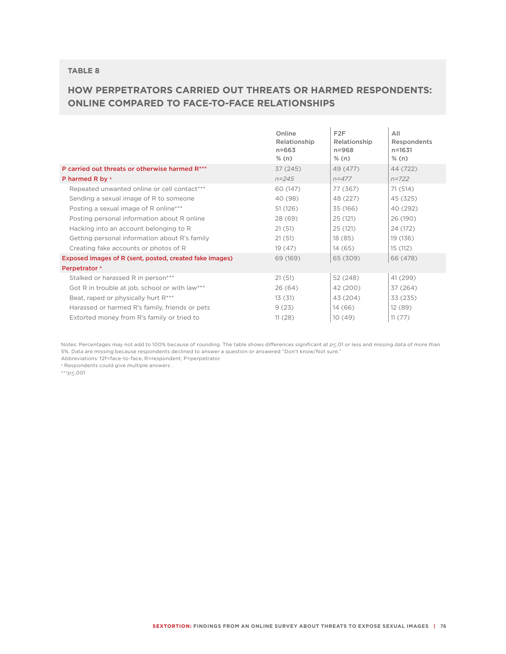### **HOW PERPETRATORS CARRIED OUT THREATS OR HARMED RESPONDENTS: ONLINE COMPARED TO FACE-TO-FACE RELATIONSHIPS**

|                                                         | Online<br>Relationship<br>$n = 663$<br>% (n) | F <sub>2</sub> F<br>Relationship<br>$n = 968$<br>% (n) | All<br>Respondents<br>$n = 1631$<br>$%$ (n) |
|---------------------------------------------------------|----------------------------------------------|--------------------------------------------------------|---------------------------------------------|
| P carried out threats or otherwise harmed R***          | 37 (245)                                     | 49 (477)                                               | 44 (722)                                    |
| P harmed R by a                                         | $n = 245$                                    | $n = 477$                                              | $n = 722$                                   |
| Repeated unwanted online or cell contact***             | 60 (147)                                     | 77 (367)                                               | 71(514)                                     |
| Sending a sexual image of R to someone                  | 40 (98)                                      | 48 (227)                                               | 45 (325)                                    |
| Posting a sexual image of R online***                   | 51(126)                                      | 35 (166)                                               | 40 (292)                                    |
| Posting personal information about R online             | 28 (69)                                      | 25 (121)                                               | 26 (190)                                    |
| Hacking into an account belonging to R                  | 21(51)                                       | 25(121)                                                | 24 (172)                                    |
| Getting personal information about R's family           | 21(51)                                       | 18 (85)                                                | 19 (136)                                    |
| Creating fake accounts or photos of R                   | 19(47)                                       | 14(65)                                                 | 15 (112)                                    |
| Exposed images of R (sent, posted, created fake images) | 69 (169)                                     | 65 (309)                                               | 66 (478)                                    |
| Perpetrator <sup>a</sup>                                |                                              |                                                        |                                             |
| Stalked or harassed R in person***                      | 21(51)                                       | 52 (248)                                               | 41 (299)                                    |
| Got R in trouble at job, school or with law***          | 26(64)                                       | 42 (200)                                               | 37 (264)                                    |
| Beat, raped or physically hurt R***                     | 13(31)                                       | 43 (204)                                               | 33 (235)                                    |
| Harassed or harmed R's family, friends or pets          | 9(23)                                        | 14(66)                                                 | 12 (89)                                     |
| Extorted money from R's family or tried to              | 11(28)                                       | 10(49)                                                 | 11(77)                                      |

Notes: Percentages may not add to 100% because of rounding. The table shows differences significant at  $p \leq 01$  or less and missing data of more than 5%. Data are missing because respondents declined to answer a question or answered "Don't know/Not sure."

Abbreviations: f2f=face-to-face, R=respondent, P=perpetrator.

a Respondents could give multiple answers .

\*\*\**p*<\_.001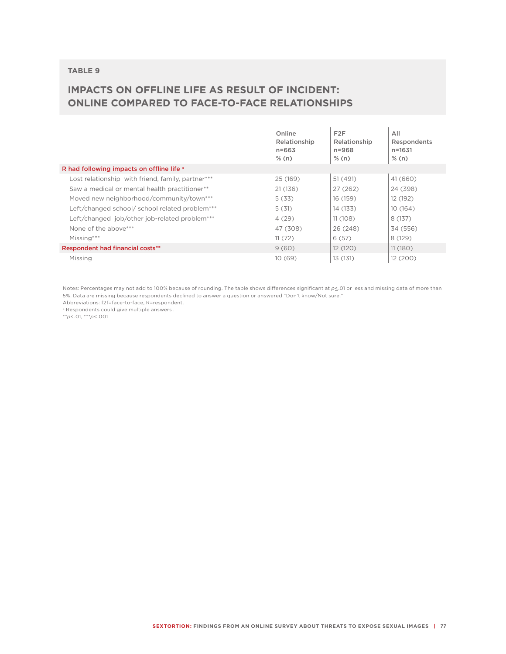## **IMPACTS ON OFFLINE LIFE AS RESULT OF INCIDENT: ONLINE COMPARED TO FACE-TO-FACE RELATIONSHIPS**

|                                                   | Online<br>Relationship<br>$n = 663$<br>% (n) | F <sub>2</sub> F<br>Relationship<br>$n = 968$<br>% (n) | All<br>Respondents<br>$n = 1631$<br>% (n) |
|---------------------------------------------------|----------------------------------------------|--------------------------------------------------------|-------------------------------------------|
| R had following impacts on offline life a         |                                              |                                                        |                                           |
| Lost relationship with friend, family, partner*** | 25 (169)                                     | 51 (491)                                               | 41 (660)                                  |
| Saw a medical or mental health practitioner**     | 21(136)                                      | 27(262)                                                | 24 (398)                                  |
| Moved new neighborhood/community/town***          | 5(33)                                        | 16 (159)                                               | 12 (192)                                  |
| Left/changed school/ school related problem***    | 5(31)                                        | 14 (133)                                               | 10(164)                                   |
| Left/changed job/other job-related problem***     | 4(29)                                        | 11(108)                                                | 8(137)                                    |
| None of the above***                              | 47 (308)                                     | 26 (248)                                               | 34 (556)                                  |
| Missing***                                        | 11(72)                                       | 6(57)                                                  | 8(129)                                    |
| <b>Respondent had financial costs**</b>           | 9(60)                                        | 12 (120)                                               | 11(180)                                   |
| Missing                                           | 10(69)                                       | 13 (131)                                               | 12(200)                                   |

Notes: Percentages may not add to 100% because of rounding. The table shows differences significant at  $p\leq 01$  or less and missing data of more than 5%. Data are missing because respondents declined to answer a question or answered "Don't know/Not sure."

Abbreviations: f2f=face-to-face, R=respondent.

<sup>a</sup> Respondents could give multiple answers.

\*\**p*<\_.01, \*\*\**p*<\_.001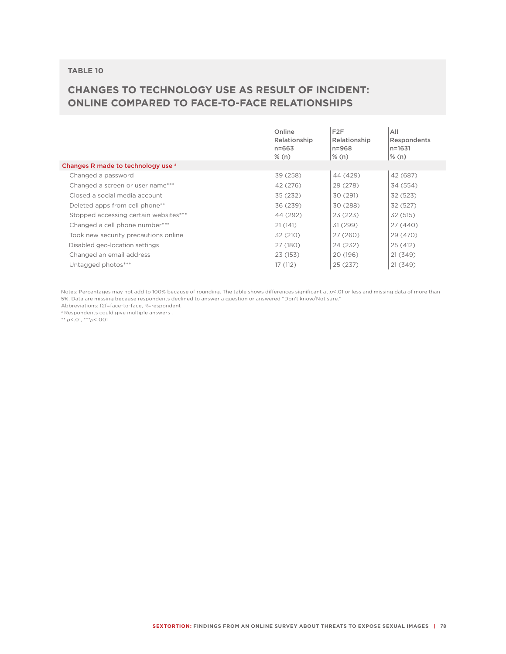## **CHANGES TO TECHNOLOGY USE AS RESULT OF INCIDENT: ONLINE COMPARED TO FACE-TO-FACE RELATIONSHIPS**

|                                       | Online<br>Relationship<br>$n = 663$<br>% (n) | F <sub>2</sub> F<br>Relationship<br>$n = 968$<br>$\frac{8}{2}$ (n) | All<br>Respondents<br>$n = 1631$<br>% (n) |
|---------------------------------------|----------------------------------------------|--------------------------------------------------------------------|-------------------------------------------|
| Changes R made to technology use a    |                                              |                                                                    |                                           |
| Changed a password                    | 39 (258)                                     | 44 (429)                                                           | 42 (687)                                  |
| Changed a screen or user name***      | 42 (276)                                     | 29 (278)                                                           | 34 (554)                                  |
| Closed a social media account         | 35 (232)                                     | 30 (291)                                                           | 32 (523)                                  |
| Deleted apps from cell phone**        | 36 (239)                                     | 30 (288)                                                           | 32 (527)                                  |
| Stopped accessing certain websites*** | 44 (292)                                     | 23(223)                                                            | 32 (515)                                  |
| Changed a cell phone number***        | 21 (141)                                     | 31(299)                                                            | 27 (440)                                  |
| Took new security precautions online  | 32 (210)                                     | 27 (260)                                                           | 29 (470)                                  |
| Disabled geo-location settings        | 27 (180)                                     | 24 (232)                                                           | 25 (412)                                  |
| Changed an email address              | 23 (153)                                     | 20 (196)                                                           | 21(349)                                   |
| Untagged photos***                    | 17 (112)                                     | 25(237)                                                            | 21(349)                                   |
|                                       |                                              |                                                                    |                                           |

Notes: Percentages may not add to 100% because of rounding. The table shows differences significant at  $p \leq 01$  or less and missing data of more than 5%. Data are missing because respondents declined to answer a question or answered "Don't know/Not sure."

Abbreviations: f2f=face-to-face, R=respondent a Respondents could give multiple answers .

\*\* *p*<\_.01, \*\*\**p*<\_.001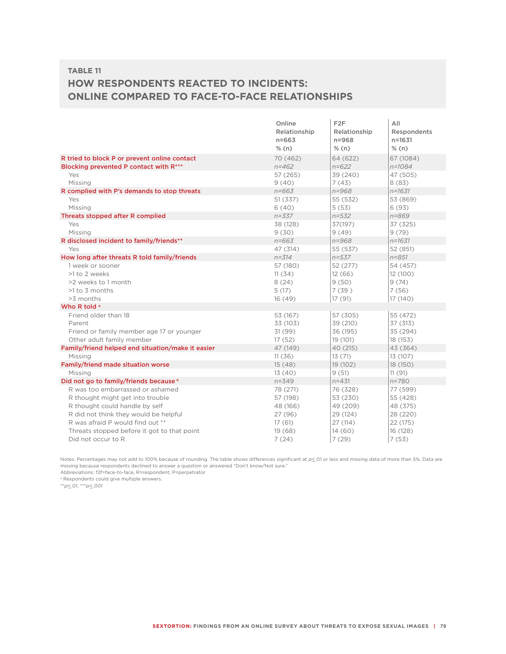### **TABLE 11 HOW RESPONDENTS REACTED TO INCIDENTS: ONLINE COMPARED TO FACE-TO-FACE RELATIONSHIPS**

|                                                   | Online       | F2F          | All         |
|---------------------------------------------------|--------------|--------------|-------------|
|                                                   | Relationship | Relationship | Respondents |
|                                                   | $n = 663$    | $n = 968$    | $n = 1631$  |
|                                                   | % (n)        | % (n)        | % (n)       |
| R tried to block P or prevent online contact      | 70 (462)     | 64 (622)     | 67 (1084)   |
| Blocking prevented P contact with R***            | $n = 462$    | $n = 622$    | $n = 1084$  |
| Yes                                               | 57 (265)     | 39 (240)     | 47 (505)    |
| Missing                                           | 9(40)        | 7(43)        | 8(83)       |
| R complied with P's demands to stop threats       | $n = 663$    | $n = 968$    | $n = 1631$  |
| Yes                                               | 51 (337)     | 55 (532)     | 53 (869)    |
| Missing                                           | 6(40)        | 5(53)        | 6(93)       |
| Threats stopped after R complied                  | $n = 337$    | $n = 532$    | $n = 869$   |
| Yes                                               | 38 (128)     | 37(197)      | 37 (325)    |
| Missing                                           | 9(30)        | 9(49)        | 9(79)       |
| R disclosed incident to family/friends**          | $n = 663$    | $n = 968$    | $n = 1631$  |
| Yes                                               | 47 (314)     | 55 (537)     | 52 (851)    |
| How long after threats R told family/friends      | $n = 314$    | $n = 537$    | $n = 851$   |
| 1 week or sooner                                  | 57 (180)     | 52 (277)     | 54 (457)    |
| >1 to 2 weeks                                     | 11(34)       | 12(66)       | 12(100)     |
| >2 weeks to 1 month                               | 8(24)        | 9(50)        | 9(74)       |
| $>1$ to 3 months                                  | 5(17)        | 7(39)        | 7(56)       |
| >3 months                                         | 16(49)       | 17 (91)      | 17 (140)    |
| Who R told a                                      |              |              |             |
| Friend older than 18                              | 53 (167)     | 57 (305)     | 55 (472)    |
| Parent                                            | 33 (103)     | 39 (210)     | 37 (313)    |
| Friend or family member age 17 or younger         | 31 (99)      | 36 (195)     | 35 (294)    |
| Other adult family member                         | 17(52)       | 19 (101)     | 18 (153)    |
| Family/friend helped end situation/make it easier | 47 (149)     | 40 (215)     | 43 (364)    |
| Missing                                           | 11(36)       | 13(71)       | 13 (107)    |
| Family/friend made situation worse                | 15(48)       | 19 (102)     | 18 (150)    |
| Missing                                           | 13(40)       | 9(51)        | 11(91)      |
| Did not go to family/friends because <sup>a</sup> | $n = 349$    | $n = 431$    | $n = 780$   |
| R was too embarrassed or ashamed                  | 78 (271)     | 76 (328)     | 77 (599)    |
| R thought might get into trouble                  | 57 (198)     | 53 (230)     | 55 (428)    |
| R thought could handle by self                    | 48 (166)     | 49 (209)     | 48 (375)    |
| R did not think they would be helpful             | 27(96)       | 29 (124)     | 28 (220)    |
| R was afraid P would find out **                  | 17(61)       | 27 (114)     | 22 (175)    |
| Threats stopped before it got to that point       | 19(68)       | 14(60)       | 16 (128)    |
| Did not occur to R                                | 7(24)        | 7(29)        | 7(53)       |

Notes: Percentages may not add to 100% because of rounding. The table shows differences significant at  $p \le 01$  or less and missing data of more than 5%. Data are missing because respondents declined to answer a question or answered "Don't know/Not sure."

Abbreviations: f2f=face-to-face, R=respondent, P=perpetrator <sup>a</sup> Respondents could give multiple answers.

\*\**p*<\_.01, \*\*\**p*<\_.001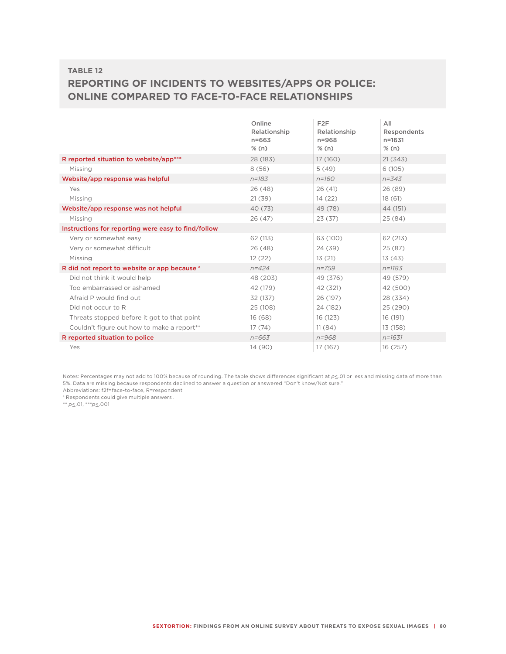# **REPORTING OF INCIDENTS TO WEBSITES/APPS OR POLICE: ONLINE COMPARED TO FACE-TO-FACE RELATIONSHIPS**

|                                                        | Online<br>Relationship | F <sub>2</sub> F<br>Relationship | All<br>Respondents |
|--------------------------------------------------------|------------------------|----------------------------------|--------------------|
|                                                        | $n = 663$              | $n = 968$                        | $n = 1631$         |
|                                                        | % (n)                  | % (n)                            | % (n)              |
| R reported situation to website/app***                 | 28 (183)               | 17 (160)                         | 21(343)            |
| Missing                                                | 8(56)                  | 5(49)                            | 6(105)             |
| Website/app response was helpful                       | $n = 183$              | $n = 160$                        | $n = 343$          |
| Yes                                                    | 26(48)                 | 26(41)                           | 26(89)             |
| Missing                                                | 21(39)                 | 14(22)                           | 18(61)             |
| Website/app response was not helpful                   | 40 (73)                | 49 (78)                          | 44 (151)           |
| Missing                                                | 26(47)                 | 23(37)                           | 25(84)             |
| Instructions for reporting were easy to find/follow    |                        |                                  |                    |
| Very or somewhat easy                                  | 62 (113)               | 63 (100)                         | 62(213)            |
| Very or somewhat difficult                             | 26(48)                 | 24 (39)                          | 25 (87)            |
| Missing                                                | 12(22)                 | 13(21)                           | 13(43)             |
| R did not report to website or app because a           | $n = 424$              | $n = 759$                        | $n = 1183$         |
| Did not think it would help                            | 48 (203)               | 49 (376)                         | 49 (579)           |
| Too embarrassed or ashamed                             | 42 (179)               | 42 (321)                         | 42 (500)           |
| Afraid P would find out                                | 32 (137)               | 26 (197)                         | 28 (334)           |
| Did not occur to R                                     | 25 (108)               | 24 (182)                         | 25 (290)           |
| Threats stopped before it got to that point            | 16(68)                 | 16 (123)                         | 16 (191)           |
| Couldn't figure out how to make a report <sup>**</sup> | 17(74)                 | 11(84)                           | 13 (158)           |
| R reported situation to police                         | $n = 663$              | $n = 968$                        | $n = 1631$         |
| Yes                                                    | 14 (90)                | 17 (167)                         | 16 (257)           |

Notes: Percentages may not add to 100% because of rounding. The table shows differences significant at  $p\leq 01$  or less and missing data of more than 5%. Data are missing because respondents declined to answer a question or answered "Don't know/Not sure." Abbreviations: f2f=face-to-face, R=respondent

a Respondents could give multiple answers .

\*\* *p*  $\leq$  .01, \*\*\**p*  $\leq$  .001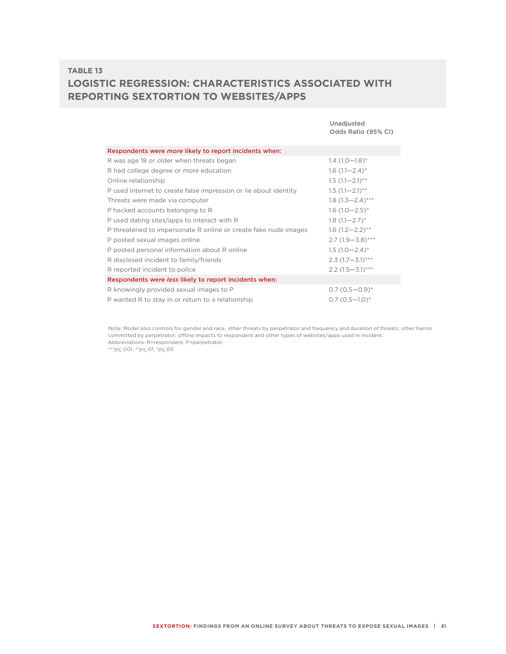### **TABLE 13 LOGISTIC REGRESSION: CHARACTERISTICS ASSOCIATED WITH REPORTING SEXTORTION TO WEBSITES/APPS**

|                                                                  | Unadjusted<br>Odds Ratio (95% CI) |  |  |
|------------------------------------------------------------------|-----------------------------------|--|--|
| Respondents were more likely to report incidents when:           |                                   |  |  |
| R was age 18 or older when threats began                         | $1.4(1.0-1.8)$ *                  |  |  |
| R had college degree or more education                           | $1.6(1.1 - 2.4)^*$                |  |  |
| Online relationship                                              | $1.5(1.1-2.1)$ **                 |  |  |
| P used internet to create false impression or lie about identity | $1.5(1.1-2.1)$ **                 |  |  |
| Threats were made via computer                                   | $1.8(1.3-2.4)$ ***                |  |  |
| P hacked accounts belonging to R                                 | $1.6(1.0-2.5)^{*}$                |  |  |
| P used dating sites/apps to interact with R                      | $1.8(1.1 - 2.7)^*$                |  |  |
| P threatened to impersonate R online or create fake nude images  | $1.6(1.2-2.2)$ **                 |  |  |
| P posted sexual images online                                    | $2.7(1.9-3.8)$ ***                |  |  |
| P posted personal information about R online                     | $1.5(1.0-2.4)$ *                  |  |  |
| R disclosed incident to family/friends                           | $2.3(1.7 - 3.1)$ ***              |  |  |
| R reported incident to police                                    | $2.2(1.5-3.1)$ ***                |  |  |
| Respondents were less likely to report incidents when:           |                                   |  |  |
| R knowingly provided sexual images to P                          | $0.7(0.5 - 0.9)^{*}$              |  |  |
| P wanted R to stay in or return to a relationship                | $0.7(0.5-1.0)^{*}$                |  |  |

Note: Model also controls for gender and race, other threats by perpetrator and frequency and duration of threats; other harms committed by perpetrator; offline impacts to respondent and other types of websites/apps used in incident. Abbreviations: R=respondent, P=perpetrator.

\*\*\**p*<\_.001, \*\**p*<\_.01, \**p*<\_.05